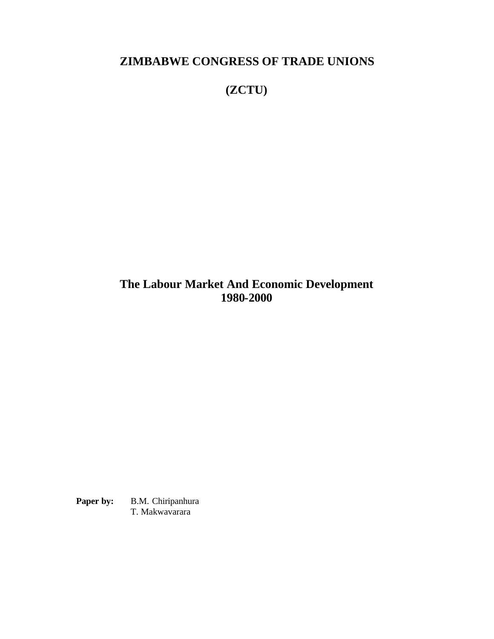**ZIMBABWE CONGRESS OF TRADE UNIONS**

**(ZCTU)**

**The Labour Market And Economic Development 1980-2000**

Paper by: **B.M. Chiripanhura** T. Makwavarara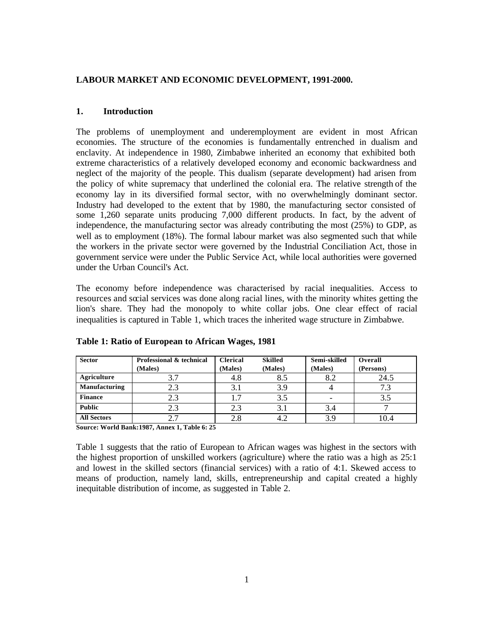# **LABOUR MARKET AND ECONOMIC DEVELOPMENT, 1991-2000.**

## **1. Introduction**

The problems of unemployment and underemployment are evident in most African economies. The structure of the economies is fundamentally entrenched in dualism and enclavity. At independence in 1980, Zimbabwe inherited an economy that exhibited both extreme characteristics of a relatively developed economy and economic backwardness and neglect of the majority of the people. This dualism (separate development) had arisen from the policy of white supremacy that underlined the colonial era. The relative strength of the economy lay in its diversified formal sector, with no overwhelmingly dominant sector. Industry had developed to the extent that by 1980, the manufacturing sector consisted of some 1,260 separate units producing 7,000 different products. In fact, by the advent of independence, the manufacturing sector was already contributing the most (25%) to GDP, as well as to employment (18%). The formal labour market was also segmented such that while the workers in the private sector were governed by the Industrial Conciliation Act, those in government service were under the Public Service Act, while local authorities were governed under the Urban Council's Act.

The economy before independence was characterised by racial inequalities. Access to resources and social services was done along racial lines, with the minority whites getting the lion's share. They had the monopoly to white collar jobs. One clear effect of racial inequalities is captured in Table 1, which traces the inherited wage structure in Zimbabwe.

| <b>Sector</b>      | Professional & technical | <b>Clerical</b> | Skilled | Semi-skilled | Overall   |
|--------------------|--------------------------|-----------------|---------|--------------|-----------|
|                    | (Males)                  | (Males)         | (Males) | (Males)      | (Persons) |
| Agriculture        | 3.7                      | 4.8             | 8.5     | 8.2          | 24.5      |
| Manufacturing      |                          |                 |         |              | 7.3       |
| <b>Finance</b>     |                          |                 | 3.5     |              | 3.5       |
| <b>Public</b>      | 2.3                      | 2.3             |         | 3.4          |           |
| <b>All Sectors</b> |                          |                 |         | 3.9          | 10.4      |

### **Table 1: Ratio of European to African Wages, 1981**

**Source: World Bank:1987, Annex 1, Table 6: 25**

Table 1 suggests that the ratio of European to African wages was highest in the sectors with the highest proportion of unskilled workers (agriculture) where the ratio was a high as 25:1 and lowest in the skilled sectors (financial services) with a ratio of 4:1. Skewed access to means of production, namely land, skills, entrepreneurship and capital created a highly inequitable distribution of income, as suggested in Table 2.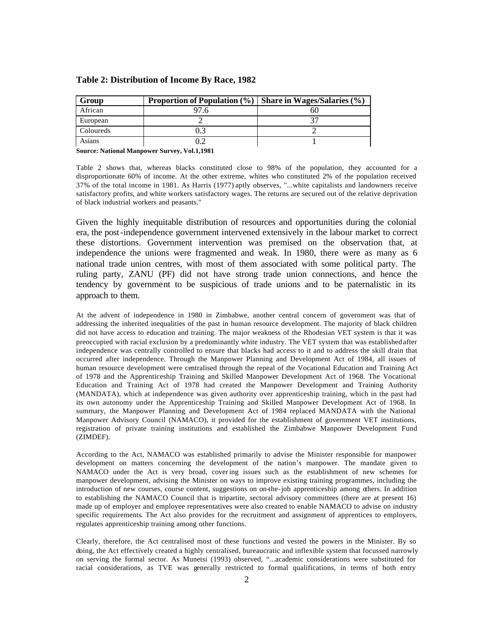| Group     | <b>Proportion of Population</b> $(\%)$ | <b>Share in Wages/Salaries <math>(\%)</math></b> |
|-----------|----------------------------------------|--------------------------------------------------|
| African   |                                        |                                                  |
| European  |                                        |                                                  |
| Coloureds |                                        |                                                  |
| Asians    |                                        |                                                  |

**Source: National Manpower Survey, Vol.1,1981**

Table 2 shows that, whereas blacks constituted close to 98% of the population, they accounted for a disproportionate 60% of income. At the other extreme, whites who constituted 2% of the population received 37% of the total income in 1981. As Harris (1977) aptly observes, "...white capitalists and landowners receive satisfactory profits, and white workers satisfactory wages. The returns are secured out of the relative deprivation of black industrial workers and peasants."

Given the highly inequitable distribution of resources and opportunities during the colonial era, the post-independence government intervened extensively in the labour market to correct these distortions. Government intervention was premised on the observation that, at independence the unions were fragmented and weak. In 1980, there were as many as 6 national trade union centres, with most of them associated with some political party. The ruling party, ZANU (PF) did not have strong trade union connections, and hence the tendency by government to be suspicious of trade unions and to be paternalistic in its approach to them.

At the advent of independence in 1980 in Zimbabwe, another central concern of government was that of addressing the inherited inequalities of the past in human resource development. The majority of black children did not have access to education and training. The major weakness of the Rhodesian VET system is that it was preoccupied with racial exclusion by a predominantly white industry. The VET system that was established after independence was centrally controlled to ensure that blacks had access to it and to address the skill drain that occurred after independence. Through the Manpower Planning and Development Act of 1984, all issues of human resource development were centralised through the repeal of the Vocational Education and Training Act of 1978 and the Apprenticeship Training and Skilled Manpower Development Act of 1968. The Vocational Education and Training Act of 1978 had created the Manpower Development and Training Authority (MANDATA), which at independence was given authority over apprenticeship training, which in the past had its own autonomy under the Apprenticeship Training and Skilled Manpower Development Act of 1968. In summary, the Manpower Planning and Development Act of 1984 replaced MANDATA with the National Manpower Advisory Council (NAMACO), it provided for the establishment of government VET institutions, registration of private training institutions and established the Zimbabwe Manpower Development Fund (ZIMDEF).

According to the Act, NAMACO was established primarily to advise the Minister responsible for manpower development on matters concerning the development of the nation's manpower. The mandate given to NAMACO under the Act is very broad, cover ing issues such as the establishment of new schemes for manpower development, advising the Minister on ways to improve existing training programmes, including the introduction of new courses, course content, suggestions on on-the-job apprenticeship among others. In addition to establishing the NAMACO Council that is tripartite, sectoral advisory committees (there are at present 16) made up of employer and employee representatives were also created to enable NAMACO to advise on industry specific requirements. The Act also provides for the recruitment and assignment of apprentices to employers, regulates apprenticeship training among other functions.

Clearly, therefore, the Act centralised most of these functions and vested the powers in the Minister. By so doing, the Act effectively created a highly centralised, bureaucratic and inflexible system that focussed narrowly on serving the formal sector. As Munetsi (1993) observed, "...academic considerations were substituted for racial considerations, as TVE was generally restricted to formal qualifications, in terms of both entry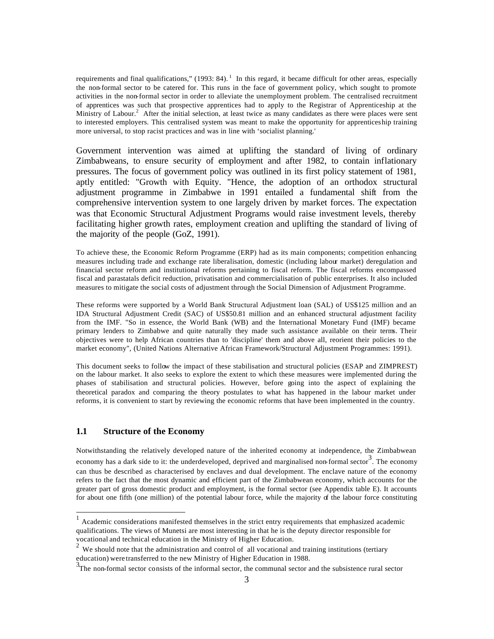requirements and final qualifications," (1993: 84).<sup>1</sup> In this regard, it became difficult for other areas, especially the non-formal sector to be catered for. This runs in the face of government policy, which sought to promote activities in the non-formal sector in order to alleviate the unemployment problem. The centralised recruitment of apprentices was such that prospective apprentices had to apply to the Registrar of Apprenticeship at the Ministry of Labour.<sup>2</sup> After the initial selection, at least twice as many candidates as there were places were sent to interested employers. This centralised system was meant to make the opportunity for apprenticeship training more universal, to stop racist practices and was in line with 'socialist planning.'

Government intervention was aimed at uplifting the standard of living of ordinary Zimbabweans, to ensure security of employment and after 1982, to contain inflationary pressures. The focus of government policy was outlined in its first policy statement of 1981, aptly entitled: "Growth with Equity. "Hence, the adoption of an orthodox structural adjustment programme in Zimbabwe in 1991 entailed a fundamental shift from the comprehensive intervention system to one largely driven by market forces. The expectation was that Economic Structural Adjustment Programs would raise investment levels, thereby facilitating higher growth rates, employment creation and uplifting the standard of living of the majority of the people (GoZ, 1991).

To achieve these, the Economic Reform Programme (ERP) had as its main components; competition enhancing measures including trade and exchange rate liberalisation, domestic (including labour market) deregulation and financial sector reform and institutional reforms pertaining to fiscal reform. The fiscal reforms encompassed fiscal and parastatals deficit reduction, privatisation and commercialisation of public enterprises. It also included measures to mitigate the social costs of adjustment through the Social Dimension of Adjustment Programme.

These reforms were supported by a World Bank Structural Adjustment loan (SAL) of US\$125 million and an IDA Structural Adjustment Credit (SAC) of US\$50.81 million and an enhanced structural adjustment facility from the IMF. "So in essence, the World Bank (WB) and the International Monetary Fund (IMF) became primary lenders to Zimbabwe and quite naturally they made such assistance available on their terms. Their objectives were to help African countries than to 'discipline' them and above all, reorient their policies to the market economy", (United Nations Alternative African Framework/Structural Adjustment Programmes: 1991).

This document seeks to follow the impact of these stabilisation and structural policies (ESAP and ZIMPREST) on the labour market. It also seeks to explore the extent to which these measures were implemented during the phases of stabilisation and structural policies. However, before going into the aspect of explaining the theoretical paradox and comparing the theory postulates to what has happened in the labour market under reforms, it is convenient to start by reviewing the economic reforms that have been implemented in the country.

## **1.1 Structure of the Economy**

Notwithstanding the relatively developed nature of the inherited economy at independence, the Zimbabwean economy has a dark side to it: the underdeveloped, deprived and marginalised non-formal sector<sup>3</sup>. The economy can thus be described as characterised by enclaves and dual development. The enclave nature of the economy refers to the fact that the most dynamic and efficient part of the Zimbabwean economy, which accounts for the greater part of gross domestic product and employment, is the formal sector (see Appendix table E). It accounts for about one fifth (one million) of the potential labour force, while the majority of the labour force constituting

<sup>&</sup>lt;sup>1</sup> Academic considerations manifested themselves in the strict entry requirements that emphasized academic qualifications. The views of Munetsi are most interesting in that he is the deputy director responsible for vocational and technical education in the Ministry of Higher Education.

 $2$  We should note that the administration and control of all vocational and training institutions (tertiary education) were transferred to the new Ministry of Higher Education in 1988.

<sup>&</sup>lt;sup>3</sup>The non-formal sector consists of the informal sector, the communal sector and the subsistence rural sector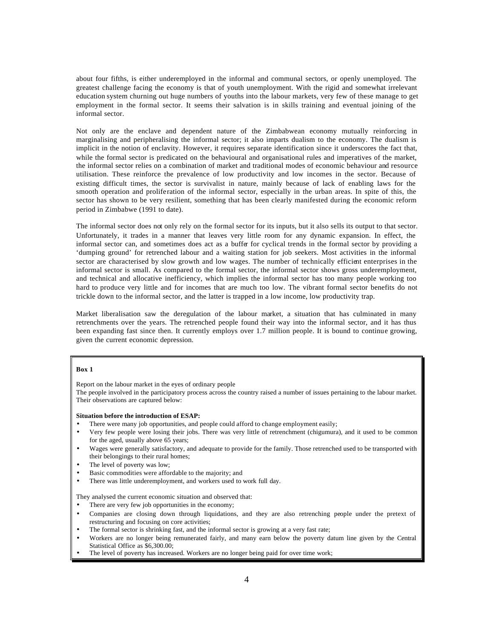about four fifths, is either underemployed in the informal and communal sectors, or openly unemployed. The greatest challenge facing the economy is that of youth unemployment. With the rigid and somewhat irrelevant education system churning out huge numbers of youths into the labour markets, very few of these manage to get employment in the formal sector. It seems their salvation is in skills training and eventual joining of the informal sector.

Not only are the enclave and dependent nature of the Zimbabwean economy mutually reinforcing in marginalising and peripheralising the informal sector; it also imparts dualism to the economy. The dualism is implicit in the notion of enclavity. However, it requires separate identification since it underscores the fact that, while the formal sector is predicated on the behavioural and organisational rules and imperatives of the market, the informal sector relies on a combination of market and traditional modes of economic behaviour and resource utilisation. These reinforce the prevalence of low productivity and low incomes in the sector. Because of existing difficult times, the sector is survivalist in nature, mainly because of lack of enabling laws for the smooth operation and proliferation of the informal sector, especially in the urban areas. In spite of this, the sector has shown to be very resilient, something that has been clearly manifested during the economic reform period in Zimbabwe (1991 to date).

The informal sector does not only rely on the formal sector for its inputs, but it also sells its output to that sector. Unfortunately, it trades in a manner that leaves very little room for any dynamic expansion. In effect, the informal sector can, and sometimes does act as a buffer for cyclical trends in the formal sector by providing a 'dumping ground' for retrenched labour and a waiting station for job seekers. Most activities in the informal sector are characterised by slow growth and low wages. The number of technically efficient enterprises in the informal sector is small. As compared to the formal sector, the informal sector shows gross underemployment, and technical and allocative inefficiency, which implies the informal sector has too many people working too hard to produce very little and for incomes that are much too low. The vibrant formal sector benefits do not trickle down to the informal sector, and the latter is trapped in a low income, low productivity trap.

Market liberalisation saw the deregulation of the labour market, a situation that has culminated in many retrenchments over the years. The retrenched people found their way into the informal sector, and it has thus been expanding fast since then. It currently employs over 1.7 million people. It is bound to continue growing, given the current economic depression.

### **Box 1**

Report on the labour market in the eyes of ordinary people

The people involved in the participatory process across the country raised a number of issues pertaining to the labour market. Their observations are captured below:

**Situation before the introduction of ESAP:**

- There were many job opportunities, and people could afford to change employment easily;
- Very few people were losing their jobs. There was very little of retrenchment (chigumura), and it used to be common for the aged, usually above 65 years;
- Wages were generally satisfactory, and adequate to provide for the family. Those retrenched used to be transported with their belongings to their rural homes;
- The level of poverty was low;
- Basic commodities were affordable to the majority; and
- There was little underemployment, and workers used to work full day.

They analysed the current economic situation and observed that:

- There are very few job opportunities in the economy;
- Companies are closing down through liquidations, and they are also retrenching people under the pretext of restructuring and focusing on core activities;
- The formal sector is shrinking fast, and the informal sector is growing at a very fast rate;
- Workers are no longer being remunerated fairly, and many earn below the poverty datum line given by the Central Statistical Office as  $\overline{$6,300.00}$ ;
- The level of poverty has increased. Workers are no longer being paid for over time work;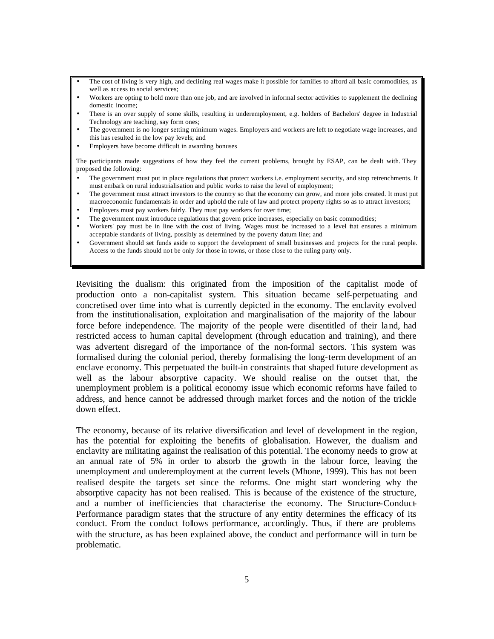- The cost of living is very high, and declining real wages make it possible for families to afford all basic commodities, as well as access to social services;
- Workers are opting to hold more than one job, and are involved in informal sector activities to supplement the declining domestic income;
- There is an over supply of some skills, resulting in underemployment, e.g. holders of Bachelors' degree in Industrial Technology are teaching, say form ones;
- The government is no longer setting minimum wages. Employers and workers are left to negotiate wage increases, and this has resulted in the low pay levels; and
- Employers have become difficult in awarding bonuses

The participants made suggestions of how they feel the current problems, brought by ESAP, can be dealt with. They proposed the following:

- The government must put in place regulations that protect workers i.e. employment security, and stop retrenchments. It must embark on rural industrialisation and public works to raise the level of employment;
- The government must attract investors to the country so that the economy can grow, and more jobs created. It must put macroeconomic fundamentals in order and uphold the rule of law and protect property rights so as to attract investors;
- Employers must pay workers fairly. They must pay workers for over time;
- The government must introduce regulations that govern price increases, especially on basic commodities;
- Workers' pay must be in line with the cost of living. Wages must be increased to a level that ensures a minimum acceptable standards of living, possibly as determined by the poverty datum line; and
- Government should set funds aside to support the development of small businesses and projects for the rural people. Access to the funds should not be only for those in towns, or those close to the ruling party only.

Revisiting the dualism: this originated from the imposition of the capitalist mode of production onto a non-capitalist system. This situation became self-perpetuating and concretised over time into what is currently depicted in the economy. The enclavity evolved from the institutionalisation, exploitation and marginalisation of the majority of the labour force before independence. The majority of the people were disentitled of their land, had restricted access to human capital development (through education and training), and there was advertent disregard of the importance of the non-formal sectors. This system was formalised during the colonial period, thereby formalising the long-term development of an enclave economy. This perpetuated the built-in constraints that shaped future development as well as the labour absorptive capacity. We should realise on the outset that, the unemployment problem is a political economy issue which economic reforms have failed to address, and hence cannot be addressed through market forces and the notion of the trickle down effect.

The economy, because of its relative diversification and level of development in the region, has the potential for exploiting the benefits of globalisation. However, the dualism and enclavity are militating against the realisation of this potential. The economy needs to grow at an annual rate of 5% in order to absorb the growth in the labour force, leaving the unemployment and underemployment at the current levels (Mhone, 1999). This has not been realised despite the targets set since the reforms. One might start wondering why the absorptive capacity has not been realised. This is because of the existence of the structure, and a number of inefficiencies that characterise the economy. The Structure-Conduct-Performance paradigm states that the structure of any entity determines the efficacy of its conduct. From the conduct follows performance, accordingly. Thus, if there are problems with the structure, as has been explained above, the conduct and performance will in turn be problematic.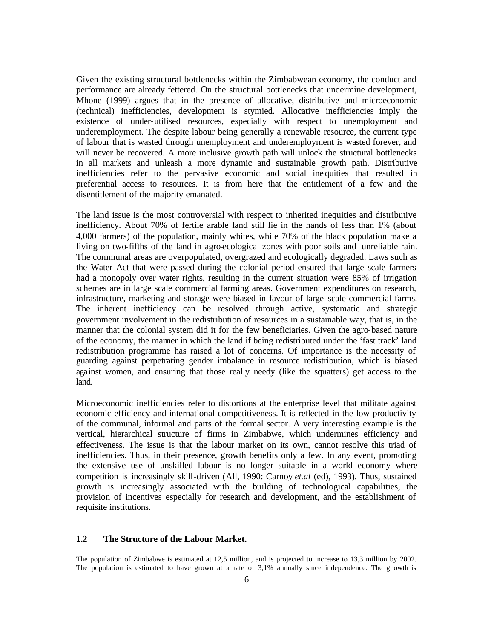Given the existing structural bottlenecks within the Zimbabwean economy, the conduct and performance are already fettered. On the structural bottlenecks that undermine development, Mhone (1999) argues that in the presence of allocative, distributive and microeconomic (technical) inefficiencies, development is stymied. Allocative inefficiencies imply the existence of under-utilised resources, especially with respect to unemployment and underemployment. The despite labour being generally a renewable resource, the current type of labour that is wasted through unemployment and underemployment is wasted forever, and will never be recovered. A more inclusive growth path will unlock the structural bottlenecks in all markets and unleash a more dynamic and sustainable growth path. Distributive inefficiencies refer to the pervasive economic and social ine quities that resulted in preferential access to resources. It is from here that the entitlement of a few and the disentitlement of the majority emanated.

The land issue is the most controversial with respect to inherited inequities and distributive inefficiency. About 70% of fertile arable land still lie in the hands of less than 1% (about 4,000 farmers) of the population, mainly whites, while 70% of the black population make a living on two-fifths of the land in agro-ecological zones with poor soils and unreliable rain. The communal areas are overpopulated, overgrazed and ecologically degraded. Laws such as the Water Act that were passed during the colonial period ensured that large scale farmers had a monopoly over water rights, resulting in the current situation were 85% of irrigation schemes are in large scale commercial farming areas. Government expenditures on research, infrastructure, marketing and storage were biased in favour of large-scale commercial farms. The inherent inefficiency can be resolved through active, systematic and strategic government involvement in the redistribution of resources in a sustainable way, that is, in the manner that the colonial system did it for the few beneficiaries. Given the agro-based nature of the economy, the manner in which the land if being redistributed under the 'fast track' land redistribution programme has raised a lot of concerns. Of importance is the necessity of guarding against perpetrating gender imbalance in resource redistribution, which is biased against women, and ensuring that those really needy (like the squatters) get access to the land.

Microeconomic inefficiencies refer to distortions at the enterprise level that militate against economic efficiency and international competitiveness. It is reflected in the low productivity of the communal, informal and parts of the formal sector. A very interesting example is the vertical, hierarchical structure of firms in Zimbabwe, which undermines efficiency and effectiveness. The issue is that the labour market on its own, cannot resolve this triad of inefficiencies. Thus, in their presence, growth benefits only a few. In any event, promoting the extensive use of unskilled labour is no longer suitable in a world economy where competition is increasingly skill-driven (All, 1990: Carnoy *et.al* (ed), 1993). Thus, sustained growth is increasingly associated with the building of technological capabilities, the provision of incentives especially for research and development, and the establishment of requisite institutions.

### **1.2 The Structure of the Labour Market.**

The population of Zimbabwe is estimated at 12,5 million, and is projected to increase to 13,3 million by 2002. The population is estimated to have grown at a rate of 3,1% annually since independence. The growth is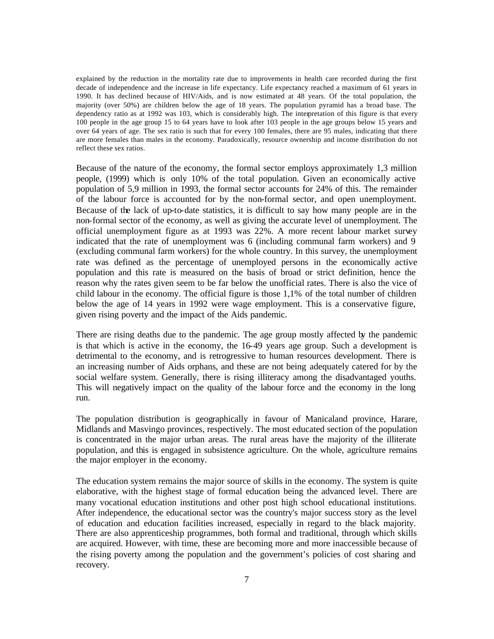explained by the reduction in the mortality rate due to improvements in health care recorded during the first decade of independence and the increase in life expectancy. Life expectancy reached a maximum of 61 years in 1990. It has declined because of HIV/Aids, and is now estimated at 48 years. Of the total population, the majority (over 50%) are children below the age of 18 years. The population pyramid has a broad base. The dependency ratio as at 1992 was 103, which is considerably high. The interpretation of this figure is that every 100 people in the age group 15 to 64 years have to look after 103 people in the age groups below 15 years and over 64 years of age. The sex ratio is such that for every 100 females, there are 95 males, indicating that there are more females than males in the economy. Paradoxically, resource ownership and income distribution do not reflect these sex ratios.

Because of the nature of the economy, the formal sector employs approximately 1,3 million people, (1999) which is only 10% of the total population. Given an economically active population of 5,9 million in 1993, the formal sector accounts for 24% of this. The remainder of the labour force is accounted for by the non-formal sector, and open unemployment. Because of the lack of up-to-date statistics, it is difficult to say how many people are in the non-formal sector of the economy, as well as giving the accurate level of unemployment. The official unemployment figure as at 1993 was 22%. A more recent labour market survey indicated that the rate of unemployment was 6 (including communal farm workers) and 9 (excluding communal farm workers) for the whole country. In this survey, the unemployment rate was defined as the percentage of unemployed persons in the economically active population and this rate is measured on the basis of broad or strict definition, hence the reason why the rates given seem to be far below the unofficial rates. There is also the vice of child labour in the economy. The official figure is those 1,1% of the total number of children below the age of 14 years in 1992 were wage employment. This is a conservative figure, given rising poverty and the impact of the Aids pandemic.

There are rising deaths due to the pandemic. The age group mostly affected by the pandemic is that which is active in the economy, the 16-49 years age group. Such a development is detrimental to the economy, and is retrogressive to human resources development. There is an increasing number of Aids orphans, and these are not being adequately catered for by the social welfare system. Generally, there is rising illiteracy among the disadvantaged youths. This will negatively impact on the quality of the labour force and the economy in the long run.

The population distribution is geographically in favour of Manicaland province, Harare, Midlands and Masvingo provinces, respectively. The most educated section of the population is concentrated in the major urban areas. The rural areas have the majority of the illiterate population, and this is engaged in subsistence agriculture. On the whole, agriculture remains the major employer in the economy.

The education system remains the major source of skills in the economy. The system is quite elaborative, with the highest stage of formal education being the advanced level. There are many vocational education institutions and other post high school educational institutions. After independence, the educational sector was the country's major success story as the level of education and education facilities increased, especially in regard to the black majority. There are also apprenticeship programmes, both formal and traditional, through which skills are acquired. However, with time, these are becoming more and more inaccessible because of the rising poverty among the population and the government's policies of cost sharing and recovery.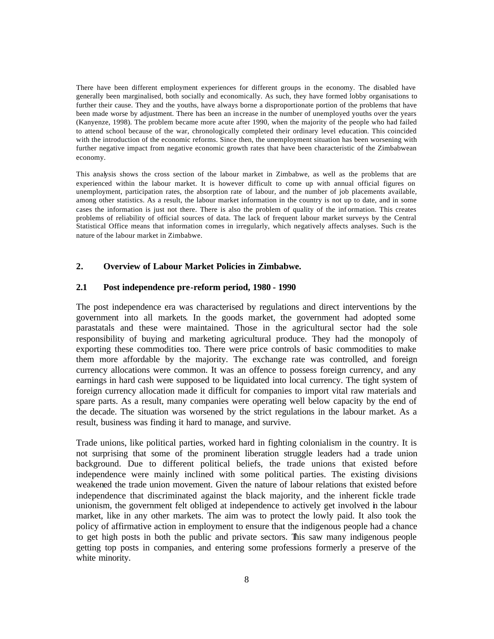There have been different employment experiences for different groups in the economy. The disabled have generally been marginalised, both socially and economically. As such, they have formed lobby organisations to further their cause. They and the youths, have always borne a disproportionate portion of the problems that have been made worse by adjustment. There has been an increase in the number of unemployed youths over the years (Kanyenze, 1998). The problem became more acute after 1990, when the majority of the people who had failed to attend school because of the war, chronologically completed their ordinary level education. This coincided with the introduction of the economic reforms. Since then, the unemployment situation has been worsening with further negative impact from negative economic growth rates that have been characteristic of the Zimbabwean economy.

This analysis shows the cross section of the labour market in Zimbabwe, as well as the problems that are experienced within the labour market. It is however difficult to come up with annual official figures on unemployment, participation rates, the absorption rate of labour, and the number of job placements available, among other statistics. As a result, the labour market information in the country is not up to date, and in some cases the information is just not there. There is also the problem of quality of the inf ormation. This creates problems of reliability of official sources of data. The lack of frequent labour market surveys by the Central Statistical Office means that information comes in irregularly, which negatively affects analyses. Such is the nature of the labour market in Zimbabwe.

### **2. Overview of Labour Market Policies in Zimbabwe.**

### **2.1 Post independence pre-reform period, 1980 - 1990**

The post independence era was characterised by regulations and direct interventions by the government into all markets. In the goods market, the government had adopted some parastatals and these were maintained. Those in the agricultural sector had the sole responsibility of buying and marketing agricultural produce. They had the monopoly of exporting these commodities too. There were price controls of basic commodities to make them more affordable by the majority. The exchange rate was controlled, and foreign currency allocations were common. It was an offence to possess foreign currency, and any earnings in hard cash were supposed to be liquidated into local currency. The tight system of foreign currency allocation made it difficult for companies to import vital raw materials and spare parts. As a result, many companies were operating well below capacity by the end of the decade. The situation was worsened by the strict regulations in the labour market. As a result, business was finding it hard to manage, and survive.

Trade unions, like political parties, worked hard in fighting colonialism in the country. It is not surprising that some of the prominent liberation struggle leaders had a trade union background. Due to different political beliefs, the trade unions that existed before independence were mainly inclined with some political parties. The existing divisions weakened the trade union movement. Given the nature of labour relations that existed before independence that discriminated against the black majority, and the inherent fickle trade unionism, the government felt obliged at independence to actively get involved in the labour market, like in any other markets. The aim was to protect the lowly paid. It also took the policy of affirmative action in employment to ensure that the indigenous people had a chance to get high posts in both the public and private sectors. This saw many indigenous people getting top posts in companies, and entering some professions formerly a preserve of the white minority.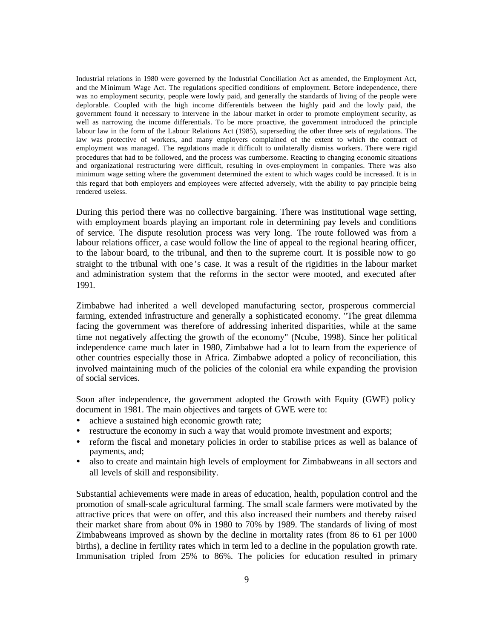Industrial relations in 1980 were governed by the Industrial Conciliation Act as amended, the Employment Act, and the Minimum Wage Act. The regulations specified conditions of employment. Before independence, there was no employment security, people were lowly paid, and generally the standards of living of the people were deplorable. Coupled with the high income differentials between the highly paid and the lowly paid, the government found it necessary to intervene in the labour market in order to promote employment security, as well as narrowing the income differentials. To be more proactive, the government introduced the principle labour law in the form of the Labour Relations Act (1985), superseding the other three sets of regulations. The law was protective of workers, and many employers complained of the extent to which the contract of employment was managed. The regulations made it difficult to unilaterally dismiss workers. There were rigid procedures that had to be followed, and the process was cumbersome. Reacting to changing economic situations and organizational restructuring were difficult, resulting in over-employment in companies. There was also minimum wage setting where the government determined the extent to which wages could be increased. It is in this regard that both employers and employees were affected adversely, with the ability to pay principle being rendered useless.

During this period there was no collective bargaining. There was institutional wage setting, with employment boards playing an important role in determining pay levels and conditions of service. The dispute resolution process was very long. The route followed was from a labour relations officer, a case would follow the line of appeal to the regional hearing officer, to the labour board, to the tribunal, and then to the supreme court. It is possible now to go straight to the tribunal with one 's case. It was a result of the rigidities in the labour market and administration system that the reforms in the sector were mooted, and executed after 1991.

Zimbabwe had inherited a well developed manufacturing sector, prosperous commercial farming, extended infrastructure and generally a sophisticated economy. "The great dilemma facing the government was therefore of addressing inherited disparities, while at the same time not negatively affecting the growth of the economy" (Ncube, 1998). Since her political independence came much later in 1980, Zimbabwe had a lot to learn from the experience of other countries especially those in Africa. Zimbabwe adopted a policy of reconciliation, this involved maintaining much of the policies of the colonial era while expanding the provision of social services.

Soon after independence, the government adopted the Growth with Equity (GWE) policy document in 1981. The main objectives and targets of GWE were to:

- ü achieve a sustained high economic growth rate;
- restructure the economy in such a way that would promote investment and exports;
- ü reform the fiscal and monetary policies in order to stabilise prices as well as balance of payments, and;
- ü also to create and maintain high levels of employment for Zimbabweans in all sectors and all levels of skill and responsibility.

Substantial achievements were made in areas of education, health, population control and the promotion of small-scale agricultural farming. The small scale farmers were motivated by the attractive prices that were on offer, and this also increased their numbers and thereby raised their market share from about 0% in 1980 to 70% by 1989. The standards of living of most Zimbabweans improved as shown by the decline in mortality rates (from 86 to 61 per 1000 births), a decline in fertility rates which in term led to a decline in the population growth rate. Immunisation tripled from 25% to 86%. The policies for education resulted in primary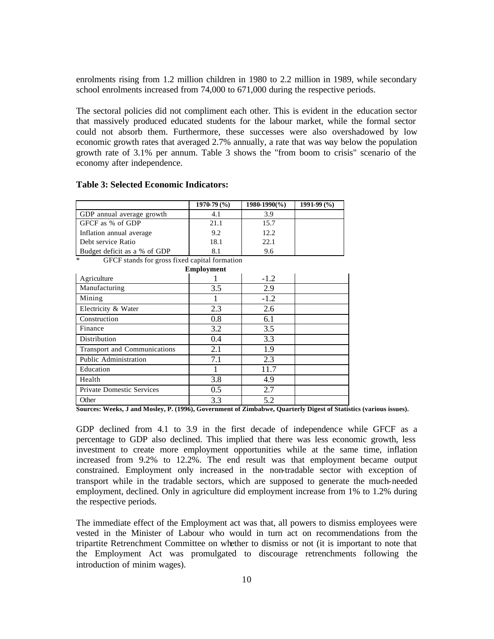enrolments rising from 1.2 million children in 1980 to 2.2 million in 1989, while secondary school enrolments increased from 74,000 to 671,000 during the respective periods.

The sectoral policies did not compliment each other. This is evident in the education sector that massively produced educated students for the labour market, while the formal sector could not absorb them. Furthermore, these successes were also overshadowed by low economic growth rates that averaged 2.7% annually, a rate that was way below the population growth rate of 3.1% per annum. Table 3 shows the "from boom to crisis" scenario of the economy after independence.

### **Table 3: Selected Economic Indicators:**

|                              | $1970-79(%)$ | 1980-1990(%) | $1991-99(%)$ |
|------------------------------|--------------|--------------|--------------|
| GDP annual average growth    |              | 3.9          |              |
| GFCF as % of GDP             | 21.1         | 15.7         |              |
| Inflation annual average     | 9.2          | 12.2         |              |
| Debt service Ratio           | 18.1         | 22.1         |              |
| Budget deficit as a % of GDP |              | 9.6          |              |

GFCF stands for gross fixed capital formation

|                                  | <b>Employment</b> |        |  |
|----------------------------------|-------------------|--------|--|
| Agriculture                      |                   | $-1.2$ |  |
| Manufacturing                    | 3.5               | 2.9    |  |
| Mining                           |                   | $-1.2$ |  |
| Electricity & Water              | 2.3               | 2.6    |  |
| Construction                     | 0.8               | 6.1    |  |
| Finance                          | 3.2               | 3.5    |  |
| Distribution                     | 0.4               | 3.3    |  |
| Transport and Communications     | 2.1               | 1.9    |  |
| Public Administration            | 7.1               | 2.3    |  |
| Education                        |                   | 11.7   |  |
| Health                           | 3.8               | 4.9    |  |
| <b>Private Domestic Services</b> | 0.5               | 2.7    |  |
| Other                            | 3.3               | 5.2    |  |

**Sources: Weeks, J and Mosley, P. (1996), Government of Zimbabwe, Quarterly Digest of Statistics (various issues).**

GDP declined from 4.1 to 3.9 in the first decade of independence while GFCF as a percentage to GDP also declined. This implied that there was less economic growth, less investment to create more employment opportunities while at the same time, inflation increased from 9.2% to 12.2%. The end result was that employment became output constrained. Employment only increased in the non-tradable sector with exception of transport while in the tradable sectors, which are supposed to generate the much-needed employment, declined. Only in agriculture did employment increase from 1% to 1.2% during the respective periods.

The immediate effect of the Employment act was that, all powers to dismiss employees were vested in the Minister of Labour who would in turn act on recommendations from the tripartite Retrenchment Committee on whether to dismiss or not (it is important to note that the Employment Act was promulgated to discourage retrenchments following the introduction of minim wages).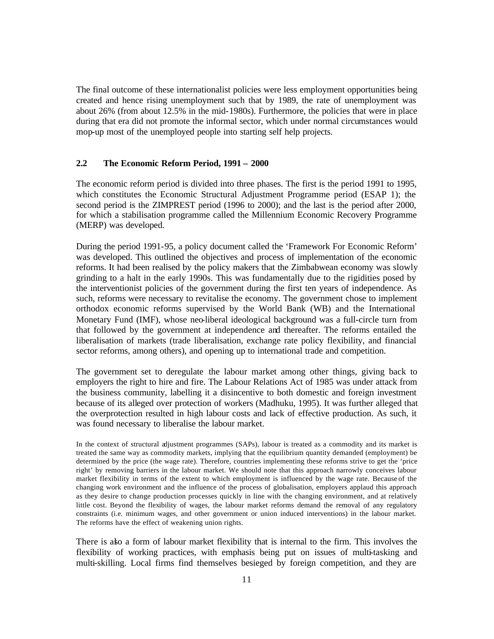The final outcome of these internationalist policies were less employment opportunities being created and hence rising unemployment such that by 1989, the rate of unemployment was about 26% (from about 12.5% in the mid-1980s). Furthermore, the policies that were in place during that era did not promote the informal sector, which under normal circumstances would mop-up most of the unemployed people into starting self help projects.

### **2.2 The Economic Reform Period, 1991 – 2000**

The economic reform period is divided into three phases. The first is the period 1991 to 1995, which constitutes the Economic Structural Adjustment Programme period (ESAP 1); the second period is the ZIMPREST period (1996 to 2000); and the last is the period after 2000, for which a stabilisation programme called the Millennium Economic Recovery Programme (MERP) was developed.

During the period 1991-95, a policy document called the 'Framework For Economic Reform' was developed. This outlined the objectives and process of implementation of the economic reforms. It had been realised by the policy makers that the Zimbabwean economy was slowly grinding to a halt in the early 1990s. This was fundamentally due to the rigidities posed by the interventionist policies of the government during the first ten years of independence. As such, reforms were necessary to revitalise the economy. The government chose to implement orthodox economic reforms supervised by the World Bank (WB) and the International Monetary Fund (IMF), whose neo-liberal ideological background was a full-circle turn from that followed by the government at independence and thereafter. The reforms entailed the liberalisation of markets (trade liberalisation, exchange rate policy flexibility, and financial sector reforms, among others), and opening up to international trade and competition.

The government set to deregulate the labour market among other things, giving back to employers the right to hire and fire. The Labour Relations Act of 1985 was under attack from the business community, labelling it a disincentive to both domestic and foreign investment because of its alleged over protection of workers (Madhuku, 1995). It was further alleged that the overprotection resulted in high labour costs and lack of effective production. As such, it was found necessary to liberalise the labour market.

In the context of structural adjustment programmes (SAPs), labour is treated as a commodity and its market is treated the same way as commodity markets, implying that the equilibrium quantity demanded (employment) be determined by the price (the wage rate). Therefore, countries implementing these reforms strive to get the 'price right' by removing barriers in the labour market. We should note that this approach narrowly conceives labour market flexibility in terms of the extent to which employment is influenced by the wage rate. Because of the changing work environment and the influence of the process of globalisation, employers applaud this approach as they desire to change production processes quickly in line with the changing environment, and at relatively little cost. Beyond the flexibility of wages, the labour market reforms demand the removal of any regulatory constraints (i.e. minimum wages, and other government or union induced interventions) in the labour market. The reforms have the effect of weakening union rights.

There is also a form of labour market flexibility that is internal to the firm. This involves the flexibility of working practices, with emphasis being put on issues of multi-tasking and multi-skilling. Local firms find themselves besieged by foreign competition, and they are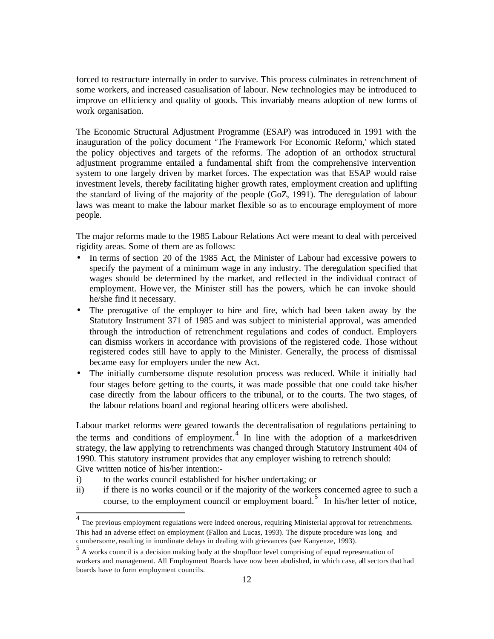forced to restructure internally in order to survive. This process culminates in retrenchment of some workers, and increased casualisation of labour. New technologies may be introduced to improve on efficiency and quality of goods. This invariably means adoption of new forms of work organisation.

The Economic Structural Adjustment Programme (ESAP) was introduced in 1991 with the inauguration of the policy document 'The Framework For Economic Reform,' which stated the policy objectives and targets of the reforms. The adoption of an orthodox structural adjustment programme entailed a fundamental shift from the comprehensive intervention system to one largely driven by market forces. The expectation was that ESAP would raise investment levels, thereby facilitating higher growth rates, employment creation and uplifting the standard of living of the majority of the people (GoZ, 1991). The deregulation of labour laws was meant to make the labour market flexible so as to encourage employment of more people.

The major reforms made to the 1985 Labour Relations Act were meant to deal with perceived rigidity areas. Some of them are as follows:

- In terms of section 20 of the 1985 Act, the Minister of Labour had excessive powers to specify the payment of a minimum wage in any industry. The deregulation specified that wages should be determined by the market, and reflected in the individual contract of employment. Howe ver, the Minister still has the powers, which he can invoke should he/she find it necessary.
- The prerogative of the employer to hire and fire, which had been taken away by the Statutory Instrument 371 of 1985 and was subject to ministerial approval, was amended through the introduction of retrenchment regulations and codes of conduct. Employers can dismiss workers in accordance with provisions of the registered code. Those without registered codes still have to apply to the Minister. Generally, the process of dismissal became easy for employers under the new Act.
- The initially cumbersome dispute resolution process was reduced. While it initially had four stages before getting to the courts, it was made possible that one could take his/her case directly from the labour officers to the tribunal, or to the courts. The two stages, of the labour relations board and regional hearing officers were abolished.

Labour market reforms were geared towards the decentralisation of regulations pertaining to the terms and conditions of employment.<sup>4</sup> In line with the adoption of a market-driven strategy, the law applying to retrenchments was changed through Statutory Instrument 404 of 1990. This statutory instrument provides that any employer wishing to retrench should: Give written notice of his/her intention:-

- i) to the works council established for his/her undertaking; or
- ii) if there is no works council or if the majority of the workers concerned agree to such a course, to the employment council or employment board.<sup>5</sup> In his/her letter of notice,

<sup>4&</sup>lt;br>The previous employment regulations were indeed onerous, requiring Ministerial approval for retrenchments. This had an adverse effect on employment (Fallon and Lucas, 1993). The dispute procedure was long and cumbersome, resulting in inordinate delays in dealing with grievances (see Kanyenze, 1993).

<sup>5</sup> A works council is a decision making body at the shopfloor level comprising of equal representation of workers and management. All Employment Boards have now been abolished, in which case, all sectors that had boards have to form employment councils.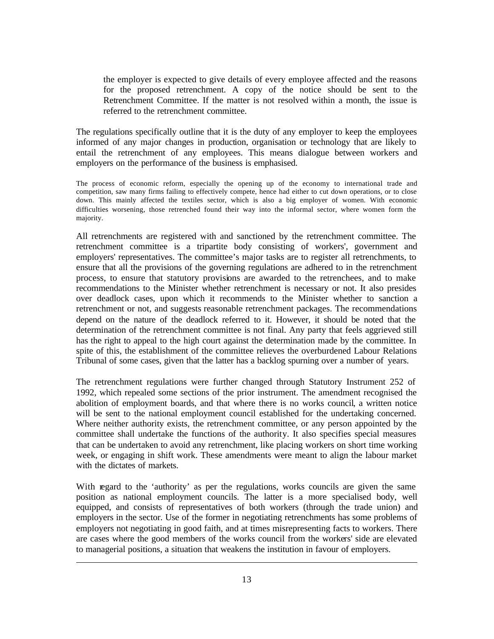the employer is expected to give details of every employee affected and the reasons for the proposed retrenchment. A copy of the notice should be sent to the Retrenchment Committee. If the matter is not resolved within a month, the issue is referred to the retrenchment committee.

The regulations specifically outline that it is the duty of any employer to keep the employees informed of any major changes in production, organisation or technology that are likely to entail the retrenchment of any employees. This means dialogue between workers and employers on the performance of the business is emphasised.

The process of economic reform, especially the opening up of the economy to international trade and competition, saw many firms failing to effectively compete, hence had either to cut down operations, or to close down. This mainly affected the textiles sector, which is also a big employer of women. With economic difficulties worsening, those retrenched found their way into the informal sector, where women form the majority.

All retrenchments are registered with and sanctioned by the retrenchment committee. The retrenchment committee is a tripartite body consisting of workers', government and employers' representatives. The committee's major tasks are to register all retrenchments, to ensure that all the provisions of the governing regulations are adhered to in the retrenchment process, to ensure that statutory provisions are awarded to the retrenchees, and to make recommendations to the Minister whether retrenchment is necessary or not. It also presides over deadlock cases, upon which it recommends to the Minister whether to sanction a retrenchment or not, and suggests reasonable retrenchment packages. The recommendations depend on the nature of the deadlock referred to it. However, it should be noted that the determination of the retrenchment committee is not final. Any party that feels aggrieved still has the right to appeal to the high court against the determination made by the committee. In spite of this, the establishment of the committee relieves the overburdened Labour Relations Tribunal of some cases, given that the latter has a backlog spurning over a number of years.

The retrenchment regulations were further changed through Statutory Instrument 252 of 1992, which repealed some sections of the prior instrument. The amendment recognised the abolition of employment boards, and that where there is no works council, a written notice will be sent to the national employment council established for the undertaking concerned. Where neither authority exists, the retrenchment committee, or any person appointed by the committee shall undertake the functions of the authority. It also specifies special measures that can be undertaken to avoid any retrenchment, like placing workers on short time working week, or engaging in shift work. These amendments were meant to align the labour market with the dictates of markets.

With regard to the 'authority' as per the regulations, works councils are given the same position as national employment councils. The latter is a more specialised body, well equipped, and consists of representatives of both workers (through the trade union) and employers in the sector. Use of the former in negotiating retrenchments has some problems of employers not negotiating in good faith, and at times misrepresenting facts to workers. There are cases where the good members of the works council from the workers' side are elevated to managerial positions, a situation that weakens the institution in favour of employers.

l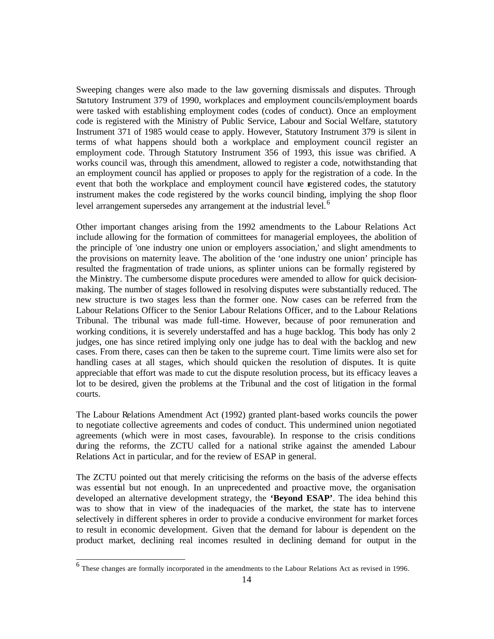Sweeping changes were also made to the law governing dismissals and disputes. Through Statutory Instrument 379 of 1990, workplaces and employment councils/employment boards were tasked with establishing employment codes (codes of conduct). Once an employment code is registered with the Ministry of Public Service, Labour and Social Welfare, statutory Instrument 371 of 1985 would cease to apply. However, Statutory Instrument 379 is silent in terms of what happens should both a workplace and employment council register an employment code. Through Statutory Instrument 356 of 1993, this issue was chrified. A works council was, through this amendment, allowed to register a code, notwithstanding that an employment council has applied or proposes to apply for the registration of a code. In the event that both the workplace and employment council have registered codes, the statutory instrument makes the code registered by the works council binding, implying the shop floor level arrangement supersedes any arrangement at the industrial level.<sup>6</sup>

Other important changes arising from the 1992 amendments to the Labour Relations Act include allowing for the formation of committees for managerial employees, the abolition of the principle of 'one industry one union or employers association,' and slight amendments to the provisions on maternity leave. The abolition of the 'one industry one union' principle has resulted the fragmentation of trade unions, as splinter unions can be formally registered by the Ministry. The cumbersome dispute procedures were amended to allow for quick decisionmaking. The number of stages followed in resolving disputes were substantially reduced. The new structure is two stages less than the former one. Now cases can be referred from the Labour Relations Officer to the Senior Labour Relations Officer, and to the Labour Relations Tribunal. The tribunal was made full-time. However, because of poor remuneration and working conditions, it is severely understaffed and has a huge backlog. This body has only 2 judges, one has since retired implying only one judge has to deal with the backlog and new cases. From there, cases can then be taken to the supreme court. Time limits were also set for handling cases at all stages, which should quicken the resolution of disputes. It is quite appreciable that effort was made to cut the dispute resolution process, but its efficacy leaves a lot to be desired, given the problems at the Tribunal and the cost of litigation in the formal courts.

The Labour Relations Amendment Act (1992) granted plant-based works councils the power to negotiate collective agreements and codes of conduct. This undermined union negotiated agreements (which were in most cases, favourable). In response to the crisis conditions during the reforms, the ZCTU called for a national strike against the amended Labour Relations Act in particular, and for the review of ESAP in general.

The ZCTU pointed out that merely criticising the reforms on the basis of the adverse effects was essential but not enough. In an unprecedented and proactive move, the organisation developed an alternative development strategy, the **'Beyond ESAP'**. The idea behind this was to show that in view of the inadequacies of the market, the state has to intervene selectively in different spheres in order to provide a conducive environment for market forces to result in economic development. Given that the demand for labour is dependent on the product market, declining real incomes resulted in declining demand for output in the

<sup>&</sup>lt;sup>6</sup> These changes are formally incorporated in the amendments to the Labour Relations Act as revised in 1996.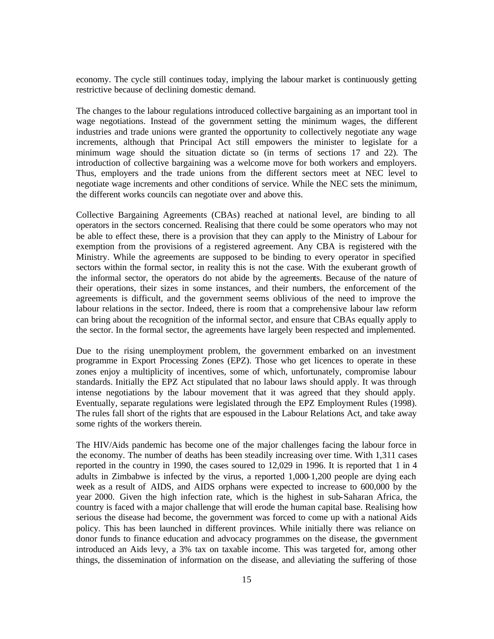economy. The cycle still continues today, implying the labour market is continuously getting restrictive because of declining domestic demand.

The changes to the labour regulations introduced collective bargaining as an important tool in wage negotiations. Instead of the government setting the minimum wages, the different industries and trade unions were granted the opportunity to collectively negotiate any wage increments, although that Principal Act still empowers the minister to legislate for a minimum wage should the situation dictate so (in terms of sections 17 and 22). The introduction of collective bargaining was a welcome move for both workers and employers. Thus, employers and the trade unions from the different sectors meet at NEC level to negotiate wage increments and other conditions of service. While the NEC sets the minimum, the different works councils can negotiate over and above this.

Collective Bargaining Agreements (CBAs) reached at national level, are binding to all operators in the sectors concerned. Realising that there could be some operators who may not be able to effect these, there is a provision that they can apply to the Ministry of Labour for exemption from the provisions of a registered agreement. Any CBA is registered with the Ministry. While the agreements are supposed to be binding to every operator in specified sectors within the formal sector, in reality this is not the case. With the exuberant growth of the informal sector, the operators do not abide by the agreements. Because of the nature of their operations, their sizes in some instances, and their numbers, the enforcement of the agreements is difficult, and the government seems oblivious of the need to improve the labour relations in the sector. Indeed, there is room that a comprehensive labour law reform can bring about the recognition of the informal sector, and ensure that CBAs equally apply to the sector. In the formal sector, the agreements have largely been respected and implemented.

Due to the rising unemployment problem, the government embarked on an investment programme in Export Processing Zones (EPZ). Those who get licences to operate in these zones enjoy a multiplicity of incentives, some of which, unfortunately, compromise labour standards. Initially the EPZ Act stipulated that no labour laws should apply. It was through intense negotiations by the labour movement that it was agreed that they should apply. Eventually, separate regulations were legislated through the EPZ Employment Rules (1998). The rules fall short of the rights that are espoused in the Labour Relations Act, and take away some rights of the workers therein.

The HIV/Aids pandemic has become one of the major challenges facing the labour force in the economy. The number of deaths has been steadily increasing over time. With 1,311 cases reported in the country in 1990, the cases soured to 12,029 in 1996. It is reported that 1 in 4 adults in Zimbabwe is infected by the virus, a reported 1,000-1,200 people are dying each week as a result of AIDS, and AIDS orphans were expected to increase to 600,000 by the year 2000. Given the high infection rate, which is the highest in sub-Saharan Africa, the country is faced with a major challenge that will erode the human capital base. Realising how serious the disease had become, the government was forced to come up with a national Aids policy. This has been launched in different provinces. While initially there was reliance on donor funds to finance education and advocacy programmes on the disease, the government introduced an Aids levy, a 3% tax on taxable income. This was targeted for, among other things, the dissemination of information on the disease, and alleviating the suffering of those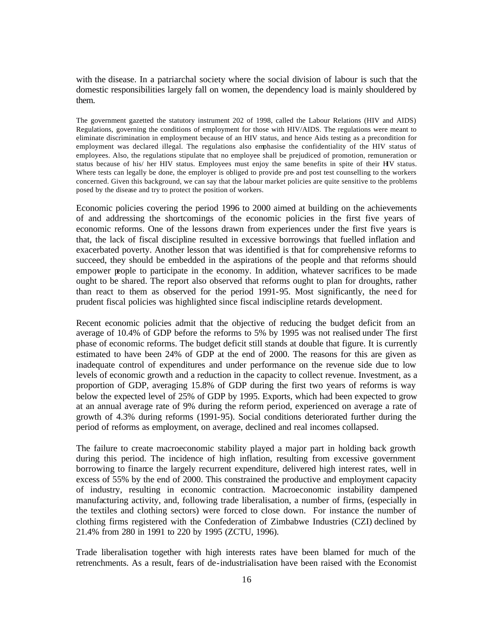with the disease. In a patriarchal society where the social division of labour is such that the domestic responsibilities largely fall on women, the dependency load is mainly shouldered by them.

The government gazetted the statutory instrument 202 of 1998, called the Labour Relations (HIV and AIDS) Regulations, governing the conditions of employment for those with HIV/AIDS. The regulations were meant to eliminate discrimination in employment because of an HIV status, and hence Aids testing as a precondition for employment was declared illegal. The regulations also emphasise the confidentiality of the HIV status of employees. Also, the regulations stipulate that no employee shall be prejudiced of promotion, remuneration or status because of his/ her HIV status. Employees must enjoy the same benefits in spite of their HIV status. Where tests can legally be done, the employer is obliged to provide pre- and post test counselling to the workers concerned. Given this background, we can say that the labour market policies are quite sensitive to the problems posed by the disease and try to protect the position of workers.

Economic policies covering the period 1996 to 2000 aimed at building on the achievements of and addressing the shortcomings of the economic policies in the first five years of economic reforms. One of the lessons drawn from experiences under the first five years is that, the lack of fiscal discipline resulted in excessive borrowings that fuelled inflation and exacerbated poverty. Another lesson that was identified is that for comprehensive reforms to succeed, they should be embedded in the aspirations of the people and that reforms should empower people to participate in the economy. In addition, whatever sacrifices to be made ought to be shared. The report also observed that reforms ought to plan for droughts, rather than react to them as observed for the period 1991-95. Most significantly, the need for prudent fiscal policies was highlighted since fiscal indiscipline retards development.

Recent economic policies admit that the objective of reducing the budget deficit from an average of 10.4% of GDP before the reforms to 5% by 1995 was not realised under The first phase of economic reforms. The budget deficit still stands at double that figure. It is currently estimated to have been 24% of GDP at the end of 2000. The reasons for this are given as inadequate control of expenditures and under performance on the revenue side due to low levels of economic growth and a reduction in the capacity to collect revenue. Investment, as a proportion of GDP, averaging 15.8% of GDP during the first two years of reforms is way below the expected level of 25% of GDP by 1995. Exports, which had been expected to grow at an annual average rate of 9% during the reform period, experienced on average a rate of growth of 4.3% during reforms (1991-95). Social conditions deteriorated further during the period of reforms as employment, on average, declined and real incomes collapsed.

The failure to create macroeconomic stability played a major part in holding back growth during this period. The incidence of high inflation, resulting from excessive government borrowing to finance the largely recurrent expenditure, delivered high interest rates, well in excess of 55% by the end of 2000. This constrained the productive and employment capacity of industry, resulting in economic contraction. Macroeconomic instability dampened manufacturing activity, and, following trade liberalisation, a number of firms, (especially in the textiles and clothing sectors) were forced to close down. For instance the number of clothing firms registered with the Confederation of Zimbabwe Industries (CZI) declined by 21.4% from 280 in 1991 to 220 by 1995 (ZCTU, 1996).

Trade liberalisation together with high interests rates have been blamed for much of the retrenchments. As a result, fears of de-industrialisation have been raised with the Economist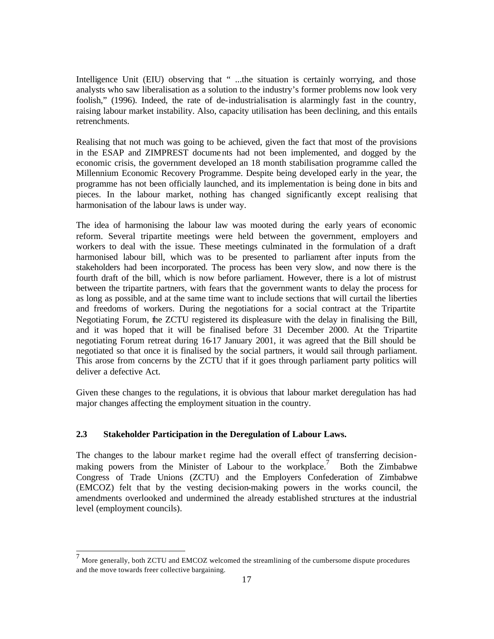Intelligence Unit (EIU) observing that " ...the situation is certainly worrying, and those analysts who saw liberalisation as a solution to the industry's former problems now look very foolish," (1996). Indeed, the rate of de-industrialisation is alarmingly fast in the country, raising labour market instability. Also, capacity utilisation has been declining, and this entails retrenchments.

Realising that not much was going to be achieved, given the fact that most of the provisions in the ESAP and ZIMPREST documents had not been implemented, and dogged by the economic crisis, the government developed an 18 month stabilisation programme called the Millennium Economic Recovery Programme. Despite being developed early in the year, the programme has not been officially launched, and its implementation is being done in bits and pieces. In the labour market, nothing has changed significantly except realising that harmonisation of the labour laws is under way.

The idea of harmonising the labour law was mooted during the early years of economic reform. Several tripartite meetings were held between the government, employers and workers to deal with the issue. These meetings culminated in the formulation of a draft harmonised labour bill, which was to be presented to parliament after inputs from the stakeholders had been incorporated. The process has been very slow, and now there is the fourth draft of the bill, which is now before parliament. However, there is a lot of mistrust between the tripartite partners, with fears that the government wants to delay the process for as long as possible, and at the same time want to include sections that will curtail the liberties and freedoms of workers. During the negotiations for a social contract at the Tripartite Negotiating Forum, the ZCTU registered its displeasure with the delay in finalising the Bill, and it was hoped that it will be finalised before 31 December 2000. At the Tripartite negotiating Forum retreat during 16-17 January 2001, it was agreed that the Bill should be negotiated so that once it is finalised by the social partners, it would sail through parliament. This arose from concerns by the ZCTU that if it goes through parliament party politics will deliver a defective Act.

Given these changes to the regulations, it is obvious that labour market deregulation has had major changes affecting the employment situation in the country.

## **2.3 Stakeholder Participation in the Deregulation of Labour Laws.**

 $\overline{a}$ 

The changes to the labour market regime had the overall effect of transferring decisionmaking powers from the Minister of Labour to the workplace.<sup>7</sup> Both the Zimbabwe Congress of Trade Unions (ZCTU) and the Employers Confederation of Zimbabwe (EMCOZ) felt that by the vesting decision-making powers in the works council, the amendments overlooked and undermined the already established structures at the industrial level (employment councils).

 $<sup>7</sup>$  More generally, both ZCTU and EMCOZ welcomed the streamlining of the cumbersome dispute procedures</sup> and the move towards freer collective bargaining.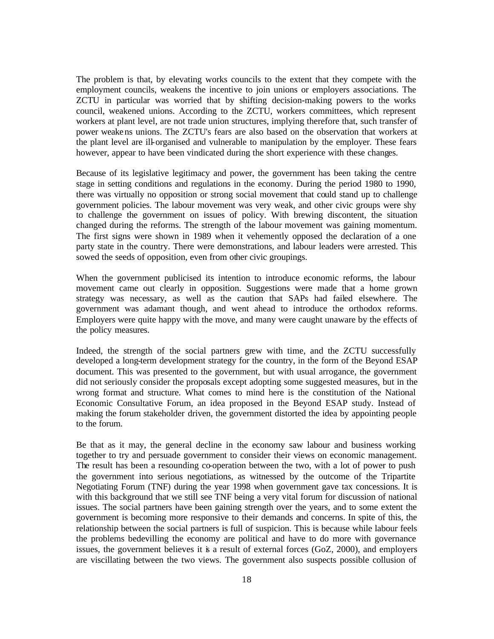The problem is that, by elevating works councils to the extent that they compete with the employment councils, weakens the incentive to join unions or employers associations. The ZCTU in particular was worried that by shifting decision-making powers to the works council, weakened unions. According to the ZCTU, workers committees, which represent workers at plant level, are not trade union structures, implying therefore that, such transfer of power weakens unions. The ZCTU's fears are also based on the observation that workers at the plant level are ill-organised and vulnerable to manipulation by the employer. These fears however, appear to have been vindicated during the short experience with these changes.

Because of its legislative legitimacy and power, the government has been taking the centre stage in setting conditions and regulations in the economy. During the period 1980 to 1990, there was virtually no opposition or strong social movement that could stand up to challenge government policies. The labour movement was very weak, and other civic groups were shy to challenge the government on issues of policy. With brewing discontent, the situation changed during the reforms. The strength of the labour movement was gaining momentum. The first signs were shown in 1989 when it vehemently opposed the declaration of a one party state in the country. There were demonstrations, and labour leaders were arrested. This sowed the seeds of opposition, even from other civic groupings.

When the government publicised its intention to introduce economic reforms, the labour movement came out clearly in opposition. Suggestions were made that a home grown strategy was necessary, as well as the caution that SAPs had failed elsewhere. The government was adamant though, and went ahead to introduce the orthodox reforms. Employers were quite happy with the move, and many were caught unaware by the effects of the policy measures.

Indeed, the strength of the social partners grew with time, and the ZCTU successfully developed a long-term development strategy for the country, in the form of the Beyond ESAP document. This was presented to the government, but with usual arrogance, the government did not seriously consider the proposals except adopting some suggested measures, but in the wrong format and structure. What comes to mind here is the constitution of the National Economic Consultative Forum, an idea proposed in the Beyond ESAP study. Instead of making the forum stakeholder driven, the government distorted the idea by appointing people to the forum.

Be that as it may, the general decline in the economy saw labour and business working together to try and persuade government to consider their views on economic management. The result has been a resounding co-operation between the two, with a lot of power to push the government into serious negotiations, as witnessed by the outcome of the Tripartite Negotiating Forum (TNF) during the year 1998 when government gave tax concessions. It is with this background that we still see TNF being a very vital forum for discussion of national issues. The social partners have been gaining strength over the years, and to some extent the government is becoming more responsive to their demands and concerns. In spite of this, the relationship between the social partners is full of suspicion. This is because while labour feels the problems bedevilling the economy are political and have to do more with governance issues, the government believes it is a result of external forces  $(GoZ, 2000)$ , and employers are viscillating between the two views. The government also suspects possible collusion of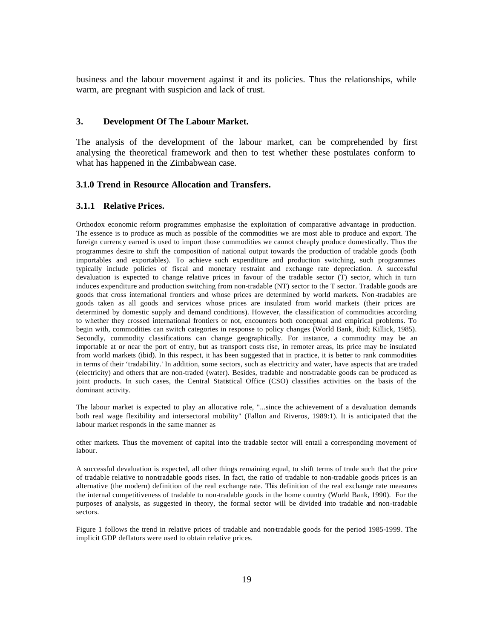business and the labour movement against it and its policies. Thus the relationships, while warm, are pregnant with suspicion and lack of trust.

### **3. Development Of The Labour Market.**

The analysis of the development of the labour market, can be comprehended by first analysing the theoretical framework and then to test whether these postulates conform to what has happened in the Zimbabwean case.

## **3.1.0 Trend in Resource Allocation and Transfers.**

### **3.1.1 Relative Prices.**

Orthodox economic reform programmes emphasise the exploitation of comparative advantage in production. The essence is to produce as much as possible of the commodities we are most able to produce and export. The foreign currency earned is used to import those commodities we cannot cheaply produce domestically. Thus the programmes desire to shift the composition of national output towards the production of tradable goods (both importables and exportables). To achieve such expenditure and production switching, such programmes typically include policies of fiscal and monetary restraint and exchange rate depreciation. A successful devaluation is expected to change relative prices in favour of the tradable sector (T) sector, which in turn induces expenditure and production switching from non-tradable (NT) sector to the T sector. Tradable goods are goods that cross international frontiers and whose prices are determined by world markets. Non -tradables are goods taken as all goods and services whose prices are insulated from world markets (their prices are determined by domestic supply and demand conditions). However, the classification of commodities according to whether they crossed international frontiers or not, encounters both conceptual and empirical problems. To begin with, commodities can switch categories in response to policy changes (World Bank, ibid; Killick, 1985). Secondly, commodity classifications can change geographically. For instance, a commodity may be an importable at or near the port of entry, but as transport costs rise, in remoter areas, its price may be insulated from world markets (ibid). In this respect, it has been suggested that in practice, it is better to rank commodities in terms of their 'tradability.' In addition, some sectors, such as electricity and water, have aspects that are traded (electricity) and others that are non-traded (water). Besides, tradable and non-tradable goods can be produced as joint products. In such cases, the Central Statistical Office (CSO) classifies activities on the basis of the dominant activity.

The labour market is expected to play an allocative role, "...since the achievement of a devaluation demands both real wage flexibility and intersectoral mobility" (Fallon and Riveros, 1989:1). It is anticipated that the labour market responds in the same manner as

other markets. Thus the movement of capital into the tradable sector will entail a corresponding movement of labour.

A successful devaluation is expected, all other things remaining equal, to shift terms of trade such that the price of tradable relative to non-tradable goods rises. In fact, the ratio of tradable to non-tradable goods prices is an alternative (the modern) definition of the real exchange rate. This definition of the real exchange rate measures the internal competitiveness of tradable to non-tradable goods in the home country (World Bank, 1990). For the purposes of analysis, as suggested in theory, the formal sector will be divided into tradable and non-tradable sectors.

Figure 1 follows the trend in relative prices of tradable and non-tradable goods for the period 1985-1999. The implicit GDP deflators were used to obtain relative prices.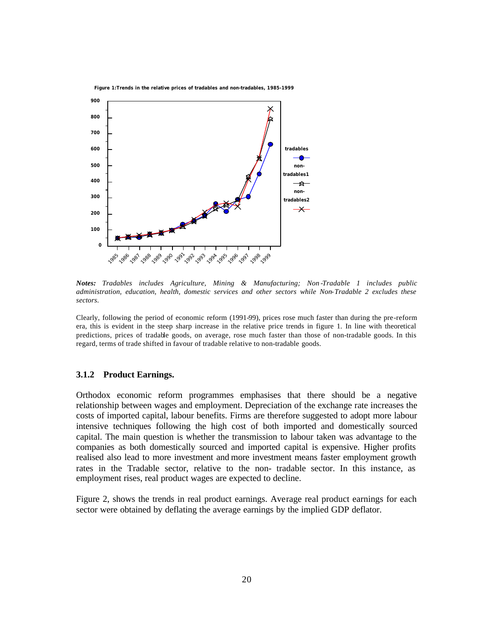

*Notes: Tradables includes Agriculture, Mining & Manufacturing; Non -Tradable 1 includes public administration, education, health, domestic services and other sectors while Non-Tradable 2 excludes these sectors.*

Clearly, following the period of economic reform (1991-99), prices rose much faster than during the pre-reform era, this is evident in the steep sharp increase in the relative price trends in figure 1. In line with theoretical predictions, prices of tradable goods, on average, rose much faster than those of non-tradable goods. In this regard, terms of trade shifted in favour of tradable relative to non-tradable goods.

### **3.1.2 Product Earnings.**

Orthodox economic reform programmes emphasises that there should be a negative relationship between wages and employment. Depreciation of the exchange rate increases the costs of imported capital, labour benefits. Firms are therefore suggested to adopt more labour intensive techniques following the high cost of both imported and domestically sourced capital. The main question is whether the transmission to labour taken was advantage to the companies as both domestically sourced and imported capital is expensive. Higher profits realised also lead to more investment and more investment means faster employment growth rates in the Tradable sector, relative to the non- tradable sector. In this instance, as employment rises, real product wages are expected to decline.

Figure 2, shows the trends in real product earnings. Average real product earnings for each sector were obtained by deflating the average earnings by the implied GDP deflator.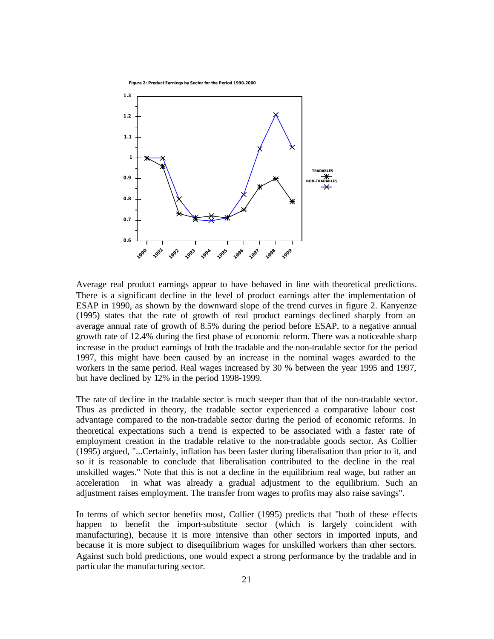**Figure 2: Product Earnings by Sector for the Period 1990-2000**



Average real product earnings appear to have behaved in line with theoretical predictions. There is a significant decline in the level of product earnings after the implementation of ESAP in 1990, as shown by the downward slope of the trend curves in figure 2. Kanyenze (1995) states that the rate of growth of real product earnings declined sharply from an average annual rate of growth of 8.5% during the period before ESAP, to a negative annual growth rate of 12.4% during the first phase of economic reform. There was a noticeable sharp increase in the product earnings of both the tradable and the non-tradable sector for the period 1997, this might have been caused by an increase in the nominal wages awarded to the workers in the same period. Real wages increased by 30 % between the year 1995 and 1997, but have declined by 12% in the period 1998-1999.

The rate of decline in the tradable sector is much steeper than that of the non-tradable sector. Thus as predicted in theory, the tradable sector experienced a comparative labour cost advantage compared to the non-tradable sector during the period of economic reforms. In theoretical expectations such a trend is expected to be associated with a faster rate of employment creation in the tradable relative to the non-tradable goods sector. As Collier (1995) argued, "...Certainly, inflation has been faster during liberalisation than prior to it, and so it is reasonable to conclude that liberalisation contributed to the decline in the real unskilled wages." Note that this is not a decline in the equilibrium real wage, but rather an acceleration in what was already a gradual adjustment to the equilibrium. Such an adjustment raises employment. The transfer from wages to profits may also raise savings".

In terms of which sector benefits most, Collier (1995) predicts that "both of these effects happen to benefit the import-substitute sector (which is largely coincident with manufacturing), because it is more intensive than other sectors in imported inputs, and because it is more subject to disequilibrium wages for unskilled workers than other sectors. Against such bold predictions, one would expect a strong performance by the tradable and in particular the manufacturing sector.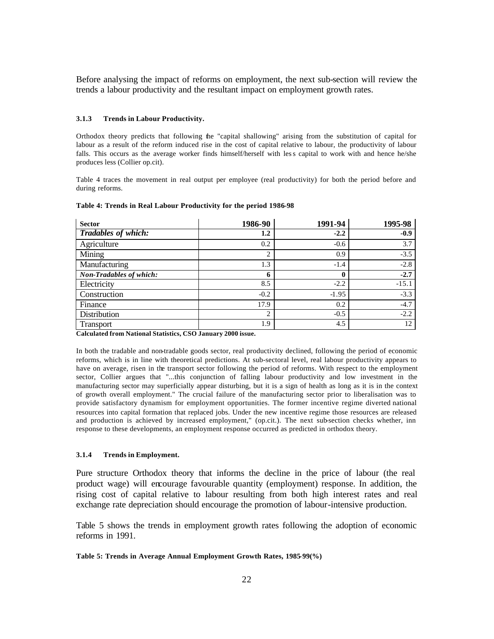Before analysing the impact of reforms on employment, the next sub-section will review the trends a labour productivity and the resultant impact on employment growth rates.

### **3.1.3 Trends in Labour Productivity.**

Orthodox theory predicts that following the "capital shallowing" arising from the substitution of capital for labour as a result of the reform induced rise in the cost of capital relative to labour, the productivity of labour falls. This occurs as the average worker finds himself/herself with less capital to work with and hence he/she produces less (Collier op.cit).

Table 4 traces the movement in real output per employee (real productivity) for both the period before and during reforms.

| <b>Sector</b>                  | 1986-90        | 1991-94     | 1995-98 |
|--------------------------------|----------------|-------------|---------|
| <b>Tradables of which:</b>     | 1.2            | $-2.2$      | $-0.9$  |
| Agriculture                    | 0.2            | $-0.6$      | 3.7     |
| Mining                         | $\overline{2}$ | 0.9         | $-3.5$  |
| Manufacturing                  | 1.3            | $-1.4$      | $-2.8$  |
| <b>Non-Tradables of which:</b> | 6              | $\mathbf 0$ | $-2.7$  |
| Electricity                    | 8.5            | $-2.2$      | $-15.1$ |
| Construction                   | $-0.2$         | $-1.95$     | $-3.3$  |
| Finance                        | 17.9           | 0.2         | $-4.7$  |
| Distribution                   | $\overline{2}$ | $-0.5$      | $-2.2$  |
| Transport                      | 1.9            | 4.5         | 12      |

#### **Table 4: Trends in Real Labour Productivity for the period 1986-98**

**Calculated from National Statistics, CSO January 2000 issue.**

In both the tradable and non-tradable goods sector, real productivity declined, following the period of economic reforms, which is in line with theoretical predictions. At sub-sectoral level, real labour productivity appears to have on average, risen in the transport sector following the period of reforms. With respect to the employment sector, Collier argues that "...this conjunction of falling labour productivity and low investment in the manufacturing sector may superficially appear disturbing, but it is a sign of health as long as it is in the context of growth overall employment." The crucial failure of the manufacturing sector prior to liberalisation was to provide satisfactory dynamism for employment opportunities. The former incentive regime diverted national resources into capital formation that replaced jobs. Under the new incentive regime those resources are released and production is achieved by increased employment," (op.cit.). The next sub-section checks whether, inn response to these developments, an employment response occurred as predicted in orthodox theory.

### **3.1.4 Trends in Employment.**

Pure structure Orthodox theory that informs the decline in the price of labour (the real product wage) will encourage favourable quantity (employment) response. In addition, the rising cost of capital relative to labour resulting from both high interest rates and real exchange rate depreciation should encourage the promotion of labour-intensive production.

Table 5 shows the trends in employment growth rates following the adoption of economic reforms in 1991.

### **Table 5: Trends in Average Annual Employment Growth Rates, 1985-99(%)**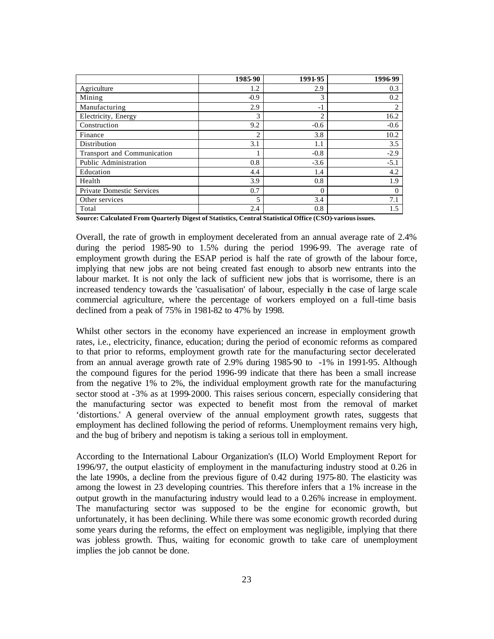|                                  | 1985-90        | 1991-95        | 1996-99        |
|----------------------------------|----------------|----------------|----------------|
| Agriculture                      | 1.2            | 2.9            | 0.3            |
| Mining                           | $-0.9$         | 3              | 0.2            |
| Manufacturing                    | 2.9            | $-1$           | $\overline{c}$ |
| Electricity, Energy              | 3              | $\overline{c}$ | 16.2           |
| Construction                     | 9.2            | $-0.6$         | $-0.6$         |
| Finance                          | $\mathfrak{D}$ | 3.8            | 10.2           |
| Distribution                     | 3.1            | 1.1            | 3.5            |
| Transport and Communication      |                | $-0.8$         | $-2.9$         |
| Public Administration            | 0.8            | $-3.6$         | $-5.1$         |
| Education                        | 4.4            | 1.4            | 4.2            |
| Health                           | 3.9            | 0.8            | 1.9            |
| <b>Private Domestic Services</b> | 0.7            | $\Omega$       | 0              |
| Other services                   |                | 3.4            | 7.1            |
| Total                            | 2.4            | 0.8            | 1.5            |

**Source: Calculated From Quarterly Digest of Statistics, Central Statistical Office (CSO)-various issues.**

Overall, the rate of growth in employment decelerated from an annual average rate of 2.4% during the period 1985-90 to 1.5% during the period 1996-99. The average rate of employment growth during the ESAP period is half the rate of growth of the labour force, implying that new jobs are not being created fast enough to absorb new entrants into the labour market. It is not only the lack of sufficient new jobs that is worrisome, there is an increased tendency towards the 'casualisation' of labour, especially in the case of large scale commercial agriculture, where the percentage of workers employed on a full-time basis declined from a peak of 75% in 1981-82 to 47% by 1998.

Whilst other sectors in the economy have experienced an increase in employment growth rates, i.e., electricity, finance, education; during the period of economic reforms as compared to that prior to reforms, employment growth rate for the manufacturing sector decelerated from an annual average growth rate of 2.9% during 1985-90 to -1% in 1991-95. Although the compound figures for the period 1996-99 indicate that there has been a small increase from the negative 1% to 2%, the individual employment growth rate for the manufacturing sector stood at -3% as at 1999-2000. This raises serious concern, especially considering that the manufacturing sector was expected to benefit most from the removal of market 'distortions.' A general overview of the annual employment growth rates, suggests that employment has declined following the period of reforms. Unemployment remains very high, and the bug of bribery and nepotism is taking a serious toll in employment.

According to the International Labour Organization's (ILO) World Employment Report for 1996/97, the output elasticity of employment in the manufacturing industry stood at 0.26 in the late 1990s, a decline from the previous figure of 0.42 during 1975-80. The elasticity was among the lowest in 23 developing countries. This therefore infers that a 1% increase in the output growth in the manufacturing industry would lead to a 0.26% increase in employment. The manufacturing sector was supposed to be the engine for economic growth, but unfortunately, it has been declining. While there was some economic growth recorded during some years during the reforms, the effect on employment was negligible, implying that there was jobless growth. Thus, waiting for economic growth to take care of unemployment implies the job cannot be done.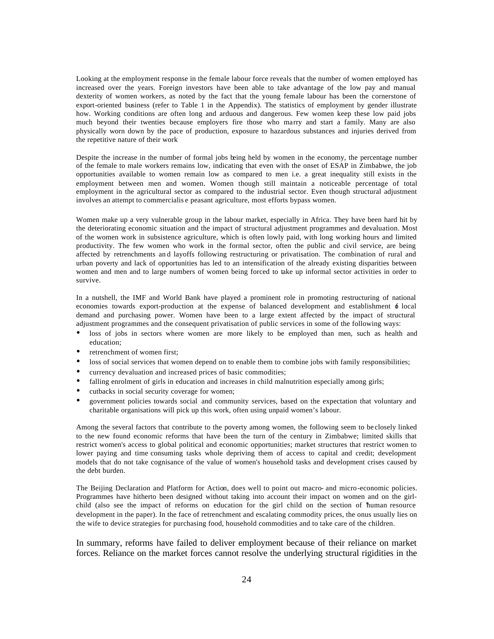Looking at the employment response in the female labour force reveals that the number of women employed has increased over the years. Foreign investors have been able to take advantage of the low pay and manual dexterity of women workers, as noted by the fact that the young female labour has been the cornerstone of export-oriented business (refer to Table 1 in the Appendix). The statistics of employment by gender illustrate how. Working conditions are often long and arduous and dangerous. Few women keep these low paid jobs much beyond their twenties because employers fire those who marry and start a family. Many are also physically worn down by the pace of production, exposure to hazardous substances and injuries derived from the repetitive nature of their work

Despite the increase in the number of formal jobs being held by women in the economy, the percentage number of the female to male workers remains low, indicating that even with the onset of ESAP in Zimbabwe, the job opportunities available to women remain low as compared to men i.e. a great inequality still exists in the employment between men and women. Women though still maintain a noticeable percentage of total employment in the agricultural sector as compared to the industrial sector. Even though structural adjustment involves an attempt to commercialis e peasant agriculture, most efforts bypass women.

Women make up a very vulnerable group in the labour market, especially in Africa. They have been hard hit by the deteriorating economic situation and the impact of structural adjustment programmes and devaluation. Most of the women work in subsistence agriculture, which is often lowly paid, with long working hours and limited productivity. The few women who work in the formal sector, often the public and civil service, are being affected by retrenchments an d layoffs following restructuring or privatisation. The combination of rural and urban poverty and lack of opportunities has led to an intensification of the already existing disparities between women and men and to large numbers of women being forced to take up informal sector activities in order to survive.

In a nutshell, the IMF and World Bank have played a prominent role in promoting restructuring of national economies towards export-production at the expense of balanced development and establishment  $\phi$  local demand and purchasing power. Women have been to a large extent affected by the impact of structural adjustment programmes and the consequent privatisation of public services in some of the following ways:

- loss of jobs in sectors where women are more likely to be employed than men, such as health and education;
- retrenchment of women first;
- loss of social services that women depend on to enable them to combine jobs with family responsibilities;
- currency devaluation and increased prices of basic commodities;
- falling enrolment of girls in education and increases in child malnutrition especially among girls;
- cutbacks in social security coverage for women;
- ü government policies towards social and community services, based on the expectation that voluntary and charitable organisations will pick up this work, often using unpaid women's labour.

Among the several factors that contribute to the poverty among women, the following seem to be closely linked to the new found economic reforms that have been the turn of the century in Zimbabwe; limited skills that restrict women's access to global political and economic opportunities; market structures that restrict women to lower paying and time consuming tasks whole depriving them of access to capital and credit; development models that do not take cognisance of the value of women's household tasks and development crises caused by the debt burden.

The Beijing Declaration and Platform for Action, does well to point out macro- and micro-economic policies. Programmes have hitherto been designed without taking into account their impact on women and on the girlchild (also see the impact of reforms on education for the girl child on the section of 'human resource development in the paper). In the face of retrenchment and escalating commodity prices, the onus usually lies on the wife to device strategies for purchasing food, household commodities and to take care of the children.

In summary, reforms have failed to deliver employment because of their reliance on market forces. Reliance on the market forces cannot resolve the underlying structural rigidities in the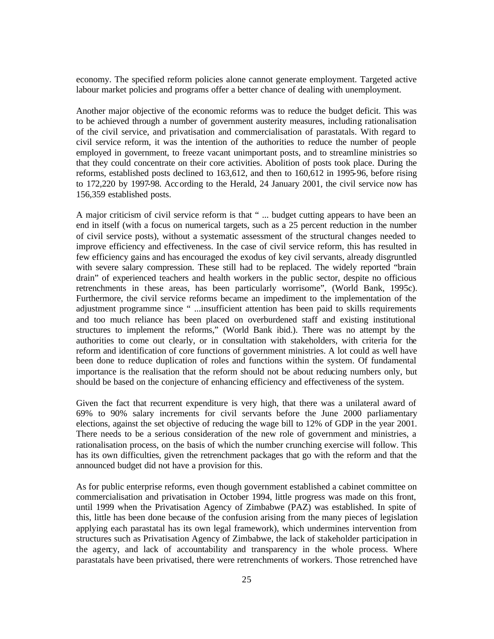economy. The specified reform policies alone cannot generate employment. Targeted active labour market policies and programs offer a better chance of dealing with unemployment.

Another major objective of the economic reforms was to reduce the budget deficit. This was to be achieved through a number of government austerity measures, including rationalisation of the civil service, and privatisation and commercialisation of parastatals. With regard to civil service reform, it was the intention of the authorities to reduce the number of people employed in government, to freeze vacant unimportant posts, and to streamline ministries so that they could concentrate on their core activities. Abolition of posts took place. During the reforms, established posts declined to 163,612, and then to 160,612 in 1995-96, before rising to 172,220 by 1997-98. According to the Herald, 24 January 2001, the civil service now has 156,359 established posts.

A major criticism of civil service reform is that " ... budget cutting appears to have been an end in itself (with a focus on numerical targets, such as a 25 percent reduction in the number of civil service posts), without a systematic assessment of the structural changes needed to improve efficiency and effectiveness. In the case of civil service reform, this has resulted in few efficiency gains and has encouraged the exodus of key civil servants, already disgruntled with severe salary compression. These still had to be replaced. The widely reported "brain drain" of experienced teachers and health workers in the public sector, despite no officious retrenchments in these areas, has been particularly worrisome", (World Bank, 1995c). Furthermore, the civil service reforms became an impediment to the implementation of the adjustment programme since " ...insufficient attention has been paid to skills requirements and too much reliance has been placed on overburdened staff and existing institutional structures to implement the reforms," (World Bank ibid.). There was no attempt by the authorities to come out clearly, or in consultation with stakeholders, with criteria for the reform and identification of core functions of government ministries. A lot could as well have been done to reduce duplication of roles and functions within the system. Of fundamental importance is the realisation that the reform should not be about reducing numbers only, but should be based on the conjecture of enhancing efficiency and effectiveness of the system.

Given the fact that recurrent expenditure is very high, that there was a unilateral award of 69% to 90% salary increments for civil servants before the June 2000 parliamentary elections, against the set objective of reducing the wage bill to 12% of GDP in the year 2001. There needs to be a serious consideration of the new role of government and ministries, a rationalisation process, on the basis of which the number crunching exercise will follow. This has its own difficulties, given the retrenchment packages that go with the reform and that the announced budget did not have a provision for this.

As for public enterprise reforms, even though government established a cabinet committee on commercialisation and privatisation in October 1994, little progress was made on this front, until 1999 when the Privatisation Agency of Zimbabwe (PAZ) was established. In spite of this, little has been done because of the confusion arising from the many pieces of legislation applying each parastatal has its own legal framework), which undermines intervention from structures such as Privatisation Agency of Zimbabwe, the lack of stakeholder participation in the agency, and lack of accountability and transparency in the whole process. Where parastatals have been privatised, there were retrenchments of workers. Those retrenched have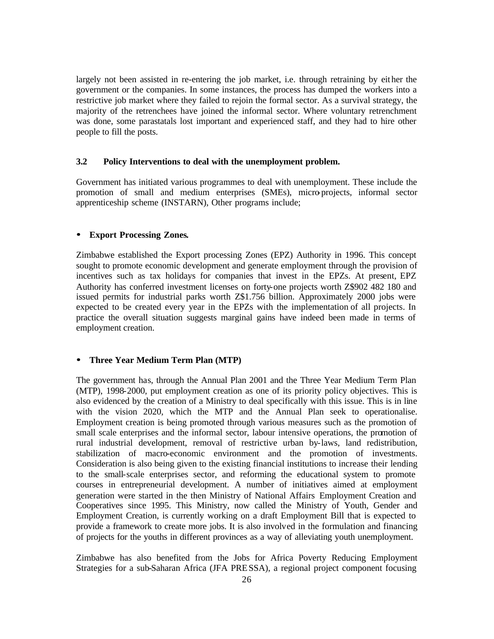largely not been assisted in re-entering the job market, i.e. through retraining by either the government or the companies. In some instances, the process has dumped the workers into a restrictive job market where they failed to rejoin the formal sector. As a survival strategy, the majority of the retrenchees have joined the informal sector. Where voluntary retrenchment was done, some parastatals lost important and experienced staff, and they had to hire other people to fill the posts.

## **3.2 Policy Interventions to deal with the unemployment problem.**

Government has initiated various programmes to deal with unemployment. These include the promotion of small and medium enterprises (SMEs), micro-projects, informal sector apprenticeship scheme (INSTARN), Other programs include;

### **ü Export Processing Zones.**

Zimbabwe established the Export processing Zones (EPZ) Authority in 1996. This concept sought to promote economic development and generate employment through the provision of incentives such as tax holidays for companies that invest in the EPZs. At present, EPZ Authority has conferred investment licenses on forty-one projects worth Z\$902 482 180 and issued permits for industrial parks worth Z\$1.756 billion. Approximately 2000 jobs were expected to be created every year in the EPZs with the implementation of all projects. In practice the overall situation suggests marginal gains have indeed been made in terms of employment creation.

### **ü Three Year Medium Term Plan (MTP)**

The government has, through the Annual Plan 2001 and the Three Year Medium Term Plan (MTP), 1998-2000, put employment creation as one of its priority policy objectives. This is also evidenced by the creation of a Ministry to deal specifically with this issue. This is in line with the vision 2020, which the MTP and the Annual Plan seek to operationalise. Employment creation is being promoted through various measures such as the promotion of small scale enterprises and the informal sector, labour intensive operations, the promotion of rural industrial development, removal of restrictive urban by-laws, land redistribution, stabilization of macro-economic environment and the promotion of investments. Consideration is also being given to the existing financial institutions to increase their lending to the small-scale enterprises sector, and reforming the educational system to promote courses in entrepreneurial development. A number of initiatives aimed at employment generation were started in the then Ministry of National Affairs Employment Creation and Cooperatives since 1995. This Ministry, now called the Ministry of Youth, Gender and Employment Creation, is currently working on a draft Employment Bill that is expected to provide a framework to create more jobs. It is also involved in the formulation and financing of projects for the youths in different provinces as a way of alleviating youth unemployment.

Zimbabwe has also benefited from the Jobs for Africa Poverty Reducing Employment Strategies for a sub-Saharan Africa (JFA PRESSA), a regional project component focusing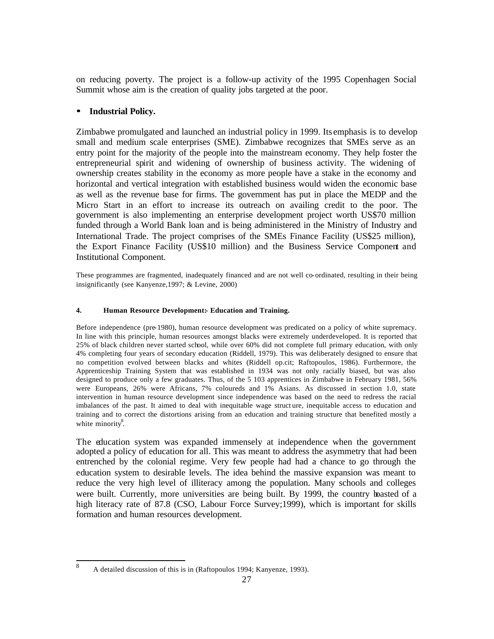on reducing poverty. The project is a follow-up activity of the 1995 Copenhagen Social Summit whose aim is the creation of quality jobs targeted at the poor.

## **ü Industrial Policy.**

Zimbabwe promulgated and launched an industrial policy in 1999. Its emphasis is to develop small and medium scale enterprises (SME). Zimbabwe recognizes that SMEs serve as an entry point for the majority of the people into the mainstream economy. They help foster the entrepreneurial spirit and widening of ownership of business activity. The widening of ownership creates stability in the economy as more people have a stake in the economy and horizontal and vertical integration with established business would widen the economic base as well as the revenue base for firms. The government has put in place the MEDP and the Micro Start in an effort to increase its outreach on availing credit to the poor. The government is also implementing an enterprise development project worth US\$70 million funded through a World Bank loan and is being administered in the Ministry of Industry and International Trade. The project comprises of the SMEs Finance Facility (US\$25 million), the Export Finance Facility (US\$10 million) and the Business Service Component and Institutional Component.

These programmes are fragmented, inadequately financed and are not well co-ordinated, resulting in their being insignificantly (see Kanyenze,1997; & Levine, 2000)

### **4. Human Resource Development:- Education and Training.**

Before independence (pre-1980), human resource development was predicated on a policy of white supremacy. In line with this principle, human resources amongst blacks were extremely underdeveloped. It is reported that 25% of black children never started school, while over 60% did not complete full primary education, with only 4% completing four years of secondary education (Riddell, 1979). This was deliberately designed to ensure that no competition evolved between blacks and whites (Riddell op.cit; Raftopoulos, 1986). Furthermore, the Apprenticeship Training System that was established in 1934 was not only racially biased, but was also designed to produce only a few graduates. Thus, of the 5 103 apprentices in Zimbabwe in February 1981, 56% were Europeans, 26% were Africans, 7% coloureds and 1% Asians. As discussed in section 1.0, state intervention in human resource development since independence was based on the need to redress the racial imbalances of the past. It aimed to deal with inequitable wage struct ure, inequitable access to education and training and to correct the distortions arising from an education and training structure that benefited mostly a white minority<sup>8</sup>.

The education system was expanded immensely at independence when the government adopted a policy of education for all. This was meant to address the asymmetry that had been entrenched by the colonial regime. Very few people had had a chance to go through the education system to desirable levels. The idea behind the massive expansion was meant to reduce the very high level of illiteracy among the population. Many schools and colleges were built. Currently, more universities are being built. By 1999, the country boasted of a high literacy rate of 87.8 (CSO, Labour Force Survey;1999), which is important for skills formation and human resources development.

 8 A detailed discussion of this is in (Raftopoulos 1994; Kanyenze, 1993).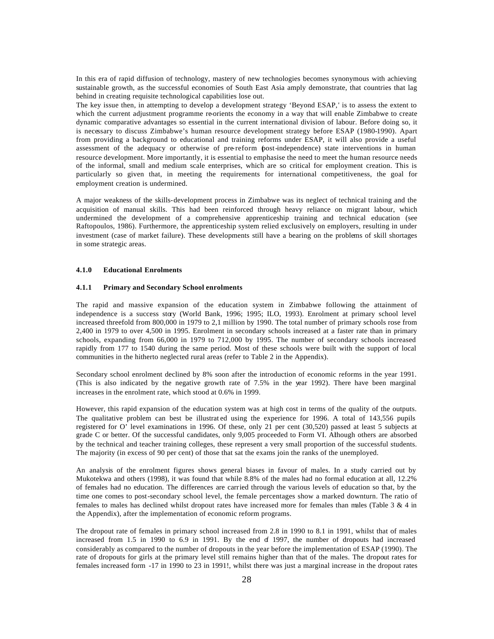In this era of rapid diffusion of technology, mastery of new technologies becomes synonymous with achieving sustainable growth, as the successful economies of South East Asia amply demonstrate, that countries that lag behind in creating requisite technological capabilities lose out.

The key issue then, in attempting to develop a development strategy 'Beyond ESAP,' is to assess the extent to which the current adjustment programme re-orients the economy in a way that will enable Zimbabwe to create dynamic comparative advantages so essential in the current international division of labour. Before doing so, it is necessary to discuss Zimbabwe's human resource development strategy before ESAP (1980-1990). Apart from providing a background to educational and training reforms under ESAP, it will also provide a useful assessment of the adequacy or otherwise of pre-reform (post-independence) state interventions in human resource development. More importantly, it is essential to emphasise the need to meet the human resource needs of the informal, small and medium scale enterprises, which are so critical for employment creation. This is particularly so given that, in meeting the requirements for international competitiveness, the goal for employment creation is undermined.

A major weakness of the skills-development process in Zimbabwe was its neglect of technical training and the acquisition of manual skills. This had been reinforced through heavy reliance on migrant labour, which undermined the development of a comprehensive apprenticeship training and technical education (see Raftopoulos, 1986). Furthermore, the apprenticeship system relied exclusively on employers, resulting in under investment (case of market failure). These developments still have a bearing on the problems of skill shortages in some strategic areas.

### **4.1.0 Educational Enrolments**

### **4.1.1 Primary and Secondary School enrolments**

The rapid and massive expansion of the education system in Zimbabwe following the attainment of independence is a success story (World Bank, 1996; 1995; ILO, 1993). Enrolment at primary school level increased threefold from 800,000 in 1979 to 2,1 million by 1990. The total number of primary schools rose from 2,400 in 1979 to over 4,500 in 1995. Enrolment in secondary schools increased at a faster rate than in primary schools, expanding from 66,000 in 1979 to 712,000 by 1995. The number of secondary schools increased rapidly from 177 to 1540 during the same period. Most of these schools were built with the support of local communities in the hitherto neglected rural areas (refer to Table 2 in the Appendix).

Secondary school enrolment declined by 8% soon after the introduction of economic reforms in the year 1991. (This is also indicated by the negative growth rate of 7.5% in the year 1992). There have been marginal increases in the enrolment rate, which stood at 0.6% in 1999.

However, this rapid expansion of the education system was at high cost in terms of the quality of the outputs. The qualitative problem can best be illustrated using the experience for 1996. A total of 143,556 pupils registered for O' level examinations in 1996. Of these, only 21 per cent (30,520) passed at least 5 subjects at grade C or better. Of the successful candidates, only 9,005 proceeded to Form VI. Although others are absorbed by the technical and teacher training colleges, these represent a very small proportion of the successful students. The majority (in excess of 90 per cent) of those that sat the exams join the ranks of the unemployed.

An analysis of the enrolment figures shows general biases in favour of males. In a study carried out by Mukotekwa and others (1998), it was found that while 8.8% of the males had no formal education at all, 12.2% of females had no education. The differences are carried through the various levels of education so that, by the time one comes to post-secondary school level, the female percentages show a marked downturn. The ratio of females to males has declined whilst dropout rates have increased more for females than males (Table 3 & 4 in the Appendix), after the implementation of economic reform programs.

The dropout rate of females in primary school increased from 2.8 in 1990 to 8.1 in 1991, whilst that of males increased from 1.5 in 1990 to 6.9 in 1991. By the end of 1997, the number of dropouts had increased considerably as compared to the number of dropouts in the year before the implementation of ESAP (1990). The rate of dropouts for girls at the primary level still remains higher than that of the males. The dropout rates for females increased form -17 in 1990 to 23 in 1991!, whilst there was just a marginal increase in the dropout rates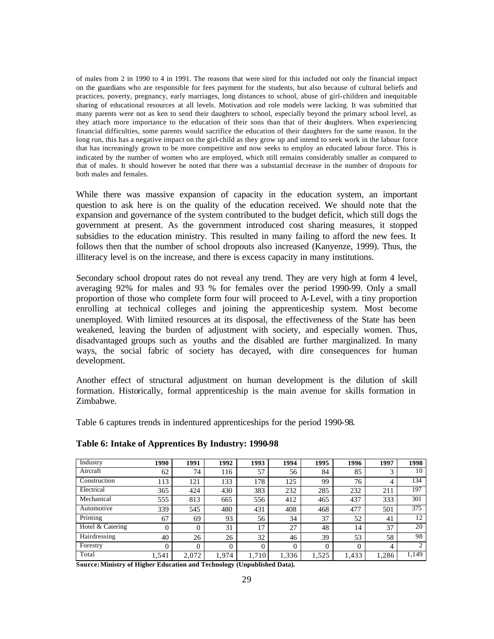of males from 2 in 1990 to 4 in 1991. The reasons that were sited for this included not only the financial impact on the guardians who are responsible for fees payment for the students, but also because of cultural beliefs and practices, poverty, pregnancy, early marriages, long distances to school, abuse of girl-children and inequitable sharing of educational resources at all levels. Motivation and role models were lacking. It was submitted that many parents were not as ken to send their daughters to school, especially beyond the primary school level, as they attach more importance to the education of their sons than that of their daughters. When experiencing financial difficulties, some parents would sacrifice the education of their daughters for the same reason. In the long run, this has a negative impact on the girl-child as they grow up and intend to seek work in the labour force that has increasingly grown to be more competitive and now seeks to employ an educated labour force. This is indicated by the number of women who are employed, which still remains considerably smaller as compared to that of males. It should however be noted that there was a substantial decrease in the number of dropouts for both males and females.

While there was massive expansion of capacity in the education system, an important question to ask here is on the quality of the education received. We should note that the expansion and governance of the system contributed to the budget deficit, which still dogs the government at present. As the government introduced cost sharing measures, it stopped subsidies to the education ministry. This resulted in many failing to afford the new fees. It follows then that the number of school dropouts also increased (Kanyenze, 1999). Thus, the illiteracy level is on the increase, and there is excess capacity in many institutions.

Secondary school dropout rates do not reveal any trend. They are very high at form 4 level, averaging 92% for males and 93 % for females over the period 1990-99. Only a small proportion of those who complete form four will proceed to A-Level, with a tiny proportion enrolling at technical colleges and joining the apprenticeship system. Most become unemployed. With limited resources at its disposal, the effectiveness of the State has been weakened, leaving the burden of adjustment with society, and especially women. Thus, disadvantaged groups such as youths and the disabled are further marginalized. In many ways, the social fabric of society has decayed, with dire consequences for human development.

Another effect of structural adjustment on human development is the dilution of skill formation. Historically, formal apprenticeship is the main avenue for skills formation in Zimbabwe.

Table 6 captures trends in indentured apprenticeships for the period 1990-98.

| Industry         | 1990     | 1991  | 1992  | 1993     | 1994  | 1995     | 1996     | 1997  | 1998  |
|------------------|----------|-------|-------|----------|-------|----------|----------|-------|-------|
| Aircraft         | 62       | 74    | 116   | 57       | 56    | 84       | 85       | っ     | 10    |
| Construction     | 113      | 121   | 133   | 178      | 125   | 99       | 76       | 4     | 134   |
| Electrical       | 365      | 424   | 430   | 383      | 232   | 285      | 232      | 211   | 197   |
| Mechanical       | 555      | 813   | 665   | 556      | 412   | 465      | 437      | 333   | 301   |
| Automotive       | 339      | 545   | 480   | 431      | 408   | 468      | 477      | 501   | 375   |
| Printing         | 67       | 69    | 93    | 56       | 34    | 37       | 52       | 41    | 12    |
| Hotel & Catering | $\Omega$ | 0     | 31    | 17       | 27    | 48       | 14       | 37    | 20    |
| Hairdressing     | 40       | 26    | 26    | 32       | 46    | 39       | 53       | 58    | 98    |
| Forestry         | 0        | 0     | 0     | $\theta$ |       | $\Omega$ | $\Omega$ | 4     | 2     |
| Total            | 1,541    | 2,072 | 1,974 | 1,710    | 1,336 | 1,525    | 1,433    | 1,286 | 1,149 |

## **Table 6: Intake of Apprentices By Industry: 1990-98**

**Source:Ministry of Higher Education and Technology (Unpublished Data).**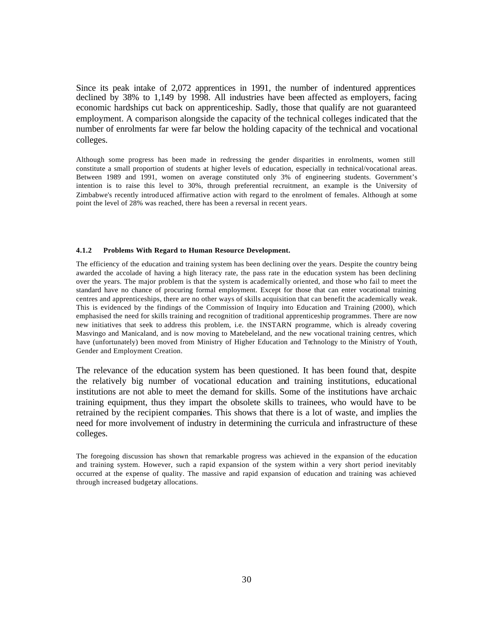Since its peak intake of 2,072 apprentices in 1991, the number of indentured apprentices declined by 38% to 1,149 by 1998. All industries have been affected as employers, facing economic hardships cut back on apprenticeship. Sadly, those that qualify are not guaranteed employment. A comparison alongside the capacity of the technical colleges indicated that the number of enrolments far were far below the holding capacity of the technical and vocational colleges.

Although some progress has been made in redressing the gender disparities in enrolments, women still constitute a small proportion of students at higher levels of education, especially in technical/vocational areas. Between 1989 and 1991, women on average constituted only 3% of engineering students. Government's intention is to raise this level to 30%, through preferential recruitment, an example is the University of Zimbabwe's recently introduced affirmative action with regard to the enrolment of females. Although at some point the level of 28% was reached, there has been a reversal in recent years.

### **4.1.2 Problems With Regard to Human Resource Development.**

The efficiency of the education and training system has been declining over the years. Despite the country being awarded the accolade of having a high literacy rate, the pass rate in the education system has been declining over the years. The major problem is that the system is academically oriented, and those who fail to meet the standard have no chance of procuring formal employment. Except for those that can enter vocational training centres and apprenticeships, there are no other ways of skills acquisition that can benefit the academically weak. This is evidenced by the findings of the Commission of Inquiry into Education and Training (2000), which emphasised the need for skills training and recognition of traditional apprenticeship programmes. There are now new initiatives that seek to address this problem, i.e. the INSTARN programme, which is already covering Masvingo and Manicaland, and is now moving to Matebeleland, and the new vocational training centres, which have (unfortunately) been moved from Ministry of Higher Education and Technology to the Ministry of Youth, Gender and Employment Creation.

The relevance of the education system has been questioned. It has been found that, despite the relatively big number of vocational education and training institutions, educational institutions are not able to meet the demand for skills. Some of the institutions have archaic training equipment, thus they impart the obsolete skills to trainees, who would have to be retrained by the recipient companies. This shows that there is a lot of waste, and implies the need for more involvement of industry in determining the curricula and infrastructure of these colleges.

The foregoing discussion has shown that remarkable progress was achieved in the expansion of the education and training system. However, such a rapid expansion of the system within a very short period inevitably occurred at the expense of quality. The massive and rapid expansion of education and training was achieved through increased budgetary allocations.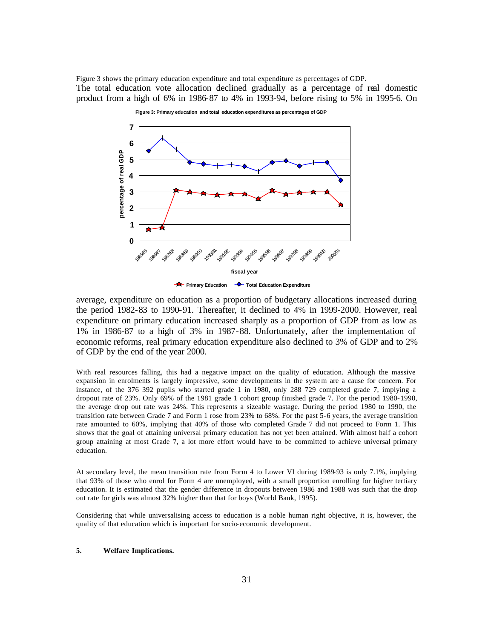Figure 3 shows the primary education expenditure and total expenditure as percentages of GDP. The total education vote allocation declined gradually as a percentage of real domestic product from a high of 6% in 1986-87 to 4% in 1993-94, before rising to 5% in 1995-6. On



average, expenditure on education as a proportion of budgetary allocations increased during the period 1982-83 to 1990-91. Thereafter, it declined to 4% in 1999-2000. However, real expenditure on primary education increased sharply as a proportion of GDP from as low as 1% in 1986-87 to a high of 3% in 1987-88. Unfortunately, after the implementation of economic reforms, real primary education expenditure also declined to 3% of GDP and to 2% of GDP by the end of the year 2000.

With real resources falling, this had a negative impact on the quality of education. Although the massive expansion in enrolments is largely impressive, some developments in the system are a cause for concern. For instance, of the 376 392 pupils who started grade 1 in 1980, only 288 729 completed grade 7, implying a dropout rate of 23%. Only 69% of the 1981 grade 1 cohort group finished grade 7. For the period 1980-1990, the average drop out rate was 24%. This represents a sizeable wastage. During the period 1980 to 1990, the transition rate between Grade 7 and Form 1 rose from 23% to 68%. For the past 5-6 years, the average transition rate amounted to 60%, implying that 40% of those who completed Grade 7 did not proceed to Form 1. This shows that the goal of attaining universal primary education has not yet been attained. With almost half a cohort group attaining at most Grade 7, a lot more effort would have to be committed to achieve universal primary education.

At secondary level, the mean transition rate from Form 4 to Lower VI during 1989-93 is only 7.1%, implying that 93% of those who enrol for Form 4 are unemployed, with a small proportion enrolling for higher tertiary education. It is estimated that the gender difference in dropouts between 1986 and 1988 was such that the drop out rate for girls was almost 32% higher than that for boys (World Bank, 1995).

Considering that while universalising access to education is a noble human right objective, it is, however, the quality of that education which is important for socio-economic development.

### **5. Welfare Implications.**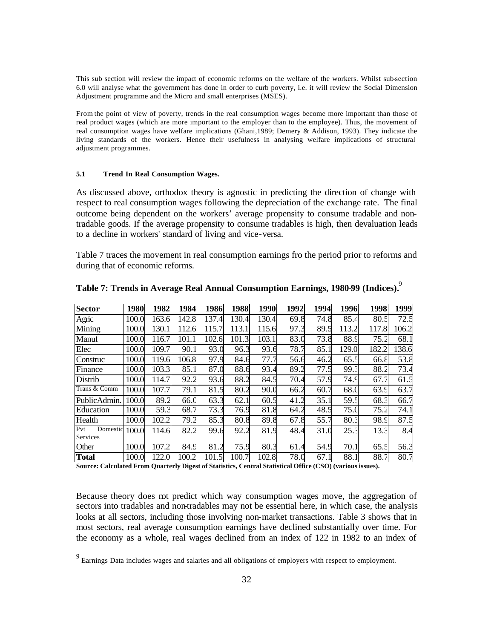This sub section will review the impact of economic reforms on the welfare of the workers. Whilst sub-section 6.0 will analyse what the government has done in order to curb poverty, i.e. it will review the Social Dimension Adjustment programme and the Micro and small enterprises (MSES).

From the point of view of poverty, trends in the real consumption wages become more important than those of real product wages (which are more important to the employer than to the employee). Thus, the movement of real consumption wages have welfare implications (Ghani,1989; Demery & Addison, 1993). They indicate the living standards of the workers. Hence their usefulness in analysing welfare implications of structural adjustment programmes.

### **5.1 Trend In Real Consumption Wages.**

As discussed above, orthodox theory is agnostic in predicting the direction of change with respect to real consumption wages following the depreciation of the exchange rate. The final outcome being dependent on the workers' average propensity to consume tradable and nontradable goods. If the average propensity to consume tradables is high, then devaluation leads to a decline in workers' standard of living and vice-versa.

Table 7 traces the movement in real consumption earnings fro the period prior to reforms and during that of economic reforms.

| <b>Sector</b>   | 1980  | 1982  | 1984  | 1986          | 1988  | 1990  | 1992 | 1994 | 1996  | 1998  | 1999  |
|-----------------|-------|-------|-------|---------------|-------|-------|------|------|-------|-------|-------|
| Agric           | 100.0 | 163.6 | 142.8 | 137.4         | 130.4 | 130.4 | 69.8 | 74.8 | 85.4  | 80.5  | 72.5  |
| Mining          | 100.0 | 130.  | 112.6 | 115.7         | 113.1 | 115.6 | 97.3 | 89.5 | 113.2 | 117.8 | 106.2 |
| Manuf           | 100.0 | 116.7 | 101.1 | 102.6         | 101.3 | 103.1 | 83.0 | 73.8 | 88.9  | 75.2  | 68.1  |
| Elec            | 100.0 | 109.7 | 90.1  | 93.C          | 96.3  | 93.6  | 78.7 | 85.1 | 129.0 | 182.2 | 138.6 |
| Construc        | 100.0 | 119.6 | 106.8 | 97.9          | 84.6  | 77.7  | 56.6 | 46.2 | 65.5  | 66.8  | 53.8  |
| Finance         | 100.0 | 103.3 | 85.1  | 87.C          | 88.6  | 93.4  | 89.2 | 77.5 | 99.3  | 88.2  | 73.4  |
| Distrib         | 100.0 | 114.7 | 92.2  | 93.6          | 88.2  | 84.5  | 70.4 | 57.9 | 74.9  | 67.7  | 61.5  |
| Trans & Comm    | 100.0 | 107.7 | 79.1  | 81.5          | 80.2  | 90.0  | 66.2 | 60.7 | 68.0  | 63.9  | 63.7  |
| PublicAdmin.    | 100.0 | 89.2  | 66.C  | 63.3          | 62.   | 60.5  | 41.2 | 35.1 | 59.5  | 68.3  | 66.7  |
| Education       | 100.0 | 59.3  | 68.7  | 73.3          | 76.9  | 81.8  | 64.2 | 48.5 | 75.C  | 75.2  | 74.1  |
| Health          | 100.0 | 102.2 | 79.2  | 85.3          | 80.8  | 89.8  | 67.8 | 55.7 | 80.3  | 98.9  | 87.5  |
| Pvt<br>Domestic | 100.0 | 114.6 | 82.2  | 99.6          | 92.2  | 81.9  | 48.4 | 31.C | 25.3  | 13.3  | 8.4   |
| Services        |       |       |       |               |       |       |      |      |       |       |       |
| Other           | 100.0 | 107.2 | 84.9  | $\cdot$<br>81 | 75.9  | 80.3  | 61.4 | 54.9 | 70.1  | 65.5  | 56.3  |
| <b>Total</b>    | 100.0 | 122.0 | 100.2 | 101.5         | 100.7 | 102.8 | 78.0 | 67.1 | 88.1  | 88.7  | 80.7  |

**Table 7: Trends in Average Real Annual Consumption Earnings, 1980-99 (Indices).**<sup>9</sup>

**Source: Calculated From Quarterly Digest of Statistics, Central Statistical Office (CSO) (various issues).**

Because theory does not predict which way consumption wages move, the aggregation of sectors into tradables and non-tradables may not be essential here, in which case, the analysis looks at all sectors, including those involving non-market transactions. Table 3 shows that in most sectors, real average consumption earnings have declined substantially over time. For the economy as a whole, real wages declined from an index of 122 in 1982 to an index of

<sup>9&</sup>lt;br>Earnings Data includes wages and salaries and all obligations of employers with respect to employment.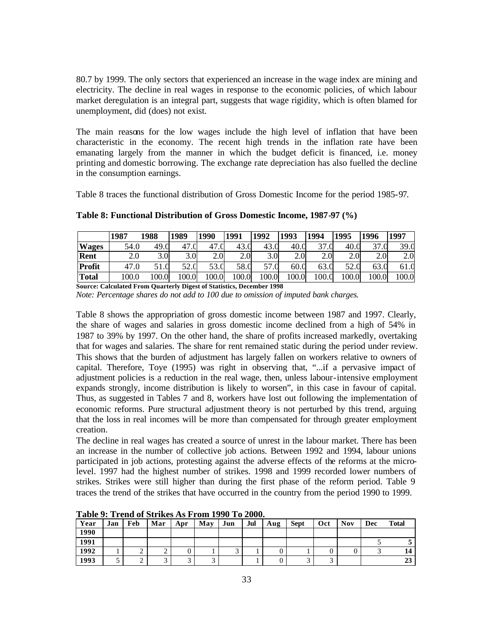80.7 by 1999. The only sectors that experienced an increase in the wage index are mining and electricity. The decline in real wages in response to the economic policies, of which labour market deregulation is an integral part, suggests that wage rigidity, which is often blamed for unemployment, did (does) not exist.

The main reasons for the low wages include the high level of inflation that have been characteristic in the economy. The recent high trends in the inflation rate have been emanating largely from the manner in which the budget deficit is financed, i.e. money printing and domestic borrowing. The exchange rate depreciation has also fuelled the decline in the consumption earnings.

Table 8 traces the functional distribution of Gross Domestic Income for the period 1985-97.

|              | 1987  | 1988             | 1989       | 1990  | 1991  | 1992             | 1993  | 1994  | 1995             | 1996  | 1997  |
|--------------|-------|------------------|------------|-------|-------|------------------|-------|-------|------------------|-------|-------|
| <b>Wages</b> | 54.0  | 49.C             | 47         | 47    | 43.C  | 43.0             | 40.0  | 37.C  | 40.0             | 37.0  | 39.0  |
| Rent         | 2.0   | 3.0 <sub>l</sub> | 3.0        | 2.0   | 2.0   | 3.0 <sub>l</sub> | 2.0   | 2.0   | 2.0 <sup>1</sup> | 2.0   | 2.0   |
| Profit       | 47.0  | 1.0              | 52<br>∪.∠ر | 53.0  | 58.0  | 57               | 60.0  | 63.C  | 52.0             | 63.U  | 61.0  |
| <b>Total</b> | 100.0 | 100.0            | 100.0      | 100.0 | 100.0 | 100.0            | 100.0 | 0.001 | 100.0            | 100.0 | 100.0 |

**Table 8: Functional Distribution of Gross Domestic Income, 1987-97 (%)** 

**Source: Calculated From Quarterly Digest of Statistics, December 1998** 

*Note: Percentage shares do not add to 100 due to omission of imputed bank charges.*

Table 8 shows the appropriation of gross domestic income between 1987 and 1997. Clearly, the share of wages and salaries in gross domestic income declined from a high of 54% in 1987 to 39% by 1997. On the other hand, the share of profits increased markedly, overtaking that for wages and salaries. The share for rent remained static during the period under review. This shows that the burden of adjustment has largely fallen on workers relative to owners of capital. Therefore, Toye (1995) was right in observing that, "...if a pervasive impact of adjustment policies is a reduction in the real wage, then, unless labour-intensive employment expands strongly, income distribution is likely to worsen", in this case in favour of capital. Thus, as suggested in Tables 7 and 8, workers have lost out following the implementation of economic reforms. Pure structural adjustment theory is not perturbed by this trend, arguing that the loss in real incomes will be more than compensated for through greater employment creation.

The decline in real wages has created a source of unrest in the labour market. There has been an increase in the number of collective job actions. Between 1992 and 1994, labour unions participated in job actions, protesting against the adverse effects of the reforms at the microlevel. 1997 had the highest number of strikes. 1998 and 1999 recorded lower numbers of strikes. Strikes were still higher than during the first phase of the reform period. Table 9 traces the trend of the strikes that have occurred in the country from the period 1990 to 1999.

| Year | Jan | Feb    | Mar | Apr | May | Jun | Jul | Aug | <b>Sept</b> | Oct | <b>Nov</b> | <b>Dec</b> | <b>Total</b> |
|------|-----|--------|-----|-----|-----|-----|-----|-----|-------------|-----|------------|------------|--------------|
| 1990 |     |        |     |     |     |     |     |     |             |     |            |            |              |
| 1991 |     |        |     |     |     |     |     |     |             |     |            |            |              |
| 1992 |     | ∸      |     |     |     |     |     |     |             | 0   |            |            |              |
| 1993 |     | ◠<br>∸ |     |     |     |     |     |     |             | ⌒   |            |            | 49           |

**Table 9: Trend of Strikes As From 1990 To 2000.**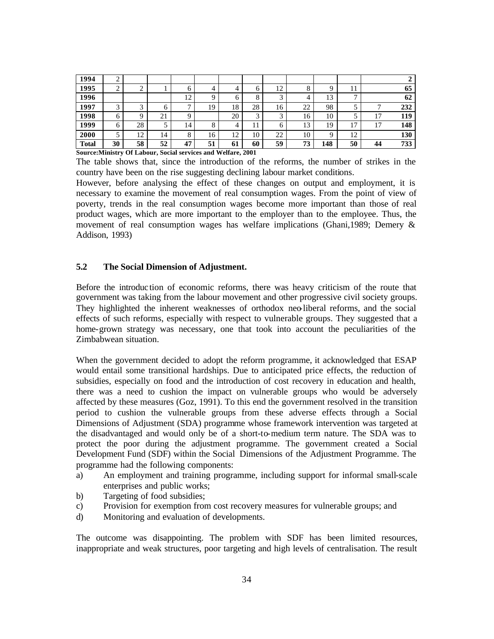| 1994         | ↵           |        |    |              |    |    |                    |    |    |     |              |    |     |
|--------------|-------------|--------|----|--------------|----|----|--------------------|----|----|-----|--------------|----|-----|
| 1995         | $\sim$<br>∸ | ◠      |    | O            | 4  | 4  | O                  | 12 | Ω  | Q   | 11           |    | 65  |
| 1996         |             |        |    | 12           | Q  | h  | 8                  | ⌒  | 4  | 13  | $\mathbf{r}$ |    | 62  |
| 1997         | ◠           | $\sim$ | h  | $\mathbf{r}$ | 19 | 18 | 28                 | 16 | 22 | 98  |              | −  | 232 |
| 1998         | 6           | Q      | 21 | Q            |    | 20 | $\mathcal{R}$<br>ر | ◠  | 16 | 10  |              | 17 | 119 |
| 1999         | 6           | 28     |    | 14           | 8  | 4  |                    | 6  | 13 | 19  | 17           | 17 | 148 |
| 2000         |             | 12     | 14 | 8            | 16 | 12 | 10                 | 22 | 10 | Q   | 12           |    | 130 |
| <b>Total</b> | 30          | 58     | 52 | 47           | 51 | 61 | 60                 | 59 | 73 | 148 | 50           | 44 | 733 |

**Source:Ministry Of Labour, Social services and Welfare, 2001**

The table shows that, since the introduction of the reforms, the number of strikes in the country have been on the rise suggesting declining labour market conditions.

However, before analysing the effect of these changes on output and employment, it is necessary to examine the movement of real consumption wages. From the point of view of poverty, trends in the real consumption wages become more important than those of real product wages, which are more important to the employer than to the employee. Thus, the movement of real consumption wages has welfare implications (Ghani,1989; Demery & Addison, 1993)

## **5.2 The Social Dimension of Adjustment.**

Before the introduc tion of economic reforms, there was heavy criticism of the route that government was taking from the labour movement and other progressive civil society groups. They highlighted the inherent weaknesses of orthodox neo-liberal reforms, and the social effects of such reforms, especially with respect to vulnerable groups. They suggested that a home-grown strategy was necessary, one that took into account the peculiarities of the Zimbabwean situation.

When the government decided to adopt the reform programme, it acknowledged that ESAP would entail some transitional hardships. Due to anticipated price effects, the reduction of subsidies, especially on food and the introduction of cost recovery in education and health, there was a need to cushion the impact on vulnerable groups who would be adversely affected by these measures (Goz, 1991). To this end the government resolved in the transition period to cushion the vulnerable groups from these adverse effects through a Social Dimensions of Adjustment (SDA) programme whose framework intervention was targeted at the disadvantaged and would only be of a short-to-medium term nature. The SDA was to protect the poor during the adjustment programme. The government created a Social Development Fund (SDF) within the Social Dimensions of the Adjustment Programme. The programme had the following components:

- a) An employment and training programme, including support for informal small-scale enterprises and public works;
- b) Targeting of food subsidies;
- c) Provision for exemption from cost recovery measures for vulnerable groups; and
- d) Monitoring and evaluation of developments.

The outcome was disappointing. The problem with SDF has been limited resources, inappropriate and weak structures, poor targeting and high levels of centralisation. The result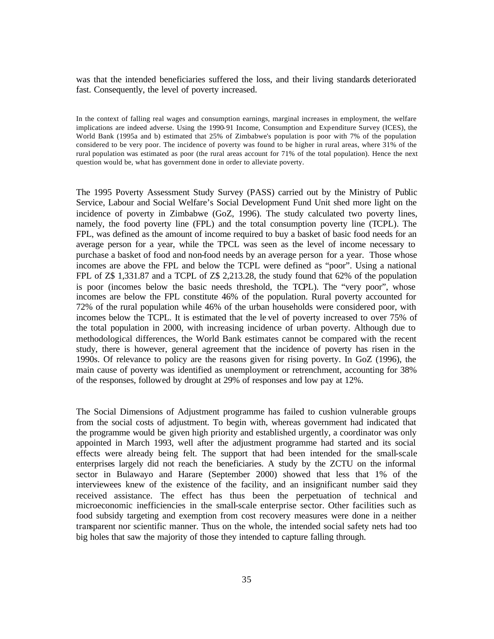was that the intended beneficiaries suffered the loss, and their living standards deteriorated fast. Consequently, the level of poverty increased.

In the context of falling real wages and consumption earnings, marginal increases in employment, the welfare implications are indeed adverse. Using the 1990-91 Income, Consumption and Expenditure Survey (ICES), the World Bank (1995a and b) estimated that 25% of Zimbabwe's population is poor with 7% of the population considered to be very poor. The incidence of poverty was found to be higher in rural areas, where 31% of the rural population was estimated as poor (the rural areas account for 71% of the total population). Hence the next question would be, what has government done in order to alleviate poverty.

The 1995 Poverty Assessment Study Survey (PASS) carried out by the Ministry of Public Service, Labour and Social Welfare's Social Development Fund Unit shed more light on the incidence of poverty in Zimbabwe (GoZ, 1996). The study calculated two poverty lines, namely, the food poverty line (FPL) and the total consumption poverty line (TCPL). The FPL, was defined as the amount of income required to buy a basket of basic food needs for an average person for a year, while the TPCL was seen as the level of income necessary to purchase a basket of food and non-food needs by an average person for a year. Those whose incomes are above the FPL and below the TCPL were defined as "poor". Using a national FPL of Z\$ 1,331.87 and a TCPL of Z\$ 2,213.28, the study found that 62% of the population is poor (incomes below the basic needs threshold, the TCPL). The "very poor", whose incomes are below the FPL constitute 46% of the population. Rural poverty accounted for 72% of the rural population while 46% of the urban households were considered poor, with incomes below the TCPL. It is estimated that the le vel of poverty increased to over 75% of the total population in 2000, with increasing incidence of urban poverty. Although due to methodological differences, the World Bank estimates cannot be compared with the recent study, there is however, general agreement that the incidence of poverty has risen in the 1990s. Of relevance to policy are the reasons given for rising poverty. In GoZ (1996), the main cause of poverty was identified as unemployment or retrenchment, accounting for 38% of the responses, followed by drought at 29% of responses and low pay at 12%.

The Social Dimensions of Adjustment programme has failed to cushion vulnerable groups from the social costs of adjustment. To begin with, whereas government had indicated that the programme would be given high priority and established urgently, a coordinator was only appointed in March 1993, well after the adjustment programme had started and its social effects were already being felt. The support that had been intended for the small-scale enterprises largely did not reach the beneficiaries. A study by the ZCTU on the informal sector in Bulawayo and Harare (September 2000) showed that less that 1% of the interviewees knew of the existence of the facility, and an insignificant number said they received assistance. The effect has thus been the perpetuation of technical and microeconomic inefficiencies in the small-scale enterprise sector. Other facilities such as food subsidy targeting and exemption from cost recovery measures were done in a neither transparent nor scientific manner. Thus on the whole, the intended social safety nets had too big holes that saw the majority of those they intended to capture falling through.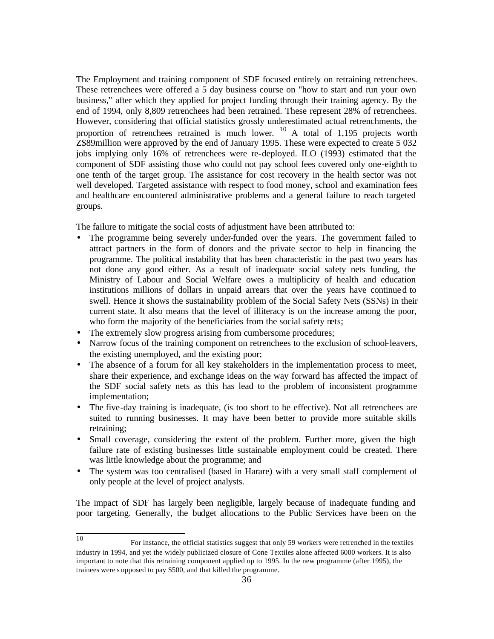The Employment and training component of SDF focused entirely on retraining retrenchees. These retrenchees were offered a 5 day business course on "how to start and run your own business," after which they applied for project funding through their training agency. By the end of 1994, only 8,809 retrenchees had been retrained. These represent 28% of retrenchees. However, considering that official statistics grossly underestimated actual retrenchments, the proportion of retrenchees retrained is much lower.  $^{10}$  A total of 1,195 projects worth Z\$89million were approved by the end of January 1995. These were expected to create 5 032 jobs implying only 16% of retrenchees were re-deployed. ILO (1993) estimated that the component of SDF assisting those who could not pay school fees covered only one-eighth to one tenth of the target group. The assistance for cost recovery in the health sector was not well developed. Targeted assistance with respect to food money, school and examination fees and healthcare encountered administrative problems and a general failure to reach targeted groups.

The failure to mitigate the social costs of adjustment have been attributed to:

- The programme being severely under-funded over the years. The government failed to attract partners in the form of donors and the private sector to help in financing the programme. The political instability that has been characteristic in the past two years has not done any good either. As a result of inadequate social safety nets funding, the Ministry of Labour and Social Welfare owes a multiplicity of health and education institutions millions of dollars in unpaid arrears that over the years have continued to swell. Hence it shows the sustainability problem of the Social Safety Nets (SSNs) in their current state. It also means that the level of illiteracy is on the increase among the poor, who form the majority of the beneficiaries from the social safety nets;
- The extremely slow progress arising from cumbersome procedures;
- Narrow focus of the training component on retrenchees to the exclusion of school-leavers, the existing unemployed, and the existing poor;
- The absence of a forum for all key stakeholders in the implementation process to meet, share their experience, and exchange ideas on the way forward has affected the impact of the SDF social safety nets as this has lead to the problem of inconsistent programme implementation;
- The five-day training is inadequate, (is too short to be effective). Not all retrenchees are suited to running businesses. It may have been better to provide more suitable skills retraining;
- Small coverage, considering the extent of the problem. Further more, given the high failure rate of existing businesses little sustainable employment could be created. There was little knowledge about the programme; and
- The system was too centralised (based in Harare) with a very small staff complement of only people at the level of project analysts.

The impact of SDF has largely been negligible, largely because of inadequate funding and poor targeting. Generally, the budget allocations to the Public Services have been on the

<sup>10</sup> <sup>10</sup> For instance, the official statistics suggest that only 59 workers were retrenched in the textiles industry in 1994, and yet the widely publicized closure of Cone Textiles alone affected 6000 workers. It is also important to note that this retraining component applied up to 1995. In the new programme (after 1995), the trainees were s upposed to pay \$500, and that killed the programme.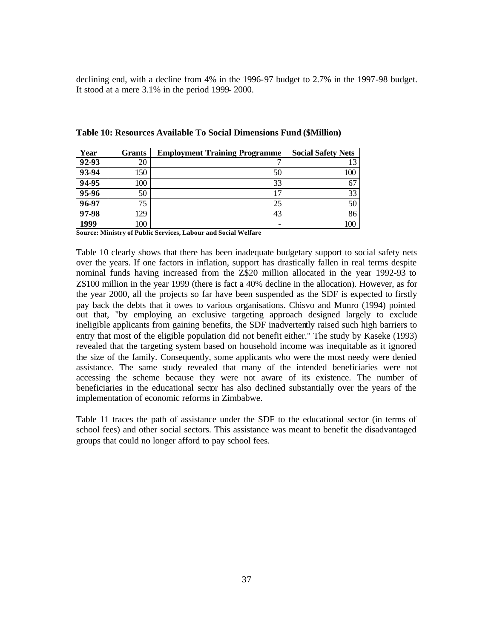declining end, with a decline from 4% in the 1996-97 budget to 2.7% in the 1997-98 budget. It stood at a mere 3.1% in the period 1999- 2000.

| Year  | <b>Grants</b> | <b>Employment Training Programme</b> | <b>Social Safety Nets</b> |
|-------|---------------|--------------------------------------|---------------------------|
| 92-93 | 20            |                                      |                           |
| 93-94 | 150           | 50                                   | 100                       |
| 94-95 | 100           | 33                                   | 67                        |
| 95-96 | 50            |                                      | 33                        |
| 96-97 | 75            | 25                                   | 50                        |
| 97-98 | 129           | 43                                   | 86                        |
| 1999  | 100           |                                      | 100                       |

**Table 10: Resources Available To Social Dimensions Fund (\$Million)**

**Source: Ministry of Public Services, Labour and Social Welfare**

Table 10 clearly shows that there has been inadequate budgetary support to social safety nets over the years. If one factors in inflation, support has drastically fallen in real terms despite nominal funds having increased from the Z\$20 million allocated in the year 1992-93 to Z\$100 million in the year 1999 (there is fact a 40% decline in the allocation). However, as for the year 2000, all the projects so far have been suspended as the SDF is expected to firstly pay back the debts that it owes to various organisations. Chisvo and Munro (1994) pointed out that, "by employing an exclusive targeting approach designed largely to exclude ineligible applicants from gaining benefits, the SDF inadvertently raised such high barriers to entry that most of the eligible population did not benefit either." The study by Kaseke (1993) revealed that the targeting system based on household income was inequitable as it ignored the size of the family. Consequently, some applicants who were the most needy were denied assistance. The same study revealed that many of the intended beneficiaries were not accessing the scheme because they were not aware of its existence. The number of beneficiaries in the educational sector has also declined substantially over the years of the implementation of economic reforms in Zimbabwe.

Table 11 traces the path of assistance under the SDF to the educational sector (in terms of school fees) and other social sectors. This assistance was meant to benefit the disadvantaged groups that could no longer afford to pay school fees.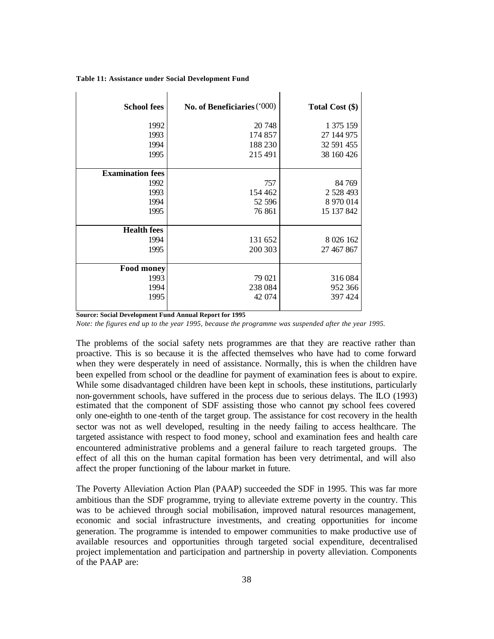| <b>School fees</b>      | No. of Beneficiaries ('000) | Total Cost (\$) |
|-------------------------|-----------------------------|-----------------|
| 1992                    | 20 748                      | 1 375 159       |
| 1993                    | 174 857                     | 27 144 975      |
| 1994                    | 188 230                     | 32 591 455      |
| 1995                    | 215 491                     | 38 160 426      |
|                         |                             |                 |
| <b>Examination fees</b> |                             |                 |
| 1992                    | 757                         | 84 769          |
| 1993                    | 154 462                     | 2 528 493       |
| 1994                    | 52 596                      | 8 970 014       |
| 1995                    | 76 861                      | 15 137 842      |
| <b>Health</b> fees      |                             |                 |
| 1994                    | 131 652                     | 8 0 26 1 62     |
| 1995                    | 200 303                     | 27 467 867      |
|                         |                             |                 |
| <b>Food money</b>       |                             |                 |
| 1993                    | 79 021                      | 316084          |
| 1994                    | 238 084                     | 952 366         |
| 1995                    | 42 074                      | 397424          |

**Table 11: Assistance under Social Development Fund**

**Source: Social Development Fund Annual Report for 1995**

*Note: the figures end up to the year 1995, because the programme was suspended after the year 1995.*

The problems of the social safety nets programmes are that they are reactive rather than proactive. This is so because it is the affected themselves who have had to come forward when they were desperately in need of assistance. Normally, this is when the children have been expelled from school or the deadline for payment of examination fees is about to expire. While some disadvantaged children have been kept in schools, these institutions, particularly non-government schools, have suffered in the process due to serious delays. The ILO (1993) estimated that the component of SDF assisting those who cannot pay school fees covered only one-eighth to one -tenth of the target group. The assistance for cost recovery in the health sector was not as well developed, resulting in the needy failing to access healthcare. The targeted assistance with respect to food money, school and examination fees and health care encountered administrative problems and a general failure to reach targeted groups. The effect of all this on the human capital formation has been very detrimental, and will also affect the proper functioning of the labour market in future.

The Poverty Alleviation Action Plan (PAAP) succeeded the SDF in 1995. This was far more ambitious than the SDF programme, trying to alleviate extreme poverty in the country. This was to be achieved through social mobilisation, improved natural resources management, economic and social infrastructure investments, and creating opportunities for income generation. The programme is intended to empower communities to make productive use of available resources and opportunities through targeted social expenditure, decentralised project implementation and participation and partnership in poverty alleviation. Components of the PAAP are: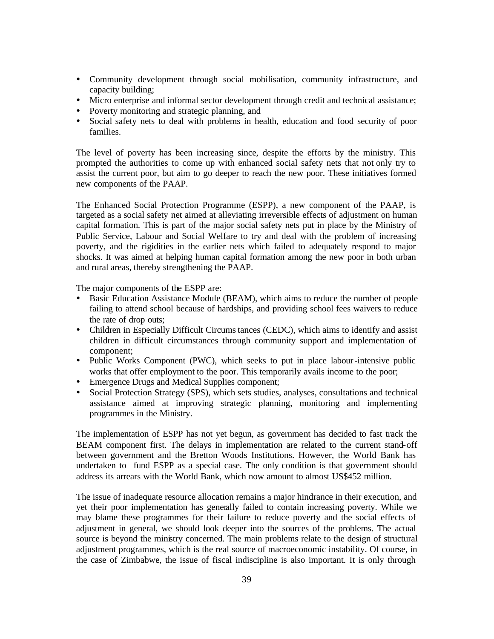- ü Community development through social mobilisation, community infrastructure, and capacity building;
- ü Micro enterprise and informal sector development through credit and technical assistance;
- Poverty monitoring and strategic planning, and
- Social safety nets to deal with problems in health, education and food security of poor families.

The level of poverty has been increasing since, despite the efforts by the ministry. This prompted the authorities to come up with enhanced social safety nets that not only try to assist the current poor, but aim to go deeper to reach the new poor. These initiatives formed new components of the PAAP.

The Enhanced Social Protection Programme (ESPP), a new component of the PAAP, is targeted as a social safety net aimed at alleviating irreversible effects of adjustment on human capital formation. This is part of the major social safety nets put in place by the Ministry of Public Service, Labour and Social Welfare to try and deal with the problem of increasing poverty, and the rigidities in the earlier nets which failed to adequately respond to major shocks. It was aimed at helping human capital formation among the new poor in both urban and rural areas, thereby strengthening the PAAP.

The major components of the ESPP are:

- ü Basic Education Assistance Module (BEAM), which aims to reduce the number of people failing to attend school because of hardships, and providing school fees waivers to reduce the rate of drop outs;
- Children in Especially Difficult Circums tances (CEDC), which aims to identify and assist children in difficult circumstances through community support and implementation of component;
- ü Public Works Component (PWC), which seeks to put in place labour-intensive public works that offer employment to the poor. This temporarily avails income to the poor;
- Emergence Drugs and Medical Supplies component;
- ü Social Protection Strategy (SPS), which sets studies, analyses, consultations and technical assistance aimed at improving strategic planning, monitoring and implementing programmes in the Ministry.

The implementation of ESPP has not yet begun, as government has decided to fast track the BEAM component first. The delays in implementation are related to the current stand-off between government and the Bretton Woods Institutions. However, the World Bank has undertaken to fund ESPP as a special case. The only condition is that government should address its arrears with the World Bank, which now amount to almost US\$452 million.

The issue of inadequate resource allocation remains a major hindrance in their execution, and yet their poor implementation has generally failed to contain increasing poverty. While we may blame these programmes for their failure to reduce poverty and the social effects of adjustment in general, we should look deeper into the sources of the problems. The actual source is beyond the ministry concerned. The main problems relate to the design of structural adjustment programmes, which is the real source of macroeconomic instability. Of course, in the case of Zimbabwe, the issue of fiscal indiscipline is also important. It is only through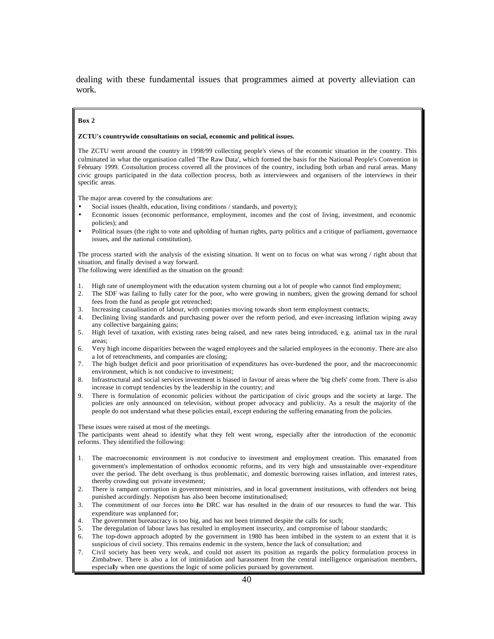dealing with these fundamental issues that programmes aimed at poverty alleviation can work.

#### **Box 2**

#### **ZCTU's countrywide consultations on social, economic and political issues.**

The ZCTU went around the country in 1998/99 collecting people's views of the economic situation in the country. This culminated in what the organisation called 'The Raw Data', which formed the basis for the National People's Convention in February 1999. Consultation process covered all the provinces of the country, including both urban and rural areas. Many civic groups participated in the data collection process, both as interviewees and organisers of the interviews in their specific areas.

The major areas covered by the consultations are:

- Social issues (health, education, living conditions / standards, and poverty);
- Economic issues (economic performance, employment, incomes and the cost of living, investment, and economic policies); and
- Political issues (the right to vote and upholding of human rights, party politics and a critique of parliament, governance issues, and the national constitution).

The process started with the analysis of the existing situation. It went on to focus on what was wrong / right about that situation, and finally devised a way forward.

The following were identified as the situation on the ground:

- 1. High rate of unemployment with the education system churning out a lot of people who cannot find employment;
- 2. The SDF was failing to fully cater for the poor, who were growing in numbers, given the growing demand for school fees from the fund as people got retrenched;
- 3. Increasing casualisation of labour, with companies moving towards short term employment contracts;
- 4. Declining living standards and purchasing power over the reform period, and ever-increasing inflation wiping away any collective bargaining gains;
- 5. High level of taxation, with existing rates being raised, and new rates being introduced, e.g. animal tax in the rural areas;
- 6. Very high income disparities between the waged employees and the salaried employees in the economy. There are also a lot of retrenchments, and companies are closing;
- 7. The high budget deficit and poor prioritisation of expenditures has over-burdened the poor, and the macroeconomic environment, which is not conducive to investment;
- 8. Infrastructural and social services investment is biased in favour of areas where the 'big chefs' come from. There is also increase in corrupt tendencies by the leadership in the country; and
- There is formulation of economic policies without the participation of civic groups and the society at large. The policies are only announced on television, without proper advocacy and publicity. As a result the majority of the people do not understand what these policies entail, except enduring the suffering emanating from the policies.

These issues were raised at most of the meetings.

The participants went ahead to identify what they felt went wrong, especially after the introduction of the economic reforms. They identified the following:

- 1. The macroeconomic environment is not conducive to investment and employment creation. This emanated from government's implementation of orthodox economic reforms, and its very high and unsustainable over-expenditure over the period. The debt overhang is thus problematic, and domestic borrowing raises inflation, and interest rates, thereby crowding out private investment;
- 2. There is rampant corruption in government ministries, and in local government institutions, with offenders not being punished accordingly. Nepotism has also been become institutionalised;
- 3. The commitment of our forces into the DRC war has resulted in the drain of our resources to fund the war. This expenditure was unplanned for;
- 4. The government bureaucracy is too big, and has not been trimmed despite the calls for such;
- 5. The deregulation of labour laws has resulted in employment insecurity, and compromise of labour standards;
- 6. The top-down approach adopted by the government in 1980 has been imbibed in the system to an extent that it is suspicious of civil society. This remains endemic in the system, hence the lack of consultation; and
- 7. Civil society has been very weak, and could not assert its position as regards the policy formulation process in Zimbabwe. There is also a lot of intimidation and harassment from the central intelligence organisation members, especially when one questions the logic of some policies pursued by government.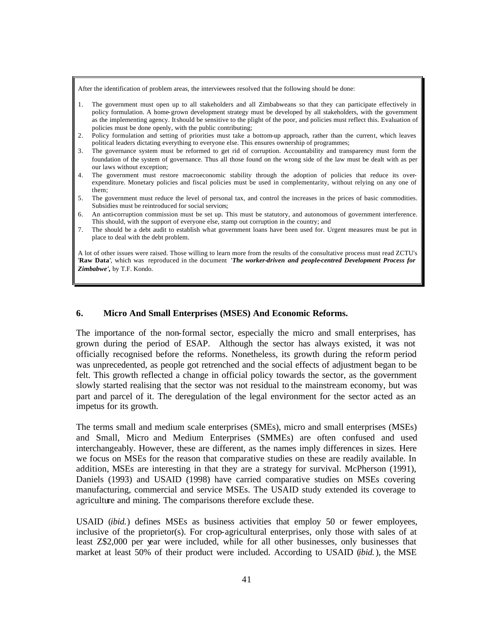After the identification of problem areas, the interviewees resolved that the following should be done:

- 1. The government must open up to all stakeholders and all Zimbabweans so that they can participate effectively in policy formulation. A home-grown development strategy must be developed by all stakeholders, with the government as the implementing agency. It should be sensitive to the plight of the poor, and policies must reflect this. Evaluation of policies must be done openly, with the public contributing;
- 2. Policy formulation and setting of priorities must take a bottom-up approach, rather than the current, which leaves political leaders dictating everything to everyone else. This ensures ownership of programmes;
- 3. The governance system must be reformed to get rid of corruption. Accountability and transparency must form the foundation of the system of governance. Thus all those found on the wrong side of the law must be dealt with as per our laws without exception;
- 4. The government must restore macroeconomic stability through the adoption of policies that reduce its overexpenditure. Monetary policies and fiscal policies must be used in complementarity, without relying on any one of them;
- 5. The government must reduce the level of personal tax, and control the increases in the prices of basic commodities. Subsidies must be reintroduced for social services;
- 6. An anti-corruption commission must be set up. This must be statutory, and autonomous of government interference. This should, with the support of everyone else, stamp out corruption in the country; and
- 7. The should be a debt audit to establish what government loans have been used for. Urgent measures must be put in place to deal with the debt problem.

A lot of other issues were raised. Those willing to learn more from the results of the consultative process must read ZCTU's '**Raw Data'**, which was reproduced in the document *'The worker-driven and people-centred Development Process for Zimbabwe',* by T.F. Kondo.

### **6. Micro And Small Enterprises (MSES) And Economic Reforms.**

The importance of the non-formal sector, especially the micro and small enterprises, has grown during the period of ESAP. Although the sector has always existed, it was not officially recognised before the reforms. Nonetheless, its growth during the reform period was unprecedented, as people got retrenched and the social effects of adjustment began to be felt. This growth reflected a change in official policy towards the sector, as the government slowly started realising that the sector was not residual to the mainstream economy, but was part and parcel of it. The deregulation of the legal environment for the sector acted as an impetus for its growth.

The terms small and medium scale enterprises (SMEs), micro and small enterprises (MSEs) and Small, Micro and Medium Enterprises (SMMEs) are often confused and used interchangeably. However, these are different, as the names imply differences in sizes. Here we focus on MSEs for the reason that comparative studies on these are readily available. In addition, MSEs are interesting in that they are a strategy for survival. McPherson (1991), Daniels (1993) and USAID (1998) have carried comparative studies on MSEs covering manufacturing, commercial and service MSEs. The USAID study extended its coverage to agriculture and mining. The comparisons therefore exclude these.

USAID (*ibid.*) defines MSEs as business activities that employ 50 or fewer employees, inclusive of the proprietor(s). For crop-agricultural enterprises, only those with sales of at least Z\$2,000 per year were included, while for all other businesses, only businesses that market at least 50% of their product were included. According to USAID (*ibid.*), the MSE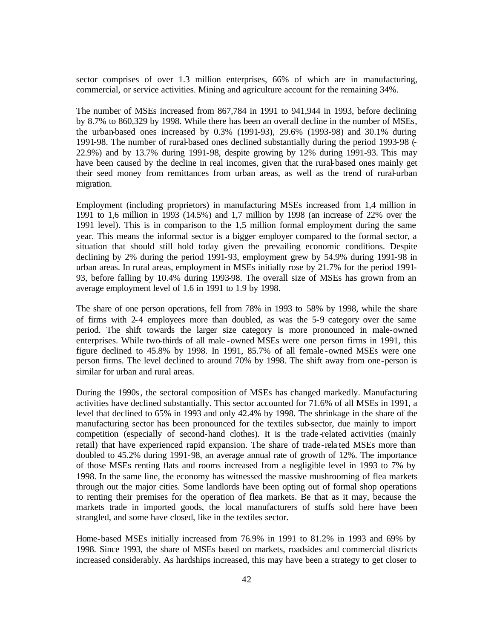sector comprises of over 1.3 million enterprises, 66% of which are in manufacturing, commercial, or service activities. Mining and agriculture account for the remaining 34%.

The number of MSEs increased from 867,784 in 1991 to 941,944 in 1993, before declining by 8.7% to 860,329 by 1998. While there has been an overall decline in the number of MSEs, the urban-based ones increased by 0.3% (1991-93), 29.6% (1993-98) and 30.1% during 1991-98. The number of rural-based ones declined substantially during the period 1993-98 (- 22.9%) and by 13.7% during 1991-98, despite growing by 12% during 1991-93. This may have been caused by the decline in real incomes, given that the rural-based ones mainly get their seed money from remittances from urban areas, as well as the trend of rural-urban migration.

Employment (including proprietors) in manufacturing MSEs increased from 1,4 million in 1991 to 1,6 million in 1993 (14.5%) and 1,7 million by 1998 (an increase of 22% over the 1991 level). This is in comparison to the 1,5 million formal employment during the same year. This means the informal sector is a bigger employer compared to the formal sector, a situation that should still hold today given the prevailing economic conditions. Despite declining by 2% during the period 1991-93, employment grew by 54.9% during 1991-98 in urban areas. In rural areas, employment in MSEs initially rose by 21.7% for the period 1991- 93, before falling by 10.4% during 1993-98. The overall size of MSEs has grown from an average employment level of 1.6 in 1991 to 1.9 by 1998.

The share of one person operations, fell from 78% in 1993 to 58% by 1998, while the share of firms with 2-4 employees more than doubled, as was the 5-9 category over the same period. The shift towards the larger size category is more pronounced in male-owned enterprises. While two-thirds of all male -owned MSEs were one person firms in 1991, this figure declined to 45.8% by 1998. In 1991, 85.7% of all female -owned MSEs were one person firms. The level declined to around 70% by 1998. The shift away from one-person is similar for urban and rural areas.

During the 1990s, the sectoral composition of MSEs has changed markedly. Manufacturing activities have declined substantially. This sector accounted for 71.6% of all MSEs in 1991, a level that declined to 65% in 1993 and only 42.4% by 1998. The shrinkage in the share of the manufacturing sector has been pronounced for the textiles sub-sector, due mainly to import competition (especially of second-hand clothes). It is the trade -related activities (mainly retail) that have experienced rapid expansion. The share of trade-rela ted MSEs more than doubled to 45.2% during 1991-98, an average annual rate of growth of 12%. The importance of those MSEs renting flats and rooms increased from a negligible level in 1993 to 7% by 1998. In the same line, the economy has witnessed the massive mushrooming of flea markets through out the major cities. Some landlords have been opting out of formal shop operations to renting their premises for the operation of flea markets. Be that as it may, because the markets trade in imported goods, the local manufacturers of stuffs sold here have been strangled, and some have closed, like in the textiles sector.

Home-based MSEs initially increased from 76.9% in 1991 to 81.2% in 1993 and 69% by 1998. Since 1993, the share of MSEs based on markets, roadsides and commercial districts increased considerably. As hardships increased, this may have been a strategy to get closer to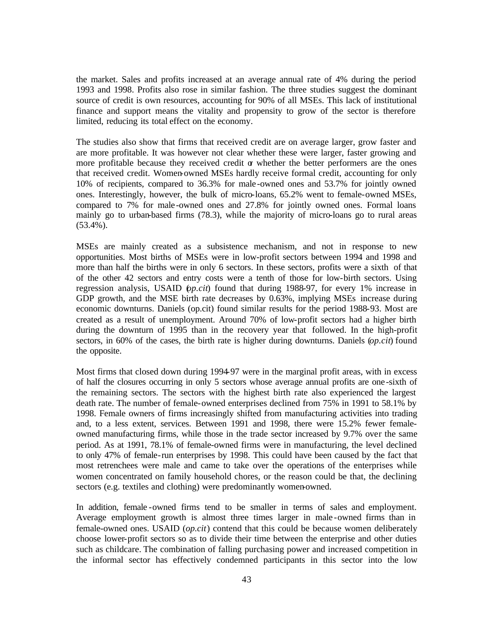the market. Sales and profits increased at an average annual rate of 4% during the period 1993 and 1998. Profits also rose in similar fashion. The three studies suggest the dominant source of credit is own resources, accounting for 90% of all MSEs. This lack of institutional finance and support means the vitality and propensity to grow of the sector is therefore limited, reducing its total effect on the economy.

The studies also show that firms that received credit are on average larger, grow faster and are more profitable. It was however not clear whether these were larger, faster growing and more profitable because they received credit  $\alpha$  whether the better performers are the ones that received credit. Women-owned MSEs hardly receive formal credit, accounting for only 10% of recipients, compared to 36.3% for male -owned ones and 53.7% for jointly owned ones. Interestingly, however, the bulk of micro-loans, 65.2% went to female-owned MSEs, compared to 7% for male -owned ones and 27.8% for jointly owned ones. Formal loans mainly go to urban-based firms (78.3), while the majority of micro-loans go to rural areas (53.4%).

MSEs are mainly created as a subsistence mechanism, and not in response to new opportunities. Most births of MSEs were in low-profit sectors between 1994 and 1998 and more than half the births were in only 6 sectors. In these sectors, profits were a sixth of that of the other 42 sectors and entry costs were a tenth of those for low-birth sectors. Using regression analysis, USAID (*op.cit*) found that during 1988-97, for every 1% increase in GDP growth, and the MSE birth rate decreases by 0.63%, implying MSEs increase during economic downturns. Daniels (op.cit) found similar results for the period 1988-93. Most are created as a result of unemployment. Around 70% of low-profit sectors had a higher birth during the downturn of 1995 than in the recovery year that followed. In the high-profit sectors, in 60% of the cases, the birth rate is higher during downturns. Daniels (*op.cit*) found the opposite.

Most firms that closed down during 1994-97 were in the marginal profit areas, with in excess of half the closures occurring in only 5 sectors whose average annual profits are one -sixth of the remaining sectors. The sectors with the highest birth rate also experienced the largest death rate. The number of female-owned enterprises declined from 75% in 1991 to 58.1% by 1998. Female owners of firms increasingly shifted from manufacturing activities into trading and, to a less extent, services. Between 1991 and 1998, there were 15.2% fewer femaleowned manufacturing firms, while those in the trade sector increased by 9.7% over the same period. As at 1991, 78.1% of female-owned firms were in manufacturing, the level declined to only 47% of female-run enterprises by 1998. This could have been caused by the fact that most retrenchees were male and came to take over the operations of the enterprises while women concentrated on family household chores, or the reason could be that, the declining sectors (e.g. textiles and clothing) were predominantly women-owned.

In addition, female -owned firms tend to be smaller in terms of sales and employment. Average employment growth is almost three times larger in male -owned firms than in female-owned ones. USAID (*op.cit*) contend that this could be because women deliberately choose lower-profit sectors so as to divide their time between the enterprise and other duties such as childcare. The combination of falling purchasing power and increased competition in the informal sector has effectively condemned participants in this sector into the low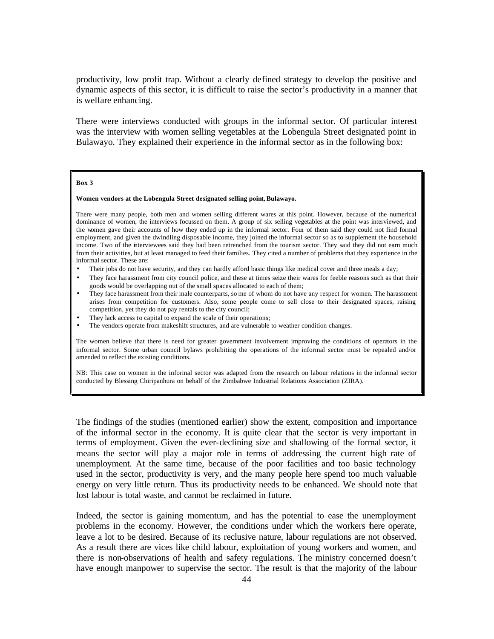productivity, low profit trap. Without a clearly defined strategy to develop the positive and dynamic aspects of this sector, it is difficult to raise the sector's productivity in a manner that is welfare enhancing.

There were interviews conducted with groups in the informal sector. Of particular interest was the interview with women selling vegetables at the Lobengula Street designated point in Bulawayo. They explained their experience in the informal sector as in the following box:

#### **Box 3**

### **Women vendors at the Lobengula Street designated selling point, Bulawayo.**

There were many people, both men and women selling different wares at this point. However, because of the numerical dominance of women, the interviews focussed on them. A group of six selling vegetables at the point was interviewed, and the women gave their accounts of how they ended up in the informal sector. Four of them said they could not find formal employment, and given the dwindling disposable income, they joined the informal sector so as to supplement the household income. Two of the interviewees said they had been retrenched from the tourism sector. They said they did not earn much from their activities, but at least managed to feed their families. They cited a number of problems that they experience in the informal sector. These are:

- Their jobs do not have security, and they can hardly afford basic things like medical cover and three meals a day;
- They face harassment from city council police, and these at times seize their wares for feeble reasons such as that their goods would be overlapping out of the small spaces allocated to each of them;
- They face harassment from their male counterparts, so me of whom do not have any respect for women. The harassment arises from competition for customers. Also, some people come to sell close to their designated spaces, raising competition, yet they do not pay rentals to the city council;
- They lack access to capital to expand the scale of their operations:
- The vendors operate from makeshift structures, and are vulnerable to weather condition changes.

The women believe that there is need for greater government involvement improving the conditions of operators in the informal sector. Some urban council bylaws prohibiting the operations of the informal sector must be repealed and/or amended to reflect the existing conditions.

NB: This case on women in the informal sector was adapted from the research on labour relations in the informal sector conducted by Blessing Chiripanhura on behalf of the Zimbabwe Industrial Relations Association (ZIRA).

The findings of the studies (mentioned earlier) show the extent, composition and importance of the informal sector in the economy. It is quite clear that the sector is very important in terms of employment. Given the ever-declining size and shallowing of the formal sector, it means the sector will play a major role in terms of addressing the current high rate of unemployment. At the same time, because of the poor facilities and too basic technology used in the sector, productivity is very, and the many people here spend too much valuable energy on very little return. Thus its productivity needs to be enhanced. We should note that lost labour is total waste, and cannot be reclaimed in future.

Indeed, the sector is gaining momentum, and has the potential to ease the unemployment problems in the economy. However, the conditions under which the workers there operate, leave a lot to be desired. Because of its reclusive nature, labour regulations are not observed. As a result there are vices like child labour, exploitation of young workers and women, and there is non-observations of health and safety regulations. The ministry concerned doesn't have enough manpower to supervise the sector. The result is that the majority of the labour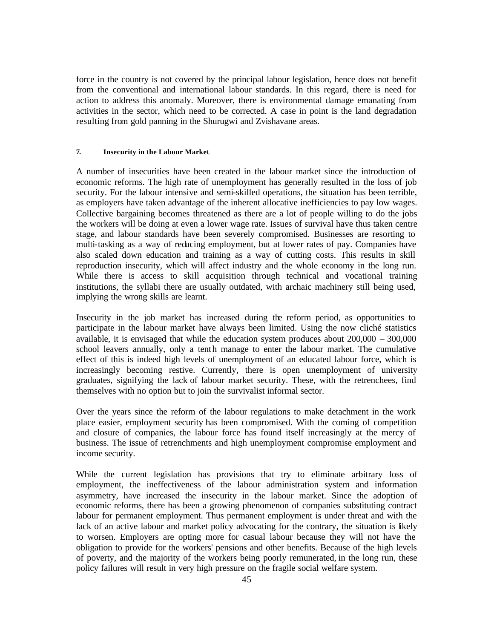force in the country is not covered by the principal labour legislation, hence does not benefit from the conventional and international labour standards. In this regard, there is need for action to address this anomaly. Moreover, there is environmental damage emanating from activities in the sector, which need to be corrected. A case in point is the land degradation resulting from gold panning in the Shurugwi and Zvishavane areas.

### **7. Insecurity in the Labour Market**.

A number of insecurities have been created in the labour market since the introduction of economic reforms. The high rate of unemployment has generally resulted in the loss of job security. For the labour intensive and semi-skilled operations, the situation has been terrible, as employers have taken advantage of the inherent allocative inefficiencies to pay low wages. Collective bargaining becomes threatened as there are a lot of people willing to do the jobs the workers will be doing at even a lower wage rate. Issues of survival have thus taken centre stage, and labour standards have been severely compromised. Businesses are resorting to multi-tasking as a way of reducing employment, but at lower rates of pay. Companies have also scaled down education and training as a way of cutting costs. This results in skill reproduction insecurity, which will affect industry and the whole economy in the long run. While there is access to skill acquisition through technical and vocational training institutions, the syllabi there are usually outdated, with archaic machinery still being used, implying the wrong skills are learnt.

Insecurity in the job market has increased during the reform period, as opportunities to participate in the labour market have always been limited. Using the now cliché statistics available, it is envisaged that while the education system produces about 200,000 – 300,000 school leavers annually, only a tenth manage to enter the labour market. The cumulative effect of this is indeed high levels of unemployment of an educated labour force, which is increasingly becoming restive. Currently, there is open unemployment of university graduates, signifying the lack of labour market security. These, with the retrenchees, find themselves with no option but to join the survivalist informal sector.

Over the years since the reform of the labour regulations to make detachment in the work place easier, employment security has been compromised. With the coming of competition and closure of companies, the labour force has found itself increasingly at the mercy of business. The issue of retrenchments and high unemployment compromise employment and income security.

While the current legislation has provisions that try to eliminate arbitrary loss of employment, the ineffectiveness of the labour administration system and information asymmetry, have increased the insecurity in the labour market. Since the adoption of economic reforms, there has been a growing phenomenon of companies substituting contract labour for permanent employment. Thus permanent employment is under threat and with the lack of an active labour and market policy advocating for the contrary, the situation is likely to worsen. Employers are opting more for casual labour because they will not have the obligation to provide for the workers' pensions and other benefits. Because of the high levels of poverty, and the majority of the workers being poorly remunerated, in the long run, these policy failures will result in very high pressure on the fragile social welfare system.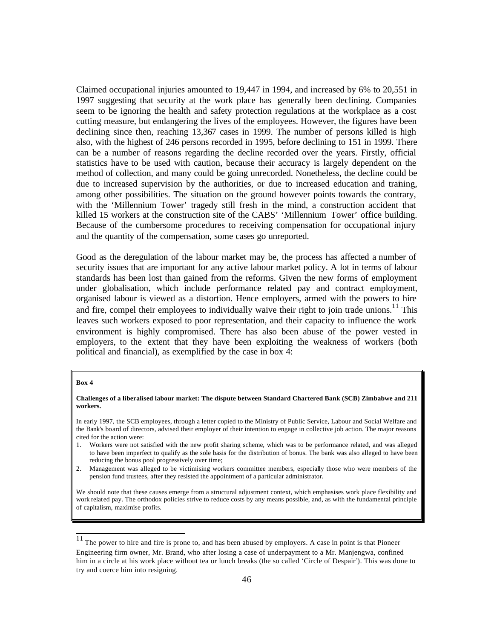Claimed occupational injuries amounted to 19,447 in 1994, and increased by 6% to 20,551 in 1997 suggesting that security at the work place has generally been declining. Companies seem to be ignoring the health and safety protection regulations at the workplace as a cost cutting measure, but endangering the lives of the employees. However, the figures have been declining since then, reaching 13,367 cases in 1999. The number of persons killed is high also, with the highest of 246 persons recorded in 1995, before declining to 151 in 1999. There can be a number of reasons regarding the decline recorded over the years. Firstly, official statistics have to be used with caution, because their accuracy is largely dependent on the method of collection, and many could be going unrecorded. Nonetheless, the decline could be due to increased supervision by the authorities, or due to increased education and training, among other possibilities. The situation on the ground however points towards the contrary, with the 'Millennium Tower' tragedy still fresh in the mind, a construction accident that killed 15 workers at the construction site of the CABS' 'Millennium Tower' office building. Because of the cumbersome procedures to receiving compensation for occupational injury and the quantity of the compensation, some cases go unreported.

Good as the deregulation of the labour market may be, the process has affected a number of security issues that are important for any active labour market policy. A lot in terms of labour standards has been lost than gained from the reforms. Given the new forms of employment under globalisation, which include performance related pay and contract employment, organised labour is viewed as a distortion. Hence employers, armed with the powers to hire and fire, compel their employees to individually waive their right to join trade unions.<sup>11</sup> This leaves such workers exposed to poor representation, and their capacity to influence the work environment is highly compromised. There has also been abuse of the power vested in employers, to the extent that they have been exploiting the weakness of workers (both political and financial), as exemplified by the case in box 4:

#### **Box 4**

 $\overline{a}$ 

### **Challenges of a liberalised labour market: The dispute between Standard Chartered Bank (SCB) Zimbabwe and 211 workers.**

In early 1997, the SCB employees, through a letter copied to the Ministry of Public Service, Labour and Social Welfare and the Bank's board of directors, advised their employer of their intention to engage in collective job action. The major reasons cited for the action were:

- 1. Workers were not satisfied with the new profit sharing scheme, which was to be performance related, and was alleged to have been imperfect to qualify as the sole basis for the distribution of bonus. The bank was also alleged to have been reducing the bonus pool progressively over time;
- 2. Management was alleged to be victimising workers committee members, especially those who were members of the pension fund trustees, after they resisted the appointment of a particular administrator.

We should note that these causes emerge from a structural adjustment context, which emphasises work place flexibility and work related pay. The orthodox policies strive to reduce costs by any means possible, and, as with the fundamental principle of capitalism, maximise profits.

 $11$  The power to hire and fire is prone to, and has been abused by employers. A case in point is that Pioneer Engineering firm owner, Mr. Brand, who after losing a case of underpayment to a Mr. Manjengwa, confined him in a circle at his work place without tea or lunch breaks (the so called 'Circle of Despair'). This was done to try and coerce him into resigning.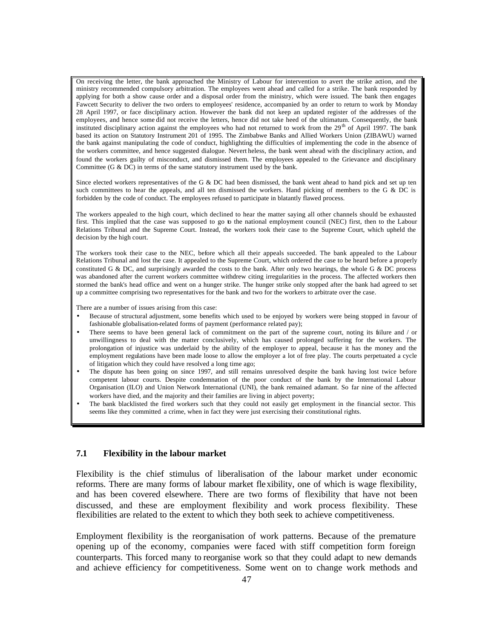On receiving the letter, the bank approached the Ministry of Labour for intervention to avert the strike action, and the ministry recommended compulsory arbitration. The employees went ahead and called for a strike. The bank responded by applying for both a show cause order and a disposal order from the ministry, which were issued. The bank then engages Fawcett Security to deliver the two orders to employees' residence, accompanied by an order to return to work by Monday 28 April 1997, or face disciplinary action. However the bank did not keep an updated register of the addresses of the employees, and hence some did not receive the letters, hence did not take heed of the ultimatum. Consequently, the bank instituted disciplinary action against the employees who had not returned to work from the  $29<sup>th</sup>$  of April 1997. The bank based its action on Statutory Instrument 201 of 1995. The Zimbabwe Banks and Allied Workers Union (ZIBAWU) warned the bank against manipulating the code of conduct, highlighting the difficulties of implementing the code in the absence of the workers committee, and hence suggested dialogue. Nevert heless, the bank went ahead with the disciplinary action, and found the workers guilty of misconduct, and dismissed them. The employees appealed to the Grievance and disciplinary Committee (G & DC) in terms of the same statutory instrument used by the bank.

Since elected workers representatives of the G & DC had been dismissed, the bank went ahead to hand pick and set up ten such committees to hear the appeals, and all ten dismissed the workers. Hand picking of members to the G  $\&$  DC is forbidden by the code of conduct. The employees refused to participate in blatantly flawed process.

The workers appealed to the high court, which declined to hear the matter saying all other channels should be exhausted first. This implied that the case was supposed to go to the national employment council (NEC) first, then to the Labour Relations Tribunal and the Supreme Court. Instead, the workers took their case to the Supreme Court, which upheld the decision by the high court.

The workers took their case to the NEC, before which all their appeals succeeded. The bank appealed to the Labour Relations Tribunal and lost the case. It appealed to the Supreme Court, which ordered the case to be heard before a properly constituted G & DC, and surprisingly awarded the costs to the bank. After only two hearings, the whole G & DC process was abandoned after the current workers committee withdrew citing irregularities in the process. The affected workers then stormed the bank's head office and went on a hunger strike. The hunger strike only stopped after the bank had agreed to set up a committee comprising two representatives for the bank and two for the workers to arbitrate over the case.

There are a number of issues arising from this case:

- Because of structural adjustment, some benefits which used to be enjoyed by workers were being stopped in favour of fashionable globalisation-related forms of payment (performance related pay);
- There seems to have been general lack of commitment on the part of the supreme court, noting its failure and / or unwillingness to deal with the matter conclusively, which has caused prolonged suffering for the workers. The prolongation of injustice was underlaid by the ability of the employer to appeal, because it has the money and the employment regulations have been made loose to allow the employer a lot of free play. The courts perpetuated a cycle of litigation which they could have resolved a long time ago;
- The dispute has been going on since 1997, and still remains unresolved despite the bank having lost twice before competent labour courts. Despite condemnation of the poor conduct of the bank by the International Labour Organisation (ILO) and Union Network International (UNI), the bank remained adamant. So far nine of the affected workers have died, and the majority and their families are living in abject poverty;
- The bank blacklisted the fired workers such that they could not easily get employment in the financial sector. This seems like they committed a crime, when in fact they were just exercising their constitutional rights.

## **7.1 Flexibility in the labour market**

Flexibility is the chief stimulus of liberalisation of the labour market under economic reforms. There are many forms of labour market flexibility, one of which is wage flexibility, and has been covered elsewhere. There are two forms of flexibility that have not been discussed, and these are employment flexibility and work process flexibility. These flexibilities are related to the extent to which they both seek to achieve competitiveness.

Employment flexibility is the reorganisation of work patterns. Because of the premature opening up of the economy, companies were faced with stiff competition form foreign counterparts. This forced many to reorganise work so that they could adapt to new demands and achieve efficiency for competitiveness. Some went on to change work methods and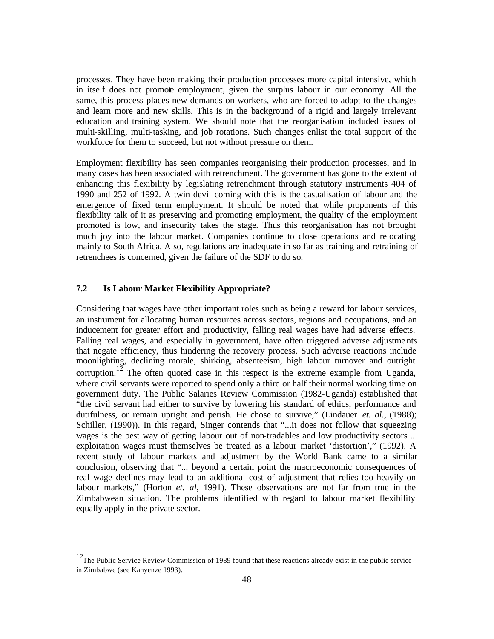processes. They have been making their production processes more capital intensive, which in itself does not promote employment, given the surplus labour in our economy. All the same, this process places new demands on workers, who are forced to adapt to the changes and learn more and new skills. This is in the background of a rigid and largely irrelevant education and training system. We should note that the reorganisation included issues of multi-skilling, multi-tasking, and job rotations. Such changes enlist the total support of the workforce for them to succeed, but not without pressure on them.

Employment flexibility has seen companies reorganising their production processes, and in many cases has been associated with retrenchment. The government has gone to the extent of enhancing this flexibility by legislating retrenchment through statutory instruments 404 of 1990 and 252 of 1992. A twin devil coming with this is the casualisation of labour and the emergence of fixed term employment. It should be noted that while proponents of this flexibility talk of it as preserving and promoting employment, the quality of the employment promoted is low, and insecurity takes the stage. Thus this reorganisation has not brought much joy into the labour market. Companies continue to close operations and relocating mainly to South Africa. Also, regulations are inadequate in so far as training and retraining of retrenchees is concerned, given the failure of the SDF to do so.

# **7.2 Is Labour Market Flexibility Appropriate?**

 $\overline{a}$ 

Considering that wages have other important roles such as being a reward for labour services, an instrument for allocating human resources across sectors, regions and occupations, and an inducement for greater effort and productivity, falling real wages have had adverse effects. Falling real wages, and especially in government, have often triggered adverse adjustments that negate efficiency, thus hindering the recovery process. Such adverse reactions include moonlighting, declining morale, shirking, absenteeism, high labour turnover and outright corruption.<sup>12</sup> The often quoted case in this respect is the extreme example from Uganda, where civil servants were reported to spend only a third or half their normal working time on government duty. The Public Salaries Review Commission (1982-Uganda) established that "the civil servant had either to survive by lowering his standard of ethics, performance and dutifulness, or remain upright and perish. He chose to survive," (Lindauer *et. al.,* (1988); Schiller, (1990)). In this regard, Singer contends that "...it does not follow that squeezing wages is the best way of getting labour out of non-tradables and low productivity sectors ... exploitation wages must themselves be treated as a labour market 'distortion'," (1992). A recent study of labour markets and adjustment by the World Bank came to a similar conclusion, observing that "... beyond a certain point the macroeconomic consequences of real wage declines may lead to an additional cost of adjustment that relies too heavily on labour markets," (Horton *et. al*, 1991). These observations are not far from true in the Zimbabwean situation. The problems identified with regard to labour market flexibility equally apply in the private sector.

 $12$ The Public Service Review Commission of 1989 found that these reactions already exist in the public service in Zimbabwe (see Kanyenze 1993).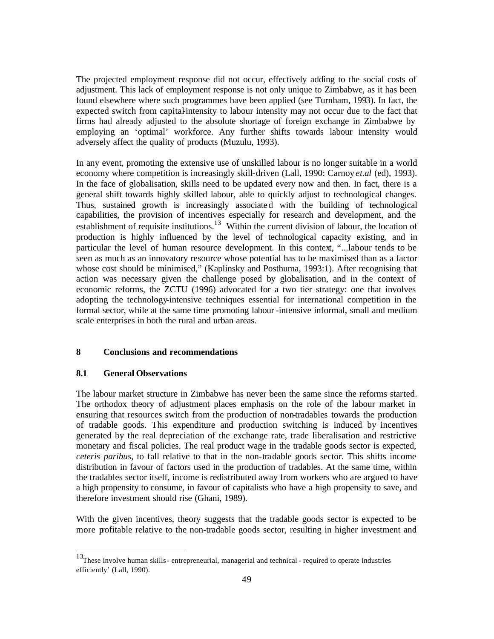The projected employment response did not occur, effectively adding to the social costs of adjustment. This lack of employment response is not only unique to Zimbabwe, as it has been found elsewhere where such programmes have been applied (see Turnham, 1993). In fact, the expected switch from capital-intensity to labour intensity may not occur due to the fact that firms had already adjusted to the absolute shortage of foreign exchange in Zimbabwe by employing an 'optimal' workforce. Any further shifts towards labour intensity would adversely affect the quality of products (Muzulu, 1993).

In any event, promoting the extensive use of unskilled labour is no longer suitable in a world economy where competition is increasingly skill-driven (Lall, 1990: Carnoy *et.al* (ed), 1993). In the face of globalisation, skills need to be updated every now and then. In fact, there is a general shift towards highly skilled labour, able to quickly adjust to technological changes. Thus, sustained growth is increasingly associated with the building of technological capabilities, the provision of incentives especially for research and development, and the establishment of requisite institutions.<sup>13</sup> Within the current division of labour, the location of production is highly influenced by the level of technological capacity existing, and in particular the level of human resource development. In this context, "...labour tends to be seen as much as an innovatory resource whose potential has to be maximised than as a factor whose cost should be minimised," (Kaplinsky and Posthuma, 1993:1). After recognising that action was necessary given the challenge posed by globalisation, and in the context of economic reforms, the ZCTU (1996) advocated for a two tier strategy: one that involves adopting the technology-intensive techniques essential for international competition in the formal sector, while at the same time promoting labour -intensive informal, small and medium scale enterprises in both the rural and urban areas.

# **8 Conclusions and recommendations**

## **8.1 General Observations**

 $\overline{a}$ 

The labour market structure in Zimbabwe has never been the same since the reforms started. The orthodox theory of adjustment places emphasis on the role of the labour market in ensuring that resources switch from the production of non-tradables towards the production of tradable goods. This expenditure and production switching is induced by incentives generated by the real depreciation of the exchange rate, trade liberalisation and restrictive monetary and fiscal policies. The real product wage in the tradable goods sector is expected, *ceteris paribus*, to fall relative to that in the non-tradable goods sector. This shifts income distribution in favour of factors used in the production of tradables. At the same time, within the tradables sector itself, income is redistributed away from workers who are argued to have a high propensity to consume, in favour of capitalists who have a high propensity to save, and therefore investment should rise (Ghani, 1989).

With the given incentives, theory suggests that the tradable goods sector is expected to be more profitable relative to the non-tradable goods sector, resulting in higher investment and

<sup>&</sup>lt;sup>13</sup>These involve human skills - entrepreneurial, managerial and technical - required to operate industries efficiently' (Lall, 1990).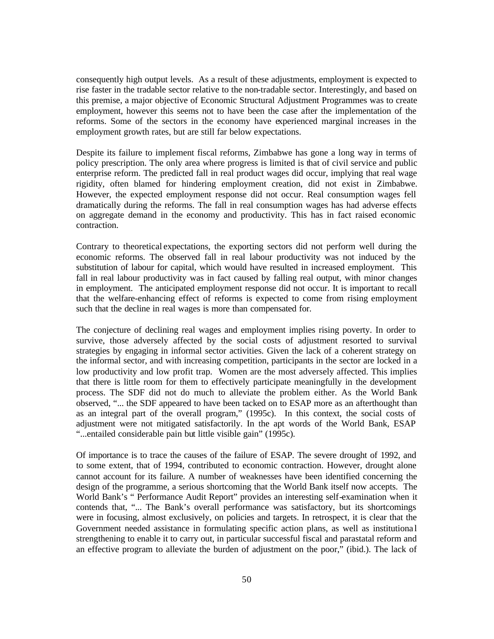consequently high output levels. As a result of these adjustments, employment is expected to rise faster in the tradable sector relative to the non-tradable sector. Interestingly, and based on this premise, a major objective of Economic Structural Adjustment Programmes was to create employment, however this seems not to have been the case after the implementation of the reforms. Some of the sectors in the economy have experienced marginal increases in the employment growth rates, but are still far below expectations.

Despite its failure to implement fiscal reforms, Zimbabwe has gone a long way in terms of policy prescription. The only area where progress is limited is that of civil service and public enterprise reform. The predicted fall in real product wages did occur, implying that real wage rigidity, often blamed for hindering employment creation, did not exist in Zimbabwe. However, the expected employment response did not occur. Real consumption wages fell dramatically during the reforms. The fall in real consumption wages has had adverse effects on aggregate demand in the economy and productivity. This has in fact raised economic contraction.

Contrary to theoretical expectations, the exporting sectors did not perform well during the economic reforms. The observed fall in real labour productivity was not induced by the substitution of labour for capital, which would have resulted in increased employment. This fall in real labour productivity was in fact caused by falling real output, with minor changes in employment. The anticipated employment response did not occur. It is important to recall that the welfare-enhancing effect of reforms is expected to come from rising employment such that the decline in real wages is more than compensated for.

The conjecture of declining real wages and employment implies rising poverty. In order to survive, those adversely affected by the social costs of adjustment resorted to survival strategies by engaging in informal sector activities. Given the lack of a coherent strategy on the informal sector, and with increasing competition, participants in the sector are locked in a low productivity and low profit trap. Women are the most adversely affected. This implies that there is little room for them to effectively participate meaningfully in the development process. The SDF did not do much to alleviate the problem either. As the World Bank observed, "... the SDF appeared to have been tacked on to ESAP more as an afterthought than as an integral part of the overall program," (1995c). In this context, the social costs of adjustment were not mitigated satisfactorily. In the apt words of the World Bank, ESAP "...entailed considerable pain but little visible gain" (1995c).

Of importance is to trace the causes of the failure of ESAP. The severe drought of 1992, and to some extent, that of 1994, contributed to economic contraction. However, drought alone cannot account for its failure. A number of weaknesses have been identified concerning the design of the programme, a serious shortcoming that the World Bank itself now accepts. The World Bank's " Performance Audit Report" provides an interesting self-examination when it contends that, "... The Bank's overall performance was satisfactory, but its shortcomings were in focusing, almost exclusively, on policies and targets. In retrospect, it is clear that the Government needed assistance in formulating specific action plans, as well as institutiona l strengthening to enable it to carry out, in particular successful fiscal and parastatal reform and an effective program to alleviate the burden of adjustment on the poor," (ibid.). The lack of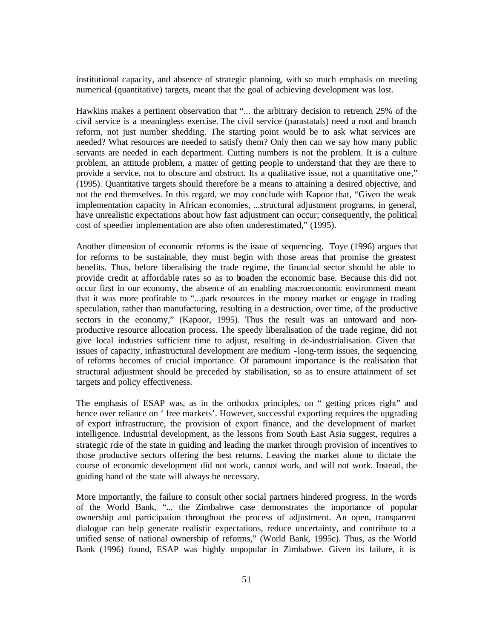institutional capacity, and absence of strategic planning, with so much emphasis on meeting numerical (quantitative) targets, meant that the goal of achieving development was lost.

Hawkins makes a pertinent observation that "... the arbitrary decision to retrench 25% of the civil service is a meaningless exercise. The civil service (parastatals) need a root and branch reform, not just number shedding. The starting point would be to ask what services are needed? What resources are needed to satisfy them? Only then can we say how many public servants are needed in each department. Cutting numbers is not the problem. It is a culture problem, an attitude problem, a matter of getting people to understand that they are there to provide a service, not to obscure and obstruct. Its a qualitative issue, not a quantitative one," (1995). Quantitative targets should therefore be a means to attaining a desired objective, and not the end themselves. In this regard, we may conclude with Kapoor that, "Given the weak implementation capacity in African economies, ...structural adjustment programs, in general, have unrealistic expectations about how fast adjustment can occur; consequently, the political cost of speedier implementation are also often underestimated," (1995).

Another dimension of economic reforms is the issue of sequencing. Toye (1996) argues that for reforms to be sustainable, they must begin with those areas that promise the greatest benefits. Thus, before liberalising the trade regime, the financial sector should be able to provide credit at affordable rates so as to broaden the economic base. Because this did not occur first in our economy, the absence of an enabling macroeconomic environment meant that it was more profitable to "...park resources in the money market or engage in trading speculation, rather than manufacturing, resulting in a destruction, over time, of the productive sectors in the economy," (Kapoor, 1995). Thus the result was an untoward and nonproductive resource allocation process. The speedy liberalisation of the trade regime, did not give local industries sufficient time to adjust, resulting in de-industrialisation. Given that issues of capacity, infrastructural development are medium -long-term issues, the sequencing of reforms becomes of crucial importance. Of paramount importance is the realisation that structural adjustment should be preceded by stabilisation, so as to ensure attainment of set targets and policy effectiveness.

The emphasis of ESAP was, as in the orthodox principles, on " getting prices right" and hence over reliance on ' free markets'. However, successful exporting requires the upgrading of export infrastructure, the provision of export finance, and the development of market intelligence. Industrial development, as the lessons from South East Asia suggest, requires a strategic role of the state in guiding and leading the market through provision of incentives to those productive sectors offering the best returns. Leaving the market alone to dictate the course of economic development did not work, cannot work, and will not work. Instead, the guiding hand of the state will always be necessary.

More importantly, the failure to consult other social partners hindered progress. In the words of the World Bank, "... the Zimbabwe case demonstrates the importance of popular ownership and participation throughout the process of adjustment. An open, transparent dialogue can help generate realistic expectations, reduce uncertainty, and contribute to a unified sense of national ownership of reforms," (World Bank, 1995c). Thus, as the World Bank (1996) found, ESAP was highly unpopular in Zimbabwe. Given its failure, it is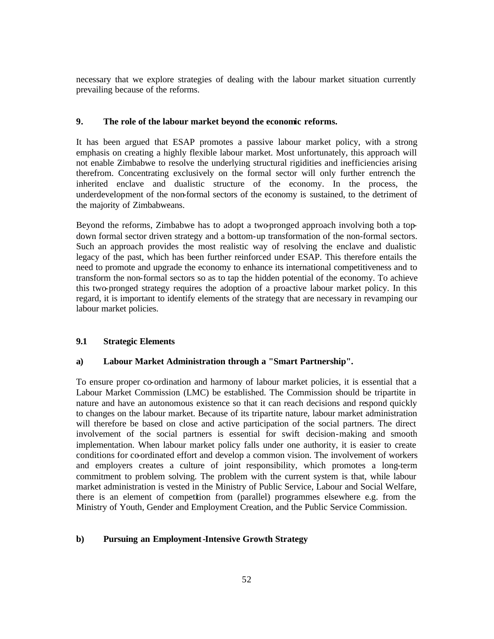necessary that we explore strategies of dealing with the labour market situation currently prevailing because of the reforms.

## **9. The role of the labour market beyond the economic reforms.**

It has been argued that ESAP promotes a passive labour market policy, with a strong emphasis on creating a highly flexible labour market. Most unfortunately, this approach will not enable Zimbabwe to resolve the underlying structural rigidities and inefficiencies arising therefrom. Concentrating exclusively on the formal sector will only further entrench the inherited enclave and dualistic structure of the economy. In the process, the underdevelopment of the non-formal sectors of the economy is sustained, to the detriment of the majority of Zimbabweans.

Beyond the reforms, Zimbabwe has to adopt a two-pronged approach involving both a topdown formal sector driven strategy and a bottom-up transformation of the non-formal sectors. Such an approach provides the most realistic way of resolving the enclave and dualistic legacy of the past, which has been further reinforced under ESAP. This therefore entails the need to promote and upgrade the economy to enhance its international competitiveness and to transform the non-formal sectors so as to tap the hidden potential of the economy. To achieve this two-pronged strategy requires the adoption of a proactive labour market policy. In this regard, it is important to identify elements of the strategy that are necessary in revamping our labour market policies.

## **9.1 Strategic Elements**

### **a) Labour Market Administration through a "Smart Partnership".**

To ensure proper co-ordination and harmony of labour market policies, it is essential that a Labour Market Commission (LMC) be established. The Commission should be tripartite in nature and have an autonomous existence so that it can reach decisions and respond quickly to changes on the labour market. Because of its tripartite nature, labour market administration will therefore be based on close and active participation of the social partners. The direct involvement of the social partners is essential for swift decision-making and smooth implementation. When labour market policy falls under one authority, it is easier to create conditions for co-ordinated effort and develop a common vision. The involvement of workers and employers creates a culture of joint responsibility, which promotes a long-term commitment to problem solving. The problem with the current system is that, while labour market administration is vested in the Ministry of Public Service, Labour and Social Welfare, there is an element of competition from (parallel) programmes elsewhere e.g. from the Ministry of Youth, Gender and Employment Creation, and the Public Service Commission.

### **b) Pursuing an Employment-Intensive Growth Strategy**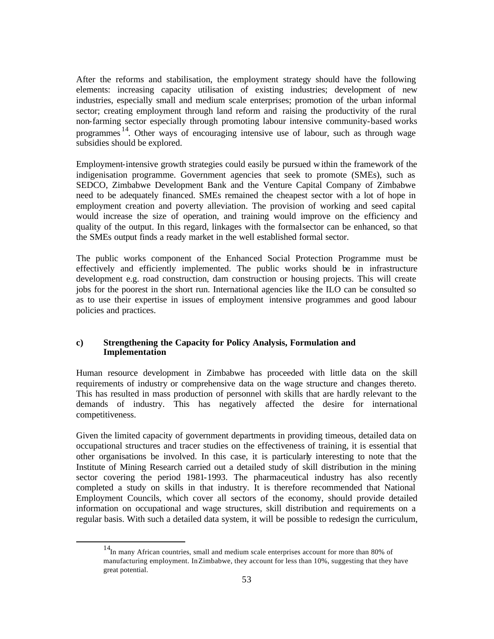After the reforms and stabilisation, the employment strategy should have the following elements: increasing capacity utilisation of existing industries; development of new industries, especially small and medium scale enterprises; promotion of the urban informal sector; creating employment through land reform and raising the productivity of the rural non-farming sector especially through promoting labour intensive community-based works programmes<sup>14</sup>. Other ways of encouraging intensive use of labour, such as through wage subsidies should be explored.

Employment-intensive growth strategies could easily be pursued within the framework of the indigenisation programme. Government agencies that seek to promote (SMEs), such as SEDCO, Zimbabwe Development Bank and the Venture Capital Company of Zimbabwe need to be adequately financed. SMEs remained the cheapest sector with a lot of hope in employment creation and poverty alleviation. The provision of working and seed capital would increase the size of operation, and training would improve on the efficiency and quality of the output. In this regard, linkages with the formal sector can be enhanced, so that the SMEs output finds a ready market in the well established formal sector.

The public works component of the Enhanced Social Protection Programme must be effectively and efficiently implemented. The public works should be in infrastructure development e.g. road construction, dam construction or housing projects. This will create jobs for the poorest in the short run. International agencies like the ILO can be consulted so as to use their expertise in issues of employment intensive programmes and good labour policies and practices.

## **c) Strengthening the Capacity for Policy Analysis, Formulation and Implementation**

Human resource development in Zimbabwe has proceeded with little data on the skill requirements of industry or comprehensive data on the wage structure and changes thereto. This has resulted in mass production of personnel with skills that are hardly relevant to the demands of industry. This has negatively affected the desire for international competitiveness.

Given the limited capacity of government departments in providing timeous, detailed data on occupational structures and tracer studies on the effectiveness of training, it is essential that other organisations be involved. In this case, it is particularly interesting to note that the Institute of Mining Research carried out a detailed study of skill distribution in the mining sector covering the period 1981-1993. The pharmaceutical industry has also recently completed a study on skills in that industry. It is therefore recommended that National Employment Councils, which cover all sectors of the economy, should provide detailed information on occupational and wage structures, skill distribution and requirements on a regular basis. With such a detailed data system, it will be possible to redesign the curriculum,

 $\overline{a}$ 

<sup>&</sup>lt;sup>14</sup>In many African countries, small and medium scale enterprises account for more than 80% of manufacturing employment. In Zimbabwe, they account for less than 10%, suggesting that they have great potential.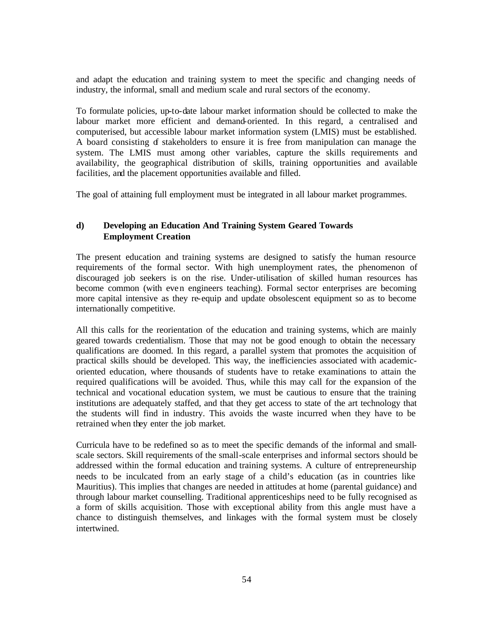and adapt the education and training system to meet the specific and changing needs of industry, the informal, small and medium scale and rural sectors of the economy.

To formulate policies, up-to-date labour market information should be collected to make the labour market more efficient and demand-oriented. In this regard, a centralised and computerised, but accessible labour market information system (LMIS) must be established. A board consisting of stakeholders to ensure it is free from manipulation can manage the system. The LMIS must among other variables, capture the skills requirements and availability, the geographical distribution of skills, training opportunities and available facilities, and the placement opportunities available and filled.

The goal of attaining full employment must be integrated in all labour market programmes.

## **d) Developing an Education And Training System Geared Towards Employment Creation**

The present education and training systems are designed to satisfy the human resource requirements of the formal sector. With high unemployment rates, the phenomenon of discouraged job seekers is on the rise. Under-utilisation of skilled human resources has become common (with even engineers teaching). Formal sector enterprises are becoming more capital intensive as they re-equip and update obsolescent equipment so as to become internationally competitive.

All this calls for the reorientation of the education and training systems, which are mainly geared towards credentialism. Those that may not be good enough to obtain the necessary qualifications are doomed. In this regard, a parallel system that promotes the acquisition of practical skills should be developed. This way, the inefficiencies associated with academicoriented education, where thousands of students have to retake examinations to attain the required qualifications will be avoided. Thus, while this may call for the expansion of the technical and vocational education system, we must be cautious to ensure that the training institutions are adequately staffed, and that they get access to state of the art technology that the students will find in industry. This avoids the waste incurred when they have to be retrained when they enter the job market.

Curricula have to be redefined so as to meet the specific demands of the informal and smallscale sectors. Skill requirements of the small-scale enterprises and informal sectors should be addressed within the formal education and training systems. A culture of entrepreneurship needs to be inculcated from an early stage of a child's education (as in countries like Mauritius). This implies that changes are needed in attitudes at home (parental guidance) and through labour market counselling. Traditional apprenticeships need to be fully recognised as a form of skills acquisition. Those with exceptional ability from this angle must have a chance to distinguish themselves, and linkages with the formal system must be closely intertwined.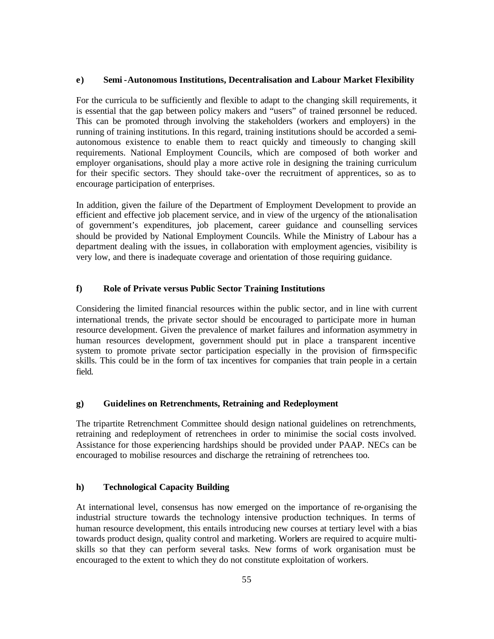### **e) Semi -Autonomous Institutions, Decentralisation and Labour Market Flexibility**

For the curricula to be sufficiently and flexible to adapt to the changing skill requirements, it is essential that the gap between policy makers and "users" of trained personnel be reduced. This can be promoted through involving the stakeholders (workers and employers) in the running of training institutions. In this regard, training institutions should be accorded a semiautonomous existence to enable them to react quickly and timeously to changing skill requirements. National Employment Councils, which are composed of both worker and employer organisations, should play a more active role in designing the training curriculum for their specific sectors. They should take-over the recruitment of apprentices, so as to encourage participation of enterprises.

In addition, given the failure of the Department of Employment Development to provide an efficient and effective job placement service, and in view of the urgency of the rationalisation of government's expenditures, job placement, career guidance and counselling services should be provided by National Employment Councils. While the Ministry of Labour has a department dealing with the issues, in collaboration with employment agencies, visibility is very low, and there is inadequate coverage and orientation of those requiring guidance.

## **f) Role of Private versus Public Sector Training Institutions**

Considering the limited financial resources within the public sector, and in line with current international trends, the private sector should be encouraged to participate more in human resource development. Given the prevalence of market failures and information asymmetry in human resources development, government should put in place a transparent incentive system to promote private sector participation especially in the provision of firm-specific skills. This could be in the form of tax incentives for companies that train people in a certain field.

### **g) Guidelines on Retrenchments, Retraining and Redeployment**

The tripartite Retrenchment Committee should design national guidelines on retrenchments, retraining and redeployment of retrenchees in order to minimise the social costs involved. Assistance for those experiencing hardships should be provided under PAAP. NECs can be encouraged to mobilise resources and discharge the retraining of retrenchees too.

### **h) Technological Capacity Building**

At international level, consensus has now emerged on the importance of re-organising the industrial structure towards the technology intensive production techniques. In terms of human resource development, this entails introducing new courses at tertiary level with a bias towards product design, quality control and marketing. Workers are required to acquire multiskills so that they can perform several tasks. New forms of work organisation must be encouraged to the extent to which they do not constitute exploitation of workers.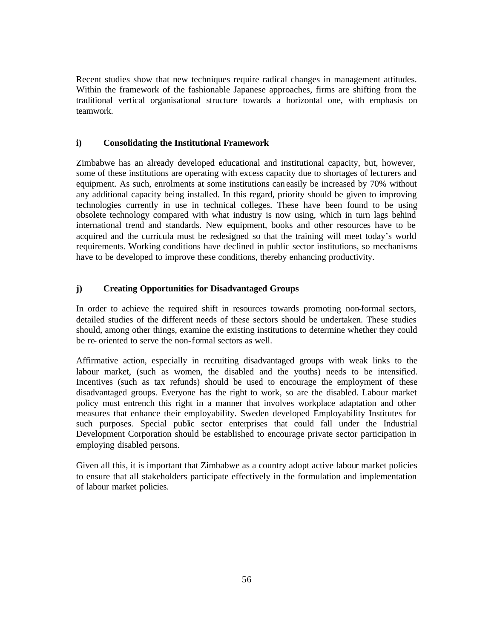Recent studies show that new techniques require radical changes in management attitudes. Within the framework of the fashionable Japanese approaches, firms are shifting from the traditional vertical organisational structure towards a horizontal one, with emphasis on teamwork.

## **i) Consolidating the Institutional Framework**

Zimbabwe has an already developed educational and institutional capacity, but, however, some of these institutions are operating with excess capacity due to shortages of lecturers and equipment. As such, enrolments at some institutions can easily be increased by 70% without any additional capacity being installed. In this regard, priority should be given to improving technologies currently in use in technical colleges. These have been found to be using obsolete technology compared with what industry is now using, which in turn lags behind international trend and standards. New equipment, books and other resources have to be acquired and the curricula must be redesigned so that the training will meet today's world requirements. Working conditions have declined in public sector institutions, so mechanisms have to be developed to improve these conditions, thereby enhancing productivity.

## **j) Creating Opportunities for Disadvantaged Groups**

In order to achieve the required shift in resources towards promoting non-formal sectors, detailed studies of the different needs of these sectors should be undertaken. These studies should, among other things, examine the existing institutions to determine whether they could be re- oriented to serve the non-formal sectors as well.

Affirmative action, especially in recruiting disadvantaged groups with weak links to the labour market, (such as women, the disabled and the youths) needs to be intensified. Incentives (such as tax refunds) should be used to encourage the employment of these disadvantaged groups. Everyone has the right to work, so are the disabled. Labour market policy must entrench this right in a manner that involves workplace adaptation and other measures that enhance their employability. Sweden developed Employability Institutes for such purposes. Special public sector enterprises that could fall under the Industrial Development Corporation should be established to encourage private sector participation in employing disabled persons.

Given all this, it is important that Zimbabwe as a country adopt active labour market policies to ensure that all stakeholders participate effectively in the formulation and implementation of labour market policies.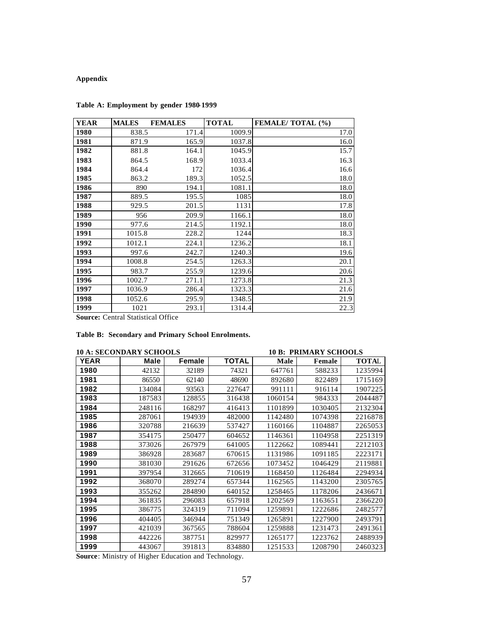# **Appendix**

| YEAR | <b>MALES</b> | <b>FEMALES</b> | <b>TOTAL</b> | <b>FEMALE/ TOTAL (%)</b> |
|------|--------------|----------------|--------------|--------------------------|
| 1980 | 838.5        | 171.4          | 1009.9       | 17.0                     |
| 1981 | 871.9        | 165.9          | 1037.8       | 16.0                     |
| 1982 | 881.8        | 164.1          | 1045.9       | 15.7                     |
| 1983 | 864.5        | 168.9          | 1033.4       | 16.3                     |
| 1984 | 864.4        | 172            | 1036.4       | 16.6                     |
| 1985 | 863.2        | 189.3          | 1052.5       | 18.0                     |
| 1986 | 890          | 194.1          | 1081.1       | 18.0                     |
| 1987 | 889.5        | 195.5          | 1085         | 18.0                     |
| 1988 | 929.5        | 201.5          | 1131         | 17.8                     |
| 1989 | 956          | 209.9          | 1166.1       | 18.0                     |
| 1990 | 977.6        | 214.5          | 1192.1       | 18.0                     |
| 1991 | 1015.8       | 228.2          | 1244         | 18.3                     |
| 1992 | 1012.1       | 224.1          | 1236.2       | 18.1                     |
| 1993 | 997.6        | 242.7          | 1240.3       | 19.6                     |
| 1994 | 1008.8       | 254.5          | 1263.3       | 20.1                     |
| 1995 | 983.7        | 255.9          | 1239.6       | 20.6                     |
| 1996 | 1002.7       | 271.1          | 1273.8       | 21.3                     |
| 1997 | 1036.9       | 286.4          | 1323.3       | 21.6                     |
| 1998 | 1052.6       | 295.9          | 1348.5       | 21.9                     |
| 1999 | 1021         | 293.1          | 1314.4       | 22.3                     |

## **Table A: Employment by gender 1980-1999**

**Source: Central Statistical Office** 

## **Table B: Secondary and Primary School Enrolments.**

|             | 10 A: SECONDARY SCHOOLS |        |              | <b>10 B: PRIMARY SCHOOLS</b> |         |              |
|-------------|-------------------------|--------|--------------|------------------------------|---------|--------------|
| <b>YEAR</b> | Male                    | Female | <b>TOTAL</b> | Male                         | Female  | <b>TOTAL</b> |
| 1980        | 42132                   | 32189  | 74321        | 647761                       | 588233  | 1235994      |
| 1981        | 86550                   | 62140  | 48690        | 892680                       | 822489  | 1715169      |
| 1982        | 134084                  | 93563  | 227647       | 991111                       | 916114  | 1907225      |
| 1983        | 187583                  | 128855 | 316438       | 1060154                      | 984333  | 2044487      |
| 1984        | 248116                  | 168297 | 416413       | 1101899                      | 1030405 | 2132304      |
| 1985        | 287061                  | 194939 | 482000       | 1142480                      | 1074398 | 2216878      |
| 1986        | 320788                  | 216639 | 537427       | 1160166                      | 1104887 | 2265053      |
| 1987        | 354175                  | 250477 | 604652       | 1146361                      | 1104958 | 2251319      |
| 1988        | 373026                  | 267979 | 641005       | 1122662                      | 1089441 | 2212103      |
| 1989        | 386928                  | 283687 | 670615       | 1131986                      | 1091185 | 2223171      |
| 1990        | 381030                  | 291626 | 672656       | 1073452                      | 1046429 | 2119881      |
| 1991        | 397954                  | 312665 | 710619       | 1168450                      | 1126484 | 2294934      |
| 1992        | 368070                  | 289274 | 657344       | 1162565                      | 1143200 | 2305765      |
| 1993        | 355262                  | 284890 | 640152       | 1258465                      | 1178206 | 2436671      |
| 1994        | 361835                  | 296083 | 657918       | 1202569                      | 1163651 | 2366220      |
| 1995        | 386775                  | 324319 | 711094       | 1259891                      | 1222686 | 2482577      |
| 1996        | 404405                  | 346944 | 751349       | 1265891                      | 1227900 | 2493791      |
| 1997        | 421039                  | 367565 | 788604       | 1259888                      | 1231473 | 2491361      |
| 1998        | 442226                  | 387751 | 829977       | 1265177                      | 1223762 | 2488939      |
| 1999        | 443067                  | 391813 | 834880       | 1251533                      | 1208790 | 2460323      |

**Source**: Ministry of Higher Education and Technology.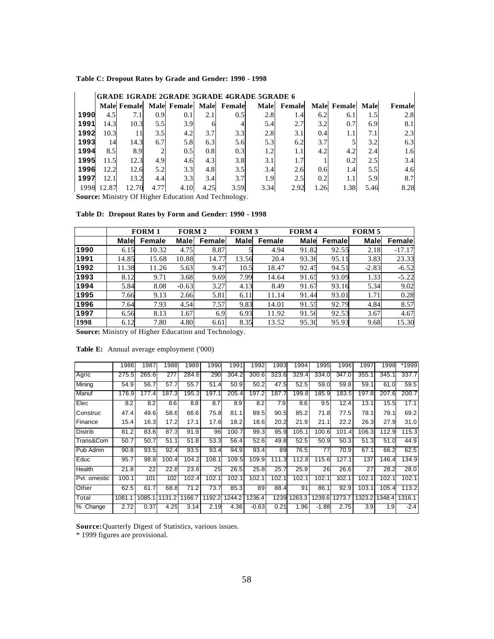### **Table C: Dropout Rates by Grade and Gender: 1990 - 1998**

|      | <b>GRADE 1GRADE 2GRADE 3GRADE 4GRADE 5GRADE 6</b> |                    |      |             |      |             |      |        |      |                    |      |        |  |
|------|---------------------------------------------------|--------------------|------|-------------|------|-------------|------|--------|------|--------------------|------|--------|--|
|      |                                                   | <b>Male Female</b> |      | Male Female |      | Male Female | Male | Female |      | <b>Male Female</b> | Male | Female |  |
| 1990 | 4.5                                               | 7.1                | 0.9  | 0.1         | 2.1  | 0.5         | 2.81 | 1.4    | 6.2  | 6.1                | 1.5  | 2.8    |  |
| 1991 | 14.3                                              | 10.3               | 5.5  | 3.9         | h    | 4           | 5.4  | 2.7    | 3.2  | 0.7                | 6.9  | 8.1    |  |
| 1992 | 10.3                                              | 11                 | 3.5  | 4.2         | 3.7  | 3.3         | 2.8  | 3.1    | 0.4  | 1.1                | 7.1  | 2.3    |  |
| 1993 | 14                                                | 14.3               | 6.7  | 5.8         | 6.3  | 5.6         | 5.3  | 6.2    | 3.7  |                    | 3.2  | 6.3    |  |
| 1994 | 8.5                                               | 8.9                | 2    | 0.5         | 0.8  | 0.3         | 1.2  | 1.1    | 4.2  | 4.2                | 2.4  | 1.6    |  |
| 1995 | 11.5                                              | 12.3               | 4.9  | 4.6         | 4.3  | 3.8         | 3.1  | 1.7    |      | 0.2                | 2.5  | 3.4    |  |
| 1996 | 12.2                                              | 12.6               | 5.2  | 3.3         | 4.8  | 3.5         | 3.4I | 2.6    | 0.6  | 1.4                | 5.5  | 4.6    |  |
| 1997 | 12.1                                              | 13.2               | 4.4  | 3.3         | 3.4  | 3.7         | 1.9  | 2.5    | 0.2  | 1.1                | 5.9  | 8.7    |  |
| 1998 | 12.87                                             | 12.70              | 4.77 | 4.10        | 4.25 | 3.59        | 3.34 | 2.92   | 1.26 | 1.38               | 5.46 | 8.28   |  |

**Source:** Ministry Of Higher Education And Technology.

|  |  |  |  |  |  | Table D: Dropout Rates by Form and Gender: 1990 - 1998 |  |
|--|--|--|--|--|--|--------------------------------------------------------|--|
|--|--|--|--|--|--|--------------------------------------------------------|--|

|      |             | <b>FORM 1</b> | <b>FORM 2</b> |        | <b>FORM 3</b> |        | <b>FORM4</b> |        | <b>FORM 5</b> |          |
|------|-------------|---------------|---------------|--------|---------------|--------|--------------|--------|---------------|----------|
|      | <b>Male</b> | Female        | Male          | Female | Male          | Female | Male         | Female | Male          | Female   |
| 1990 | 6.15        | 10.32         | 4.75          | 8.87   |               | 4.94   | 91.82        | 92.55  | 2.18          | $-17.17$ |
| 1991 | 14.85       | 15.68         | 10.88         | 14.77  | 13.56         | 20.4   | 93.36        | 95.11  | 3.83          | 23.33    |
| 1992 | 11.38       | 11.26         | 5.63          | 9.47   | 10.5          | 18.47  | 92.45        | 94.51  | $-2.83$       | $-6.52$  |
| 1993 | 8.12        | 9.71          | 3.68          | 9.69   | 7.99          | 14.64  | 91.65        | 93.09  | 1.33          | $-5.22$  |
| 1994 | 5.84        | 8.08          | $-0.63$       | 3.27   | 4.13          | 8.49   | 91.67        | 93.16  | 5.34          | 9.02     |
| 1995 | 7.66        | 9.13          | 2.66          | 5.81   | 6.11          | 11.14  | 91.44        | 93.01  | 1.71          | 0.28     |
| 1996 | 7.64        | 7.93          | 4.54          | 7.57   | 9.83          | 14.01  | 91.55        | 92.79  | 4.84          | 8.57     |
| 1997 | 6.56        | 8.13          | 1.67          | 6.9    | 6.93          | 11.92  | 91.56        | 92.53  | 3.67          | 4.67     |
| 1998 | 6.12        | 7.80          | 4.80          | 6.61   | 8.35          | 13.52  | 95.30        | 95.93  | 9.68          | 15.30    |

**Source:** Ministry of Higher Education and Technology.

**Table E:** Annual average employment ('000)

| *1999<br>1998  |
|----------------|
|                |
| 337.7          |
| 59.5<br>61.0   |
| 200.7<br>207.6 |
| 15.5<br>17.1   |
| 69.2           |
| 27.9<br>31.0   |
| 115.3<br>112.9 |
| 51.0<br>44.9   |
| 62.5           |
| 146.4<br>134.9 |
| 28.0           |
| 102.1          |
| 113.2<br>105.4 |
| 1316.1         |
| $-2.4$         |
|                |

**Source:** Quarterly Digest of Statistics, various issues.

\* 1999 figures are provisional.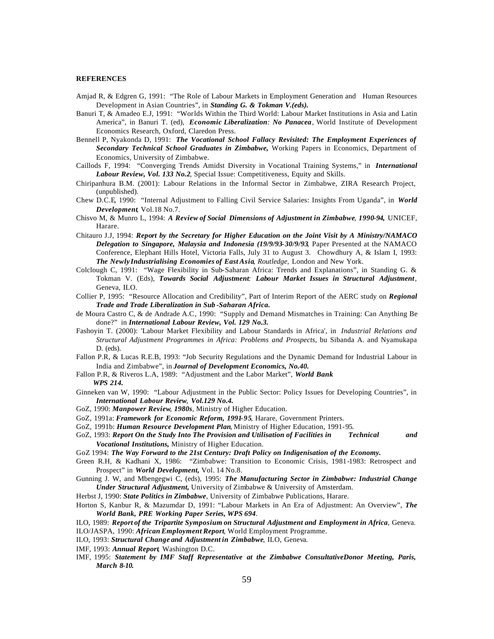### **REFERENCES**

- Amjad R, & Edgren G, 1991: "The Role of Labour Markets in Employment Generation and Human Resources Development in Asian Countries", in *Standing G. & Tokman V.(eds).*
- Banuri T, & Amadeo E.J, 1991: "Worlds Within the Third World: Labour Market Institutions in Asia and Latin America", in Banuri T. (ed), *Economic Liberalization: No Panacea,* World Institute of Development Economics Research, Oxford, Claredon Press.
- Bennell P, Nyakonda D, 1991: *The Vocational School Fallacy Revisited: The Employment Experiences of Secondary Technical School Graduates in Zimbabwe,* Working Papers in Economics, Department of Economics, University of Zimbabwe.
- Caillods F, 1994: "Converging Trends Amidst Diversity in Vocational Training Systems," in *International Labour Review, Vol. 133 No.2*, Special Issue: Competitiveness, Equity and Skills.
- Chiripanhura B.M. (2001): Labour Relations in the Informal Sector in Zimbabwe, ZIRA Research Project, (unpublished).
- Chew D.C.E, 1990: "Internal Adjustment to Falling Civil Service Salaries: Insights From Uganda", in *World Development,* Vol.18 No.7.
- Chisvo M, & Munro L, 1994: *A Review of Social Dimensions of Adjustment in Zimbabwe, 1990-94,* UNICEF, Harare.
- Chitauro J.J, 1994: *Report by the Secretary for Higher Education on the Joint Visit by A Ministry/NAMACO Delegation to Singapore, Malaysia and Indonesia (19/9/93-30/9/93,* Paper Presented at the NAMACO Conference, Elephant Hills Hotel, Victoria Falls, July 31 to August 3.Chowdhury A, & Islam I, 1993: *The Newly Industrialising Economies of East Asia, Routledge,* London and New York.
- Colclough C, 1991: "Wage Flexibility in Sub-Saharan Africa: Trends and Explanations", in Standing G. & Tokman V. (Eds), *Towards Social Adjustment: Labour Market Issues in Structural Adjustment,* Geneva, ILO.
- Collier P, 1995: "Resource Allocation and Credibility", Part of Interim Report of the AERC study on *Regional Trade and Trade Liberalization in Sub -Saharan Africa.*
- de Moura Castro C, & de Andrade A.C, 1990: "Supply and Demand Mismatches in Training: Can Anything Be done?" in *International Labour Review, Vol. 129 No.3.*
- Fashoyin T. (2000): 'Labour Market Flexibility and Labour Standards in Africa', in *Industrial Relations and Structural Adjustment Programmes in Africa: Problems and Prospects*, bu Sibanda A. and Nyamukapa D. (eds).
- Fallon P.R, & Lucas R.E.B, 1993: "Job Security Regulations and the Dynamic Demand for Industrial Labour in India and Zimbabwe", in *Journal of Development Economics, No.40.*
- Fallon P.R, & Riveros L.A, 1989: "Adjustment and the Labor Market", *World Bank WPS 214.*
- Ginneken van W, 1990: "Labour Adjustment in the Public Sector: Policy Issues for Developing Countries", in *International Labour Review, Vol.129 No.4.*
- GoZ, 1990: *Manpower Review, 1980s,* Ministry of Higher Education.
- GoZ, 1991a: *Framework for Economic Reform, 1991-95,* Harare, Government Printers.
- GoZ, 1991b: *Human Resource Development Plan,* Ministry of Higher Education, 1991-95.
- GoZ, 1993: *Report On the Study Into The Provision and Utilisation of Facilities in Technical and Vocational Institutions,* Ministry of Higher Education.
- GoZ 1994: *The Way Forward to the 21st Century: Draft Policy on Indigenisation of the Economy.*
- Green R.H, & Kadhani X, 1986: "Zimbabwe: Transition to Economic Crisis, 1981-1983: Retrospect and Prospect" in *World Development,* Vol. 14 No.8.
- Gunning J. W, and Mbengegwi C, (eds), 1995: *The Manufacturing Sector in Zimbabwe: Industrial Change Under Structural Adjustment,* University of Zimbabwe & University of Amsterdam.
- Herbst J, 1990: *State Politics in Zimbabwe*, University of Zimbabwe Publications, Harare.
- Horton S, Kanbur R, & Mazumdar D, 1991: "Labour Markets in An Era of Adjustment: An Overview", *The World Bank, PRE Working Paper Series, WPS 694.*
- ILO, 1989: *Report of the Tripartite Symposium on Structural Adjustment and Employment in Africa,* Geneva.
- ILO/JASPA, 1990: *African Employment Report,* World Employment Programme.
- ILO, 1993: *Structural Change and Adjustment in Zimbabwe*, ILO, Geneva.
- IMF, 1993: *Annual Report,* Washington D.C.
- IMF, 1995: *Statement by IMF Staff Representative at the Zimbabwe ConsultativeDonor Meeting, Paris, March 8-10.*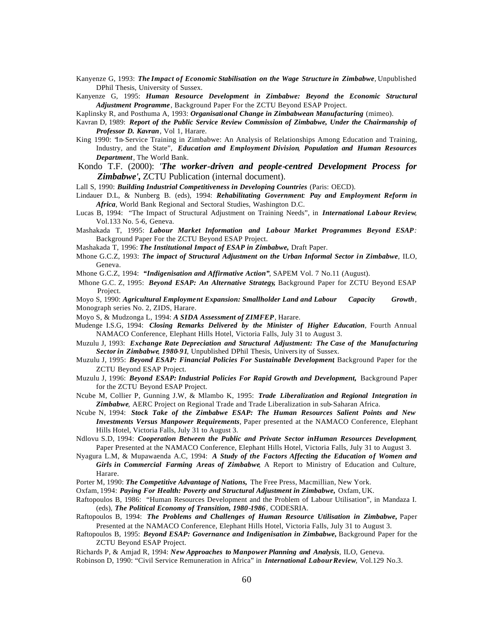Kanyenze G, 1993: *The Impact of Economic Stabilisation on the Wage Structure in Zimbabwe,* Unpublished DPhil Thesis, University of Sussex.

Kanyenze G, 1995: *Human Resource Development in Zimbabwe: Beyond the Economic Structural Adjustment Programme*, Background Paper For the ZCTU Beyond ESAP Project.

Kaplinsky R, and Posthuma A, 1993: *Organisational Change in Zimbabwean Manufacturing* (mimeo).

- Kavran D, 1989: *Report of the Public Service Review Commission of Zimbabwe, Under the Chairmanship of Professor D. Kavran*, Vol 1, Harare.
- King 1990: "In-Service Training in Zimbabwe: An Analysis of Relationships Among Education and Training, Industry, and the State", *Education and Employment Division, Population and Human Resources Department,* The World Bank.
- Kondo T.F. (2000): *'The worker-driven and people-centred Development Process for Zimbabwe',* ZCTU Publication (internal document).

Lall S, 1990: *Building Industrial Competitiveness in Developing Countries* (Paris: OECD).

- Lindauer D.L, & Nunberg B. (eds), 1994: *Rehabilitating Government: Pay and Employment Reform in Africa,* World Bank Regional and Sectoral Studies, Washington D.C.
- Lucas B, 1994: "The Impact of Structural Adjustment on Training Needs", in *International Labour Review,* Vol.133 No. 5-6, Geneva.
- Mashakada T, 1995: *Labour Market Information and Labour Market Programmes Beyond ESAP:* Background Paper For the ZCTU Beyond ESAP Project.
- Mashakada T, 1996: *The Institutional Impact of ESAP in Zimbabwe,* Draft Paper.
- Mhone G.C.Z, 1993: *The impact of Structural Adjustment on the Urban Informal Sector in Zimbabwe*, ILO, Geneva.

Mhone G.C.Z, 1994: *"Indigenisation and Affirmative Action"*, SAPEM Vol. 7 No.11 (August).

 Mhone G.C. Z, 1995: *Beyond ESAP: An Alternative Strategy***,** Background Paper for ZCTU Beyond ESAP Project.

Moyo S, 1990: *Agricultural Employment Expansion: Smallholder Land and Labour Capacity Growth*, Monograph series No. 2, ZIDS, Harare.

- Moyo S, & Mudzonga L, 1994: *A SIDA Assessment of ZIMFEP,* Harare.
- Mudenge I.S.G, 1994: *Closing Remarks Delivered by the Minister of Higher Education,* Fourth Annual NAMACO Conference, Elephant Hills Hotel, Victoria Falls, July 31 to August 3.
- Muzulu J, 1993: *Exchange Rate Depreciation and Structural Adjustment: The Case of the Manufacturing Sectorin Zimbabwe, 1980-91,* Unpublished DPhil Thesis, University of Sussex.
- Muzulu J, 1995: *Beyond ESAP: Financial Policies For Sustainable Development*, Background Paper for the ZCTU Beyond ESAP Project.
- Muzulu J, 1996: *Beyond ESAP: Industrial Policies For Rapid Growth and Development,* Background Paper for the ZCTU Beyond ESAP Project.
- Ncube M, Collier P, Gunning J.W, & Mlambo K, 1995: *Trade Liberalization and Regional Integration in Zimbabwe,* AERC Project on Regional Trade and Trade Liberalization in sub-Saharan Africa.
- Ncube N, 1994: *Stock Take of the Zimbabwe ESAP: The Human Resources Salient Points and New Investments Versus Manpower Requirements,* Paper presented at the NAMACO Conference, Elephant Hills Hotel, Victoria Falls, July 31 to August 3.
- Ndlovu S.D, 1994: *Cooperation Between the Public and Private Sector inHuman Resources Development,*  Paper Presented at the NAMACO Conference, Elephant Hills Hotel, Victoria Falls, July 31 to August 3.
- Nyagura L.M, & Mupawaenda A.C, 1994: *A Study of the Factors Affecting the Education of Women and Girls in Commercial Farming Areas of Zimbabwe,* A Report to Ministry of Education and Culture, Harare.
- Porter M, 1990: *The Competitive Advantage of Nations,* The Free Press, Macmillian, New York.
- Oxfam, 1994: *Paying For Health: Poverty and Structural Adjustment in Zimbabwe,* Oxfam, UK.
- Raftopoulos B, 1986: "Human Resources Development and the Problem of Labour Utilisation", in Mandaza I. (eds), *The Political Economy of Transition, 1980-1986*, CODESRIA.
- Raftopoulos B, 1994: *The Problems and Challenges of Human Resource Utilisation in Zimbabwe,* Paper Presented at the NAMACO Conference, Elephant Hills Hotel, Victoria Falls, July 31 to August 3.
- Raftopoulos B, 1995: *Beyond ESAP: Governance and Indigenisation in Zimbabwe,* Background Paper for the ZCTU Beyond ESAP Project.

Richards P, & Amjad R, 1994: *New Approaches to Manpower Planning and Analysis,* ILO, Geneva. Robinson D, 1990: "Civil Service Remuneration in Africa" in *International LabourReview,* Vol.129 No.3.